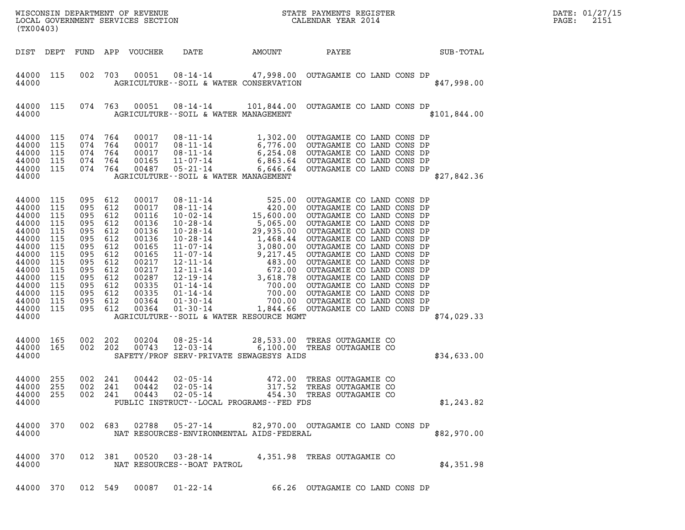| DATE: | 01/27/15 |
|-------|----------|
| PAGE: | 2151     |

| (TX00403)                                                                                                                                        |                                                                                                |                                                                                                                                           |                                        |                                                                                                                                     |                                                                                                |        |                                                                                                                                                                                                                                                        | DATE: 01/27/15<br>2151<br>PAGE: |
|--------------------------------------------------------------------------------------------------------------------------------------------------|------------------------------------------------------------------------------------------------|-------------------------------------------------------------------------------------------------------------------------------------------|----------------------------------------|-------------------------------------------------------------------------------------------------------------------------------------|------------------------------------------------------------------------------------------------|--------|--------------------------------------------------------------------------------------------------------------------------------------------------------------------------------------------------------------------------------------------------------|---------------------------------|
| DIST DEPT                                                                                                                                        |                                                                                                |                                                                                                                                           |                                        | FUND APP VOUCHER                                                                                                                    | DATE                                                                                           | AMOUNT | SUB-TOTAL<br>PAYEE                                                                                                                                                                                                                                     |                                 |
| 44000 115<br>44000                                                                                                                               |                                                                                                | 002                                                                                                                                       | 703                                    | 00051                                                                                                                               | AGRICULTURE -- SOIL & WATER CONSERVATION                                                       |        | 08-14-14 47,998.00 OUTAGAMIE CO LAND CONS DP<br>\$47,998.00                                                                                                                                                                                            |                                 |
| 44000 115<br>44000                                                                                                                               |                                                                                                |                                                                                                                                           |                                        |                                                                                                                                     | AGRICULTURE--SOIL & WATER MANAGEMENT                                                           |        | 074 763 00051 08-14-14 101,844.00 OUTAGAMIE CO LAND CONS DP<br>\$101,844.00                                                                                                                                                                            |                                 |
| 44000<br>44000<br>44000<br>44000<br>44000 115<br>44000                                                                                           | 115<br>115<br>115<br>115                                                                       | 074<br>074<br>074<br>074 764<br>074 764                                                                                                   | 764<br>764<br>764                      | 00017<br>00017<br>00017<br>00165<br>00487                                                                                           | AGRICULTURE--SOIL & WATER MANAGEMENT                                                           |        | 08-11-14 1,302.00 OUTAGAMIE CO LAND CONS DP<br>08-11-14 6,776.00 OUTAGAMIE CO LAND CONS DP<br>08-11-14 6,254.08 OUTAGAMIE CO LAND CONS DP<br>11-07-14 6,863.64 OUTAGAMIE CO LAND CONS DP<br>05-21-14 6,646.64 OUTAGAMIE CO LAND CONS DP<br>\$27,842.36 |                                 |
| 44000<br>44000<br>44000<br>44000<br>44000<br>44000<br>44000<br>44000<br>44000<br>44000<br>44000<br>44000<br>44000<br>44000<br>44000 115<br>44000 | 115<br>115<br>115<br>115<br>115<br>115<br>115<br>115<br>115<br>115<br>115<br>115<br>115<br>115 | 095 612<br>095<br>095 612<br>095<br>095 612<br>095<br>095<br>095<br>095 612<br>095<br>095 612<br>095 612<br>095 612<br>095 612<br>095 612 | 612<br>612<br>612<br>612<br>612<br>612 | 00017<br>00017<br>00116<br>00136<br>00136<br>00136<br>00165<br>00165<br>00217<br>00217<br>00287<br>00335<br>00335<br>00364<br>00364 | AGRICULTURE--SOIL & WATER RESOURCE MGMT                                                        |        | \$74,029.33                                                                                                                                                                                                                                            |                                 |
| 44000<br>44000<br>44000                                                                                                                          | 165<br>165                                                                                     | 002 202<br>002 202                                                                                                                        |                                        | 00204<br>00743                                                                                                                      | SAFETY/PROF SERV-PRIVATE SEWAGESYS AIDS                                                        |        | 08-25-14 28,533.00 TREAS OUTAGAMIE CO<br>12-03-14 6,100.00 TREAS OUTAGAMIE CO<br>\$34,633.00                                                                                                                                                           |                                 |
| 44000<br>44000 255<br>44000 255<br>44000                                                                                                         | 255                                                                                            | 002<br>002<br>002 241                                                                                                                     | 241<br>241                             | 00442<br>00442<br>00443                                                                                                             | $02 - 05 - 14$<br>$02 - 05 - 14$<br>$02 - 05 - 14$<br>PUBLIC INSTRUCT--LOCAL PROGRAMS--FED FDS |        | 472.00 TREAS OUTAGAMIE CO<br>317.52 TREAS OUTAGAMIE CO<br>454.30 TREAS OUTAGAMIE CO<br>\$1,243.82                                                                                                                                                      |                                 |
| 44000                                                                                                                                            | 44000 370                                                                                      |                                                                                                                                           | 002 683                                | 02788                                                                                                                               | 05-27-14<br>NAT RESOURCES-ENVIRONMENTAL AIDS-FEDERAL                                           |        | 82,970.00 OUTAGAMIE CO LAND CONS DP<br>\$82,970.00                                                                                                                                                                                                     |                                 |
| 44000                                                                                                                                            | 44000 370                                                                                      |                                                                                                                                           | 012 381                                | 00520                                                                                                                               | NAT RESOURCES--BOAT PATROL                                                                     |        | 03-28-14 4,351.98 TREAS OUTAGAMIE CO<br>\$4,351.98                                                                                                                                                                                                     |                                 |
|                                                                                                                                                  |                                                                                                |                                                                                                                                           |                                        |                                                                                                                                     | 44000 370 012 549 00087 01-22-14                                                               |        | 66.26 OUTAGAMIE CO LAND CONS DP                                                                                                                                                                                                                        |                                 |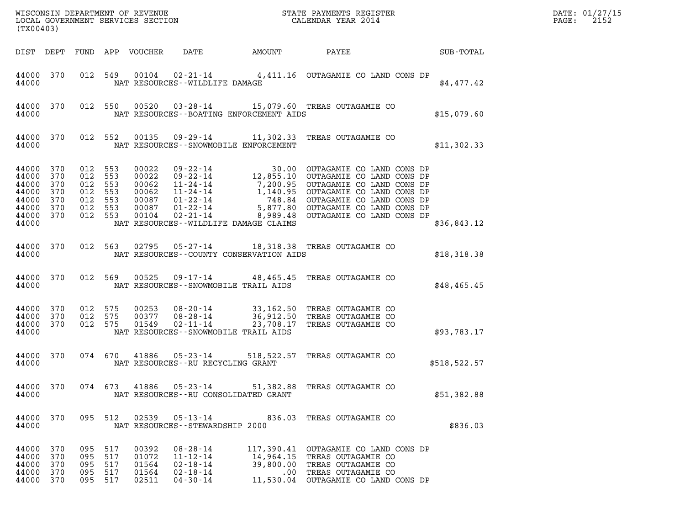| (TX00403)                                                                        |                          |                                                                |                   |                                           |                                                                                        |                                          |                                                                                                                                                                                                                                           |                 | DATE: 01/27/15<br>2152<br>$\mathtt{PAGE:}$ |
|----------------------------------------------------------------------------------|--------------------------|----------------------------------------------------------------|-------------------|-------------------------------------------|----------------------------------------------------------------------------------------|------------------------------------------|-------------------------------------------------------------------------------------------------------------------------------------------------------------------------------------------------------------------------------------------|-----------------|--------------------------------------------|
|                                                                                  |                          |                                                                |                   |                                           |                                                                                        | DIST DEPT FUND APP VOUCHER DATE AMOUNT   |                                                                                                                                                                                                                                           | PAYEE SUB-TOTAL |                                            |
| 44000 370<br>44000                                                               |                          |                                                                |                   |                                           | NAT RESOURCES--WILDLIFE DAMAGE                                                         |                                          | 012 549 00104 02-21-14 4,411.16 OUTAGAMIE CO LAND CONS DP                                                                                                                                                                                 | \$4,477.42      |                                            |
| 44000 370<br>44000                                                               |                          |                                                                |                   |                                           |                                                                                        | NAT RESOURCES--BOATING ENFORCEMENT AIDS  | 012 550 00520 03-28-14 15,079.60 TREAS OUTAGAMIE CO                                                                                                                                                                                       | \$15,079.60     |                                            |
| 44000 370<br>44000                                                               |                          |                                                                |                   |                                           |                                                                                        | NAT RESOURCES - - SNOWMOBILE ENFORCEMENT | 012 552 00135 09-29-14 11,302.33 TREAS OUTAGAMIE CO                                                                                                                                                                                       | \$11,302.33     |                                            |
| 44000 370<br>44000<br>44000<br>44000<br>44000<br>44000 370<br>44000 370<br>44000 | 370<br>370<br>370<br>370 | 012 553<br>012 553<br>012 553<br>012 553<br>012 553<br>012 553 | 012 553           |                                           |                                                                                        | NAT RESOURCES--WILDLIFE DAMAGE CLAIMS    | 00022 09-22-14 30.00 OUTAGAMIE CO LAND CONS DP<br>00022 09-22-14 12,855.10 OUTAGAMIE CO LAND CONS DP<br>00062 11-24-14 7,200.95 OUTAGAMIE CO LAND CONS DP<br>00062 11-24-14 1,140.95 OUTAGAMIE CO LAND CONS DP<br>00087 01-22-14 8,989.48 | \$36,843.12     |                                            |
| 44000                                                                            |                          |                                                                |                   |                                           |                                                                                        | NAT RESOURCES--COUNTY CONSERVATION AIDS  | 44000 370 012 563 02795 05-27-14 18,318.38 TREAS OUTAGAMIE CO                                                                                                                                                                             | \$18,318.38     |                                            |
| 44000                                                                            |                          |                                                                |                   |                                           |                                                                                        | NAT RESOURCES -- SNOWMOBILE TRAIL AIDS   | 44000 370 012 569 00525 09-17-14 48,465.45 TREAS OUTAGAMIE CO                                                                                                                                                                             | \$48,465.45     |                                            |
| 44000 370<br>44000 370<br>44000 370<br>44000                                     |                          | 012 575<br>012 575<br>012 575                                  |                   | 00253<br>01549                            | $02 - 11 - 14$                                                                         | NAT RESOURCES - - SNOWMOBILE TRAIL AIDS  | 00253 08-20-14 33,162.50 TREAS OUTAGAMIE CO<br>00377 08-28-14 36,912.50 TREAS OUTAGAMIE CO<br>23,708.17 TREAS OUTAGAMIE CO                                                                                                                | \$93,783.17     |                                            |
| 44000 370<br>44000                                                               |                          |                                                                |                   |                                           |                                                                                        | NAT RESOURCES - - RU RECYCLING GRANT     | 074 670 41886 05-23-14 518,522.57 TREAS OUTAGAMIE CO                                                                                                                                                                                      | \$518,522.57    |                                            |
| 44000 370<br>44000                                                               |                          |                                                                |                   |                                           |                                                                                        | NAT RESOURCES--RU CONSOLIDATED GRANT     | 074 673 41886 05-23-14 51,382.88 TREAS OUTAGAMIE CO                                                                                                                                                                                       | \$51,382.88     |                                            |
| 44000 370<br>44000                                                               |                          |                                                                |                   |                                           | NAT RESOURCES - - STEWARDSHIP 2000                                                     |                                          | 095 512 02539 05-13-14 836.03 TREAS OUTAGAMIE CO                                                                                                                                                                                          | \$836.03        |                                            |
| 44000 370<br>44000<br>44000<br>44000<br>44000 370                                | 370<br>370<br>370        | 095 517<br>095<br>095<br>095<br>095 517                        | 517<br>517<br>517 | 00392<br>01072<br>01564<br>01564<br>02511 | $08 - 28 - 14$<br>$11 - 12 - 14$<br>$02 - 18 - 14$<br>$02 - 18 - 14$<br>$04 - 30 - 14$ |                                          | 117,390.41 OUTAGAMIE CO LAND CONS DP<br>14,964.15 TREAS OUTAGAMIE CO<br>39,800.00 TREAS OUTAGAMIE CO<br>.00 TREAS OUTAGAMIE CO<br>11,530.04 OUTAGAMIE CO LAND CONS DP                                                                     |                 |                                            |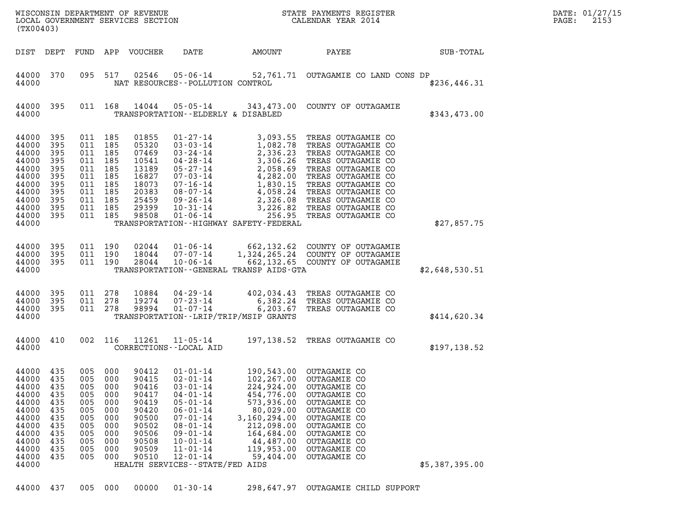| (TX00403)                                                                                                             |                                                                           |                                                                                                               |                                                                           | WISCONSIN DEPARTMENT OF REVENUE<br>LOCAL GOVERNMENT SERVICES SECTION                                     |                                                                                                                                                                                                                                                         |                                                                                                                                                       | STATE PAYMENTS REGISTER<br>CALENDAR YEAR 2014                                                                                                                                                                                                                                                                                                    |                | DATE: 01/27/15<br>2153<br>PAGE: |
|-----------------------------------------------------------------------------------------------------------------------|---------------------------------------------------------------------------|---------------------------------------------------------------------------------------------------------------|---------------------------------------------------------------------------|----------------------------------------------------------------------------------------------------------|---------------------------------------------------------------------------------------------------------------------------------------------------------------------------------------------------------------------------------------------------------|-------------------------------------------------------------------------------------------------------------------------------------------------------|--------------------------------------------------------------------------------------------------------------------------------------------------------------------------------------------------------------------------------------------------------------------------------------------------------------------------------------------------|----------------|---------------------------------|
| DIST DEPT                                                                                                             |                                                                           |                                                                                                               |                                                                           | FUND APP VOUCHER                                                                                         | DATE                                                                                                                                                                                                                                                    | AMOUNT                                                                                                                                                | PAYEE                                                                                                                                                                                                                                                                                                                                            | SUB-TOTAL      |                                 |
| 44000 370<br>44000                                                                                                    |                                                                           | 095                                                                                                           | 517                                                                       | 02546                                                                                                    | NAT RESOURCES - - POLLUTION CONTROL                                                                                                                                                                                                                     |                                                                                                                                                       | 05-06-14 52,761.71 OUTAGAMIE CO LAND CONS DP                                                                                                                                                                                                                                                                                                     | \$236,446.31   |                                 |
| 44000<br>44000                                                                                                        | 395                                                                       |                                                                                                               | 011 168                                                                   |                                                                                                          | TRANSPORTATION--ELDERLY & DISABLED                                                                                                                                                                                                                      |                                                                                                                                                       | 14044  05-05-14  343, 473.00  COUNTY OF OUTAGAMIE                                                                                                                                                                                                                                                                                                | \$343,473.00   |                                 |
| 44000<br>44000<br>44000<br>44000<br>44000<br>44000<br>44000<br>44000<br>44000<br>44000<br>44000 395<br>44000          | 395<br>395<br>395<br>395<br>395<br>395<br>395<br>395<br>395<br>395        | 011 185<br>011 185<br>011 185<br>011 185<br>011 185<br>011 185<br>011 185<br>011<br>011 185<br>011<br>011 185 | 185<br>185                                                                | 01855<br>05320<br>07469<br>10541<br>13189<br>16827<br>18073<br>20383<br>25459<br>29399<br>98508          | $03 - 03 - 14$<br>$03 - 24 - 14$<br>04-28-14<br>$05 - 27 - 14$<br>$07 - 03 - 14$<br>$07 - 16 - 14$<br>08-07-14<br>09-26-14<br>$10 - 31 - 14$<br>$01 - 06 - 14$                                                                                          | TRANSPORTATION - - HIGHWAY SAFETY - FEDERAL                                                                                                           | 01-27-14 3,093.55 TREAS OUTAGAMIE CO<br>3,093.53 TREAS OUTAGAMIE CO<br>1,082.78 TREAS OUTAGAMIE CO<br>2,336.23 TREAS OUTAGAMIE CO<br>3,306.26 TREAS OUTAGAMIE CO<br>2,058.69 TREAS OUTAGAMIE CO<br>4,282.00 TREAS OUTAGAMIE CO<br>1,830.15 TREAS OUTAGAMIE CO<br>4,058.24 TREAS OUTA<br>3,226.82 TREAS OUTAGAMIE CO<br>256.95 TREAS OUTAGAMIE CO | \$27,857.75    |                                 |
| 44000<br>44000<br>44000 395<br>44000                                                                                  | 395<br>395                                                                | 011 190<br>011 190<br>011 190                                                                                 |                                                                           | 02044<br>18044<br>28044                                                                                  | $10 - 06 - 14$                                                                                                                                                                                                                                          | TRANSPORTATION--GENERAL TRANSP AIDS-GTA                                                                                                               | 01-06-14 662, 132.62 COUNTY OF OUTAGAMIE<br>07-07-14 1, 324, 265.24 COUNTY OF OUTAGAMIE<br>662,132.65 COUNTY OF OUTAGAMIE                                                                                                                                                                                                                        | \$2,648,530.51 |                                 |
| 44000<br>44000<br>44000 395<br>44000                                                                                  | 395<br>395                                                                | 011 278<br>011 278<br>011 278                                                                                 |                                                                           | 10884<br>19274<br>98994                                                                                  | $04 - 29 - 14$<br>$07 - 23 - 14$<br>$01 - 07 - 14$                                                                                                                                                                                                      | TRANSPORTATION - - LRIP/TRIP/MSIP GRANTS                                                                                                              | 402,034.43 TREAS OUTAGAMIE CO<br>6,382.24 TREAS OUTAGAMIE CO<br>6,203.67 TREAS OUTAGAMIE CO                                                                                                                                                                                                                                                      | \$414,620.34   |                                 |
| 44000<br>44000                                                                                                        | 410                                                                       |                                                                                                               | 002 116                                                                   | 11261                                                                                                    | $11 - 05 - 14$<br>CORRECTIONS - - LOCAL AID                                                                                                                                                                                                             |                                                                                                                                                       | 197,138.52 TREAS OUTAGAMIE CO                                                                                                                                                                                                                                                                                                                    | \$197,138.52   |                                 |
| 44000 435<br>44000<br>44000<br>44000<br>44000<br>44000<br>44000<br>44000<br>44000<br>44000<br>44000<br>44000<br>44000 | 435<br>435<br>435<br>435<br>435<br>435<br>435<br>435<br>435<br>435<br>435 | 005 000<br>005<br>005<br>005<br>005<br>005<br>005<br>005<br>005<br>005<br>005<br>005                          | 000<br>000<br>000<br>000<br>000<br>000<br>000<br>000<br>000<br>000<br>000 | 90412<br>90415<br>90416<br>90417<br>90419<br>90420<br>90500<br>90502<br>90506<br>90508<br>90509<br>90510 | $01 - 01 - 14$<br>$02 - 01 - 14$<br>$03 - 01 - 14$<br>$04 - 01 - 14$<br>$05 - 01 - 14$<br>$06 - 01 - 14$<br>$07 - 01 - 14$<br>$08 - 01 - 14$<br>$09 - 01 - 14$<br>$10 - 01 - 14$<br>$11 - 01 - 14$<br>$12 - 01 - 14$<br>HEALTH SERVICES--STATE/FED AIDS | 102,267.00<br>224,924.00<br>454,776.00<br>573,936.00<br>80,029.00<br>3,160,294.00<br>212,098.00<br>164,684.00<br>44,487.00<br>119,953.00<br>59,404.00 | 190,543.00 OUTAGAMIE CO<br>OUTAGAMIE CO<br><b>OUTAGAMIE CO</b><br><b>OUTAGAMIE CO</b><br><b>OUTAGAMIE CO</b><br>OUTAGAMIE CO<br><b>OUTAGAMIE CO</b><br>OUTAGAMIE CO<br>OUTAGAMIE CO<br>OUTAGAMIE CO<br>OUTAGAMIE CO<br>OUTAGAMIE CO                                                                                                              | \$5,387,395.00 |                                 |
| 44000 437                                                                                                             |                                                                           | 005 000                                                                                                       |                                                                           | 00000                                                                                                    | $01 - 30 - 14$                                                                                                                                                                                                                                          |                                                                                                                                                       | 298,647.97 OUTAGAMIE CHILD SUPPORT                                                                                                                                                                                                                                                                                                               |                |                                 |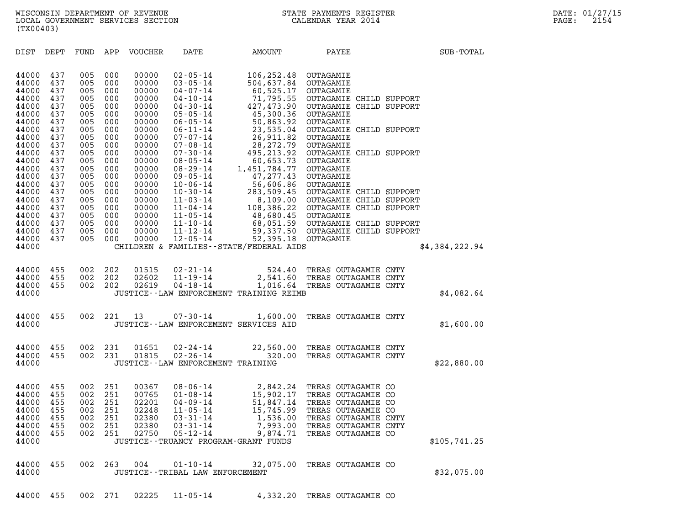DIST DEPT FUND APP VOUCHER DATE AMOUNT PAYEE SUB-TOTAL 44000 437 005 000 00000 02-05-14 106,252.48 OUTAGAMIE 44000 437 005 000 00000 02–05–14 106,252.48 OUTAGAMIE<br>44000 437 005 000 00000 03–05–14 504,637.84 OUTAGAMIE<br>44000 437 005 000 00000 04–07–14 60.525.17 OUTAGAMIE 44000 437 005 000 00000 02-05-14 106,252.48 OUTAGAMIE<br>44000 437 005 000 00000 03-05-14 504,637.84 OUTAGAMIE<br>44000 437 005 000 00000 04-07-14 60,525.17 OUTAGAMIE<br>44000 437 005 000 00000 04-10-14 71,795.55 OUTAGAMIECH: 44000 437 005 000 00000 02-05-14 106,252.48 OUTAGAMIE<br>44000 437 005 000 00000 03-05-14 504,637.84 OUTAGAMIE<br>44000 437 005 000 00000 04-07-14 60,525.17 OUTAGAMIE<br>44000 437 005 000 00000 04-10-14 71,795.55 OUTAGAMIE CHILD SU 44000 437 005 000 00000 03-05-14 504,637.84 OUTAGAMIE<br>44000 437 005 000 00000 04-07-14 60,525.17 OUTAGAMIE<br>44000 437 005 000 00000 04-10-14 71,795.55 OUTAGAMIE CHILD SUPPORT<br>44000 437 005 000 00000 04-30-14 427,473.90 OUTA  $44000$   $437$   $005$   $000$   $00000$   $04$ - $07$ - $14$   $60$ ,525.17 OUTAGAMIE CH:<br> $44000$   $437$   $005$   $000$   $00000$   $04$ - $10$ - $14$   $71$ ,795.55 OUTAGAMIE CH:<br> $44000$   $437$   $005$   $000$   $00000$   $04$ - $30$ - $14$   $427$ , $473$ .90.36 OUTA  $\begin{array}{cccc} 44000&437&005&000&00000&04\cdot10\cdot14&71\,,795.55&\text{OUTAGAMIE CH:}\\ 44000&437&005&000&00000&04\cdot30\cdot14&427\,,473.90&\text{OUTAGAMIE CH:}\\ 44000&437&005&000&00000&05\cdot05\cdot14&5300.36&\text{OUTAGAMIE}\\ 44000&437&005&000&00000&06\cdot05\cdot14&50\,,863.92$ 44000 437 005 000 00000 04-30-14 427,473.90 OUTAGAMIE CHILD SUPPORT<br>44000 437 005 000 00000 05-05-14 45,300.36 OUTAGAMIE<br>44000 437 005 000 00000 06-05-14 50,863.92 OUTAGAMIE<br>44000 437 005 000 00000 06-11-14 23,535.04 OUTAG  $44000$   $437$   $005$   $000$   $00000$   $06$ - $05$ - $14$   $5300.36$  OUTAGAMIE<br> $44000$   $437$   $005$   $000$   $00000$   $06$ - $05$ - $14$   $50,863.92$  OUTAGAMIE<br> $44000$   $437$   $005$   $000$   $00000$   $07$ - $07$ - $14$   $26,511.82$  OUTAGAMIE<br> $44000$   $4$  $44000$   $437$   $005$   $000$   $00000$   $06$ - $05$ - $14$   $23,535.04$  OUTAGAMIE CH:<br> $44000$   $437$   $005$   $000$   $00000$   $06$ - $11$ - $14$   $23,535.04$  OUTAGAMIE CH:<br> $44000$   $437$   $005$   $000$   $00000$   $07$ - $08$ - $14$   $26,911.82$  OUTAGAMIE<br> 44000 437 005 000 00000 06-11-14 23,535.04 OUTAGAMIE CHILD SUPPORT<br>44000 437 005 000 00000 07-07-14 26,911.82 OUTAGAMIE<br>44000 437 005 000 00000 07-08-14 28,272.79 OUTAGAMIE<br>44000 437 005 000 00000 08-05-14 495,213.92 OUTAG  $44000$   $437$   $005$   $000$   $00000$   $07$ - $07$ - $14$   $26$ , $911$ . $82$  OUTAGAMIE<br> $44000$   $437$   $005$   $000$   $00000$   $07$ - $08$ - $14$   $28$ , $272$ . $79$  OUTAGAMIE<br> $44000$   $437$   $005$   $000$   $00000$   $08$ - $05$ - $14$   $60$ , $653$ . $73$  OUTAGA  $44000$   $437$   $005$   $000$   $00000$   $07$ - $08$ - $14$   $495,213.92$  OUTAGAMIE CH:<br> $44000$   $437$   $005$   $000$   $00000$   $07$ - $30$ - $14$   $495,213.92$  OUTAGAMIE CH:<br> $44000$   $437$   $005$   $000$   $00000$   $08$ - $29$ - $14$   $1,451,784.77$  OUTAG  $44000$   $437$   $005$   $000$   $00000$   $07-30-14$   $495,213.92$  OUTAGAMIE CH:<br> $44000$   $437$   $005$   $000$   $00000$   $08-05-14$   $60,653.73$  OUTAGAMIE<br> $44000$   $437$   $005$   $000$   $00000$   $08-29-14$   $1,451,784.77$  OUTAGAMIE<br> $44000$   $437$  $\begin{array}{cccc} 44000&437&005&000&00000&08\cdot 05\cdot 14&60,653.73&\text{OUTAGAMIE} \ 44000&437&005&000&00000&08\cdot 29\cdot 14&1,451,784.77&\text{OUTAGAMIE} \ 44000&437&005&000&00000&09\cdot 05\cdot 14&47,277.43&\text{OUTAGAMIE} \ 44000&437&005&000&00000&10\cdot 06\cdot 14&5$  $\begin{array}{cccc} 44000&437&005&000&00000&08\texttt{-}29\texttt{-}14&1,451,784.77&\texttt{OUTAGAMIE}\ 44000&437&005&000&00000&09\texttt{-}05\texttt{-}14&47,277.43&\texttt{OUTAGAMIE}\ 44000&437&005&000&00000&10\texttt{-}36\texttt{-}14&56,606.86&\texttt{OUTAGAMIE}\ 44000&437&005&000&00000&10$ 44000 437 005 000 00000 09-05-14 47,277.43 OUTAGAMIE<br>44000 437 005 000 00000 10-06-14 56,606.86 OUTAGAMIE<br>44000 437 005 000 00000 10-30-14 283,509.45 OUTAGAMIE CHILD SUPPORT<br>44000 437 005 000 00000 11-03-14 8,109.00 OUTAGA 44000 437 005 000 00000 10-06-14 56,606.86 OUTAGAMIE<br>44000 437 005 000 00000 10-30-14 283,509.45 OUTAGAMIE CHILD SUPPORT<br>44000 437 005 000 00000 11-03-14 8,109.00 OUTAGAMIE CHILD SUPPORT<br>44000 437 005 000 00000 11-04-14 10  $\begin{array}{cccc} 44000&437&005&000&00000&10\cdot 30\cdot 14&283,509.45& \text{OUTAGAMIE CH:}\\ 44000&437&005&000&00000&11\cdot 03\cdot 14&8,109.00& \text{OUTAGAME CH:}\\ 44000&437&005&000&00000&11\cdot 04\cdot 14&408,386.22& \text{OUTAGAME CH:}\\ 44000&437&005&000&00000&11\cdot 10\cdot 14&68$  $44000$   $437$  005 000 00000 11-03-14 8,109.00 OUTAGAMIE CHILD SUPPORT<br> $44000$   $437$  005 000 00000 11-04-14 108,386.22 OUTAGAMIE CHILD SUPPORT<br> $44000$   $437$  005 000 00000 11-05-14 68,680.45 OUTAGAMIE CHILD SUPPORT<br> $44000$   $44000$   $437$  005 000 00000 11-04-14 108,386.22 OUTAGAMIE CHILD SUPPORT<br> $44000$   $437$  005 000 00000 11-05-14 48,680.45 OUTAGAMIE<br> $44000$   $437$  005 000 00000 11-12-14 68,051.50 OUTAGAMIE CHILD SUPPORT<br> $44000$   $437$  005 000  $44000$   $437$   $005$   $000$   $00000$   $11-05-14$   $48,680.45$  OUTAGAMIE CH:<br> $44000$   $437$   $005$   $000$   $00000$   $11-10-14$   $68,051.59$  OUTAGAMIE CH:<br> $44000$   $437$   $005$   $000$   $00000$   $11-2-14$   $59,337.50$  OUTAGAMIE CH:<br> $44000$  44000 437 005 000 00000 11-10-14 68,051.59 OUTAGAMIE CHILD SUPPORT<br>44000 437 005 000 00000 11-12-14 59,337.50 OUTAGAMIE CHILD SUPPORT<br>44000 437 005 000 00000 12-05-14 52,395.18 OUTAGAMIE<br>44000 44000 455 002 202 01515 02-21-14 524.40 TREAS OUTAGAMIE CNTY 44000 455 002 202 02602 11-19-14 2,541.60 TREAS OUTAGAMIE CNTY 44000 455 002 202 01515 02-21-14 524.40 TREAS OUTAGAMIE CNTY<br>44000 455 002 202 02602 11-19-14 2,541.60 TREAS OUTAGAMIE CNTY<br>44000 455 002 202 02619 04-18-14 1,016.64 TREAS OUTAGAMIE CNTY<br>44000 JUSTICE--LAW ENFORCEMENT TRAI 44000 455 002 202 01515 02-21-14 524.40 TREAS OUTAGAMIE CNTY<br>44000 455 002 202 02602 11-19-14 2,541.60 TREAS OUTAGAMIE CNTY<br>44000 455 002 202 02619 04-18-14 1,016.64 TREAS OUTAGAMIE CNTY \$4,082.64<br>44000 44000 455 002 221 13 07-30-14 1,600.00 TREAS OUTAGAMIE CNTY 44000 455 002 221 13 07-30-14 1,600.00 TREAS OUTAGAMIE CNTY \$1,600.00<br>44000 JUSTICE--LAW ENFORCEMENT SERVICES AID 44000 455 002 231 01651 02-24-14 22,560.00 TREAS OUTAGAMIE CNTY 44000 455 002 231 01651 02–24–14 22,560.00 TREAS OUTAGAMIE CNTY<br>44000 455 002 231 01815 02–26–14 320.00 TREAS OUTAGAMIE CNTY<br>44000 JUSTICE--LAW ENFORCEMENT TRAINING 44000 455 002 231 01651 02–24–14 22,560.00 TREAS-OUTAGAMIE-CNTY<br>44000 455 002 231 01815 02–26–14 320.00 TREAS-OUTAGAMIE-CNTY \$22,880.00<br>44000 JUSTICE--LAW\_ENFORCEMENT\_TRAINING 44000 455 002 251 00367 08-06-14 2,842.24 TREAS OUTAGAMIE CO 44000 455 002 251 00765 01-08-14 15,902.17 TREAS OUTAGAMIE CO 44000 455 002 251 00367 08-06-14 2,842.24 TREAS OUTAGAMIE CO<br>44000 455 002 251 00765 01-08-14 15,902.17 TREAS OUTAGAMIE CO<br>44000 455 002 251 02201 04-09-14 51,847.14 TREAS OUTAGAMIE CO<br>44000 455 002 251 02248 11-05-14 15,7 44000 455 002 251 00367 08-06-14 2,842.24 TREAS OUTAGAMIE CO<br>44000 455 002 251 00765 01-08-14 15,902.17 TREAS OUTAGAMIE CO<br>44000 455 002 251 022048 11-05-14 51,847.14 TREAS OUTAGAMIE CO<br>44000 455 002 251 02248 11-05-14 15, 44000 455 002 251 00765 01-08-14 15,902.17 TREAS OUTAGAMIE CO<br>44000 455 002 251 02201 04-09-14 51,847.14 TREAS OUTAGAMIE CO<br>44000 455 002 251 02248 11-05-14 15,745.99 TREAS OUTAGAMIE CO<br>44000 455 002 251 02380 03-31-14 1,5 44000 455 002 251 02201 04-09-14 51,847.14 TREAS OUTAGAMIE CO<br>44000 455 002 251 02248 11-05-14 15,745.99 TREAS OUTAGAMIE CO<br>44000 455 002 251 02380 03-31-14 1,536.00 TREAS OUTAGAMIE CNTY<br>44000 455 002 251 02380 03-31-14 7, 44000 455 002 251 02248 11-05-14 15,745.99 TREAS OUTAGAMIE CO<br>44000 455 002 251 02380 03-31-14 1,536.00 TREAS OUTAGAMIE CNTY<br>44000 455 002 251 02380 03-31-14 7,993.00 TREAS OUTAGAMIE CNTY<br>44000 455 002 251 02750 05-12-14 9 44000 455 002 251 02380 03-31-14 1,536.00 TREAS-OUTAGAMIE-CNTY<br>44000 455 002 251 02380 03-31-14 7,993.00 TREAS-OUTAGAMIE-CNTY<br>44000 455 002 251 02750 05-12-14 9,874.71 TREAS-OUTAGAMIE-CO \$105,741.25<br>44000 44000 455 002 263 004 01-10-14 32,075.00 TREAS OUTAGAMIE CO 44000 JUSTICE--TRIBAL LAW ENFORCEMENT \$32,075.00 44000 455 002 271 02225 11-05-14 4,332.20 TREAS OUTAGAMIE CO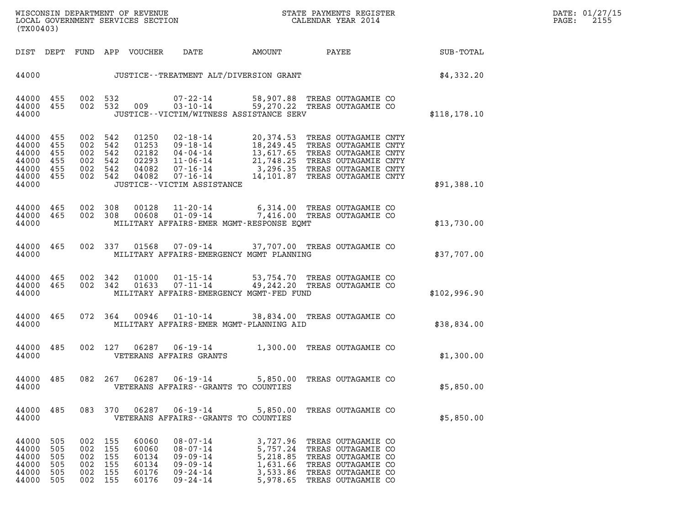| (TX00403)                                                   |                                        |                                        |                                        |                                                    |                                                                                                                                           |                                                       |                                                                                                                                                                                                         |                  |
|-------------------------------------------------------------|----------------------------------------|----------------------------------------|----------------------------------------|----------------------------------------------------|-------------------------------------------------------------------------------------------------------------------------------------------|-------------------------------------------------------|---------------------------------------------------------------------------------------------------------------------------------------------------------------------------------------------------------|------------------|
| DIST                                                        | DEPT                                   |                                        |                                        | FUND APP VOUCHER                                   | DATE                                                                                                                                      | AMOUNT                                                | PAYEE                                                                                                                                                                                                   | <b>SUB-TOTAL</b> |
| 44000                                                       |                                        |                                        |                                        |                                                    |                                                                                                                                           | JUSTICE - - TREATMENT ALT/DIVERSION GRANT             |                                                                                                                                                                                                         | \$4,332.20       |
| 44000<br>44000<br>44000                                     | 455<br>455                             | 002<br>002                             | 532<br>532                             | 009                                                | 07-22-14<br>$03 - 10 - 14$                                                                                                                | JUSTICE - - VICTIM/WITNESS ASSISTANCE SERV            | 58,907.88 TREAS OUTAGAMIE CO<br>59,270.22 TREAS OUTAGAMIE CO                                                                                                                                            | \$118, 178.10    |
| 44000<br>44000<br>44000<br>44000<br>44000<br>44000<br>44000 | 455<br>455<br>455<br>455<br>455<br>455 | 002<br>002<br>002<br>002<br>002<br>002 | 542<br>542<br>542<br>542<br>542<br>542 | 01250<br>01253<br>02182<br>02293<br>04082<br>04082 | $02 - 18 - 14$<br>$09 - 18 - 14$<br>$04 - 04 - 14$<br>$11 - 06 - 14$<br>$07 - 16 - 14$<br>$07 - 16 - 14$<br>JUSTICE - - VICTIM ASSISTANCE |                                                       | 20,374.53 TREAS OUTAGAMIE CNTY<br>18,249.45 TREAS OUTAGAMIE CNTY<br>13,617.65 TREAS OUTAGAMIE CNTY<br>21,748.25 TREAS OUTAGAMIE CNTY<br>3,296.35 TREAS OUTAGAMIE CNTY<br>14,101.87 TREAS OUTAGAMIE CNTY | \$91,388.10      |
| 44000<br>44000<br>44000                                     | 465<br>465                             | 002<br>002                             | 308<br>308                             | 00128<br>00608                                     | $11 - 20 - 14$<br>$01 - 09 - 14$                                                                                                          | MILITARY AFFAIRS-EMER MGMT-RESPONSE EQMT              | 6,314.00 TREAS OUTAGAMIE CO<br>7,416.00 TREAS OUTAGAMIE CO                                                                                                                                              | \$13,730.00      |
| 44000<br>44000                                              | 465                                    | 002                                    | 337                                    | 01568                                              | $07 - 09 - 14$                                                                                                                            | MILITARY AFFAIRS-EMERGENCY MGMT PLANNING              | 37,707.00 TREAS OUTAGAMIE CO                                                                                                                                                                            | \$37,707.00      |
| 44000<br>44000<br>44000                                     | 465<br>465                             | 002<br>002                             | 342<br>342                             | 01633                                              | $01000 01 - 15 - 14$<br>$07 - 11 - 14$                                                                                                    | 49,242.20<br>MILITARY AFFAIRS-EMERGENCY MGMT-FED FUND | 53,754.70 TREAS OUTAGAMIE CO<br>TREAS OUTAGAMIE CO                                                                                                                                                      | \$102,996.90     |
| 44000<br>44000                                              | 465                                    | 072                                    | 364                                    | 00946                                              | 01-10-14                                                                                                                                  | 38,834.00<br>MILITARY AFFAIRS-EMER MGMT-PLANNING AID  | TREAS OUTAGAMIE CO                                                                                                                                                                                      | \$38,834.00      |
| 44000<br>44000                                              | 485                                    | 002                                    | 127                                    | 06287                                              | 06-19-14<br>VETERANS AFFAIRS GRANTS                                                                                                       | 1,300.00                                              | TREAS OUTAGAMIE CO                                                                                                                                                                                      | \$1,300.00       |
| 44000<br>44000                                              | 485                                    | 082                                    | 267                                    | 06287                                              | $06 - 19 - 14$                                                                                                                            | 5,850.00<br>VETERANS AFFAIRS -- GRANTS TO COUNTIES    | TREAS OUTAGAMIE CO                                                                                                                                                                                      | \$5,850.00       |
| 44000<br>44000                                              | 485                                    |                                        | 083 370                                | 06287                                              | $06 - 19 - 14$                                                                                                                            | 5,850.00<br>VETERANS AFFAIRS -- GRANTS TO COUNTIES    | TREAS OUTAGAMIE CO                                                                                                                                                                                      | \$5,850.00       |
| 44000<br>44000<br>44000<br>44000<br>44000<br>44000          | 505<br>505<br>505<br>505<br>505<br>505 | 002<br>002<br>002<br>002<br>002<br>002 | 155<br>155<br>155<br>155<br>155<br>155 | 60060<br>60060<br>60134<br>60134<br>60176<br>60176 | 08-07-14<br>08-07-14<br>09-09-14<br>09 - 09 - 14<br>09-24-14<br>09-24-14                                                                  | 5,218.85<br>1,631.66                                  | 3,727.96 TREAS OUTAGAMIE CO<br>5,757.24 TREAS OUTAGAMIE CO<br>TREAS OUTAGAMIE CO<br>TREAS OUTAGAMIE CO<br>3,533.86 TREAS OUTAGAMIE CO<br>5,978.65 TREAS OUTAGAMIE CO                                    |                  |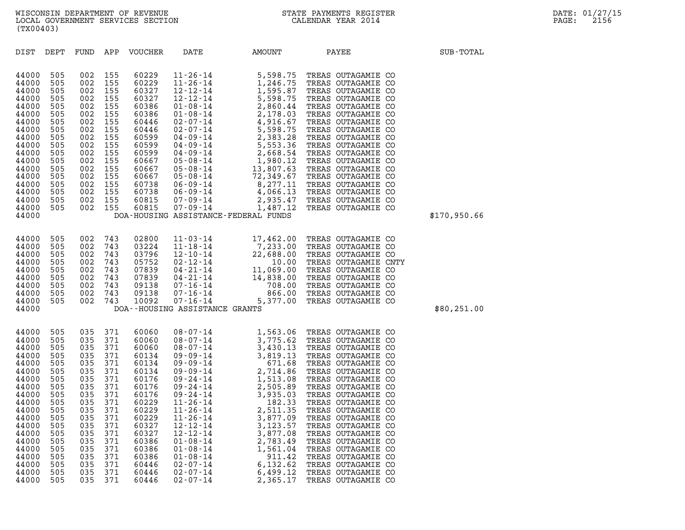| (TX00403)                                                                                                                                                                        |                                                                                                                                          |                                                                                                                                          |                                                                                                                                          |                                                                                                                                                                                  |                                                                                                                                                                |                                                                                                        |                                                                                                                                                                                                                                                                                                                                                                                                                                                                        |              |
|----------------------------------------------------------------------------------------------------------------------------------------------------------------------------------|------------------------------------------------------------------------------------------------------------------------------------------|------------------------------------------------------------------------------------------------------------------------------------------|------------------------------------------------------------------------------------------------------------------------------------------|----------------------------------------------------------------------------------------------------------------------------------------------------------------------------------|----------------------------------------------------------------------------------------------------------------------------------------------------------------|--------------------------------------------------------------------------------------------------------|------------------------------------------------------------------------------------------------------------------------------------------------------------------------------------------------------------------------------------------------------------------------------------------------------------------------------------------------------------------------------------------------------------------------------------------------------------------------|--------------|
| DIST                                                                                                                                                                             | DEPT                                                                                                                                     | FUND APP                                                                                                                                 |                                                                                                                                          | VOUCHER                                                                                                                                                                          | DATE                                                                                                                                                           | AMOUNT                                                                                                 | <b>PAYEE</b>                                                                                                                                                                                                                                                                                                                                                                                                                                                           | SUB-TOTAL    |
| 44000<br>44000<br>44000<br>44000<br>44000<br>44000<br>44000<br>44000<br>44000<br>44000<br>44000<br>44000<br>44000<br>44000<br>44000<br>44000<br>44000<br>44000<br>44000          | 505<br>505<br>505<br>505<br>505<br>505<br>505<br>505<br>505<br>505<br>505<br>505<br>505<br>505<br>505<br>505<br>505<br>505               | 002<br>002<br>002<br>002<br>002<br>002<br>002<br>002<br>002<br>002<br>002<br>002<br>002<br>002<br>002<br>002<br>002<br>002               | 155<br>155<br>155<br>155<br>155<br>155<br>155<br>155<br>155<br>155<br>155<br>155<br>155<br>155<br>155<br>155<br>155<br>155               | 60229<br>60229<br>60327<br>60327<br>60386<br>60386<br>60446<br>60446<br>60599<br>60599<br>60599<br>60667<br>60667<br>60667<br>60738<br>60738<br>60815<br>60815                   |                                                                                                                                                                | DOA-HOUSING ASSISTANCE-FEDERAL FUNDS                                                                   |                                                                                                                                                                                                                                                                                                                                                                                                                                                                        | \$170,950.66 |
| 44000<br>44000<br>44000<br>44000<br>44000<br>44000<br>44000<br>44000<br>44000<br>44000                                                                                           | 505<br>505<br>505<br>505<br>505<br>505<br>505<br>505<br>505                                                                              | 002<br>002<br>002<br>002<br>002<br>002<br>002<br>002<br>002                                                                              | 743<br>743<br>743<br>743<br>743<br>743<br>743<br>743<br>743                                                                              | 02800<br>03224<br>03796<br>05752<br>07839<br>07839<br>09138<br>09138<br>10092                                                                                                    | DOA--HOUSING ASSISTANCE GRANTS                                                                                                                                 |                                                                                                        | 11-03-14<br>17,462.00 TREAS OUTAGAMIE CO<br>11-18-14<br>7,233.00 TREAS OUTAGAMIE CO<br>12-10-14<br>22,688.00 TREAS OUTAGAMIE CO<br>02-12-14<br>10.00 TREAS OUTAGAMIE CN<br>04-21-14<br>14,838.00 TREAS OUTAGAMIE CO<br>07-16-14<br>708.00 TREAS OUTA<br>10.00 TREAS OUTAGAMIE CNTY                                                                                                                                                                                     | \$80, 251.00 |
| 44000<br>44000<br>44000<br>44000<br>44000<br>44000<br>44000<br>44000<br>44000<br>44000<br>44000<br>44000<br>44000<br>44000<br>44000<br>44000<br>44000<br>44000<br>44000<br>44000 | 505<br>505<br>505<br>505<br>505<br>505<br>505<br>505<br>505<br>505<br>505<br>505<br>505<br>505<br>505<br>505<br>505<br>505<br>505<br>505 | 035<br>035<br>035<br>035<br>035<br>035<br>035<br>035<br>035<br>035<br>035<br>035<br>035<br>035<br>035<br>035<br>035<br>035<br>035<br>035 | 371<br>371<br>371<br>371<br>371<br>371<br>371<br>371<br>371<br>371<br>371<br>371<br>371<br>371<br>371<br>371<br>371<br>371<br>371<br>371 | 60060<br>60060<br>60060<br>60134<br>60134<br>60134<br>60176<br>60176<br>60176<br>60229<br>60229<br>60229<br>60327<br>60327<br>60386<br>60386<br>60386<br>60446<br>60446<br>60446 | $11 - 26 - 14$<br>$12 - 12 - 14$<br>$12 - 12 - 14$<br>$01 - 08 - 14$<br>$01 - 08 - 14$<br>$01 - 08 - 14$<br>$02 - 07 - 14$<br>$02 - 07 - 14$<br>$02 - 07 - 14$ | 3,877.09<br>3,123.57<br>3,877.08<br>2,783.49<br>1,561.04<br>911.42<br>6,132.62<br>6,499.12<br>2,365.17 | 08-07-14<br>08-07-14<br>3,775.62<br>3,775.62<br>TREAS OUTAGAMIE CO<br>08-07-14<br>3,430.13<br>TREAS OUTAGAMIE CO<br>09-09-14<br>3,819.13<br>TREAS OUTAGAMIE CO<br>09-09-14<br>2,714.86<br>TREAS OUTAGAMIE CO<br>09-24-14<br>2,505.89<br>TREAS OUTAGAMIE CO<br>09<br>TREAS OUTAGAMIE CO<br>TREAS OUTAGAMIE CO<br>TREAS OUTAGAMIE CO<br>TREAS OUTAGAMIE CO<br>TREAS OUTAGAMIE CO<br>TREAS OUTAGAMIE CO<br>TREAS OUTAGAMIE CO<br>TREAS OUTAGAMIE CO<br>TREAS OUTAGAMIE CO |              |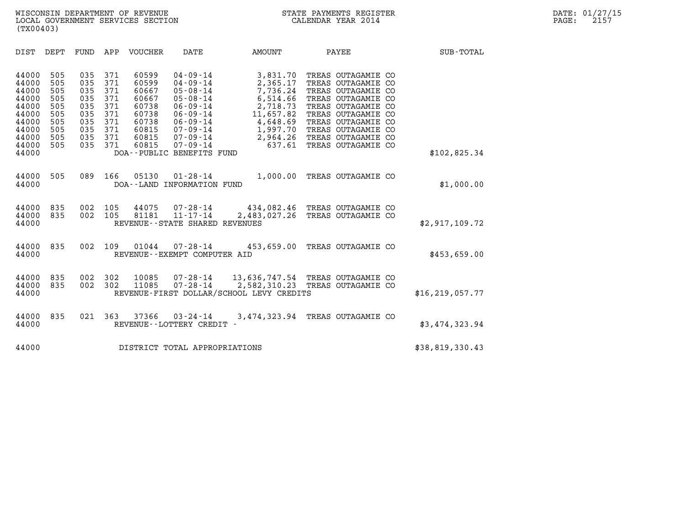| (TX00403)                                                                                                                                                             |                                                                                                                                          |                                                                                        |                                                                                                                                                                                                               |                                                                                                                     |                                                                                                                                                                                                                          |                   |
|-----------------------------------------------------------------------------------------------------------------------------------------------------------------------|------------------------------------------------------------------------------------------------------------------------------------------|----------------------------------------------------------------------------------------|---------------------------------------------------------------------------------------------------------------------------------------------------------------------------------------------------------------|---------------------------------------------------------------------------------------------------------------------|--------------------------------------------------------------------------------------------------------------------------------------------------------------------------------------------------------------------------|-------------------|
| DIST<br>DEPT                                                                                                                                                          | APP<br>FUND                                                                                                                              | VOUCHER                                                                                | DATE                                                                                                                                                                                                          | AMOUNT                                                                                                              | PAYEE                                                                                                                                                                                                                    | <b>SUB-TOTAL</b>  |
| 44000<br>505<br>505<br>44000<br>44000<br>505<br>44000<br>505<br>44000<br>505<br>44000<br>505<br>44000<br>505<br>44000<br>505<br>44000<br>505<br>505<br>44000<br>44000 | 035<br>371<br>035<br>371<br>035<br>371<br>035<br>371<br>035<br>371<br>035<br>371<br>371<br>035<br>035<br>371<br>035<br>371<br>371<br>035 | 60599<br>60599<br>60667<br>60667<br>60738<br>60738<br>60738<br>60815<br>60815<br>60815 | $04 - 09 - 14$<br>$04 - 09 - 14$<br>$05 - 08 - 14$<br>$05 - 08 - 14$<br>$06 - 09 - 14$<br>$06 - 09 - 14$<br>$06 - 09 - 14$<br>$07 - 09 - 14$<br>$07 - 09 - 14$<br>$07 - 09 - 14$<br>DOA--PUBLIC BENEFITS FUND | 3,831.70<br>2,365.17<br>7,736.24<br>6,514.66<br>2,718.73<br>11,657.82<br>4,648.69<br>1,997.70<br>2,964.26<br>637.61 | TREAS OUTAGAMIE CO<br>TREAS OUTAGAMIE CO<br>TREAS OUTAGAMIE CO<br>TREAS OUTAGAMIE CO<br>TREAS OUTAGAMIE CO<br>TREAS OUTAGAMIE CO<br>TREAS OUTAGAMIE CO<br>TREAS OUTAGAMIE CO<br>TREAS OUTAGAMIE CO<br>TREAS OUTAGAMIE CO | \$102,825.34      |
| 505<br>44000<br>44000                                                                                                                                                 | 089<br>166                                                                                                                               | 05130                                                                                  | $01 - 28 - 14$<br>DOA--LAND INFORMATION FUND                                                                                                                                                                  | 1,000.00                                                                                                            | TREAS OUTAGAMIE CO                                                                                                                                                                                                       | \$1,000.00        |
| 44000<br>835<br>44000<br>835<br>44000                                                                                                                                 | 002<br>105<br>002<br>105                                                                                                                 | 44075<br>81181                                                                         | $07 - 28 - 14$<br>$11 - 17 - 14$<br>REVENUE - - STATE SHARED REVENUES                                                                                                                                         | 2,483,027.26                                                                                                        | 434,082.46 TREAS OUTAGAMIE CO<br>TREAS OUTAGAMIE CO                                                                                                                                                                      | \$2,917,109.72    |
| 835<br>44000<br>44000                                                                                                                                                 | 002<br>109                                                                                                                               | 01044                                                                                  | $07 - 28 - 14$<br>REVENUE--EXEMPT COMPUTER AID                                                                                                                                                                | 453,659.00                                                                                                          | TREAS OUTAGAMIE CO                                                                                                                                                                                                       | \$453,659.00      |
| 44000<br>835<br>44000<br>835<br>44000                                                                                                                                 | 002<br>302<br>302<br>002                                                                                                                 | 10085<br>11085                                                                         | 07-28-14<br>$07 - 28 - 14$                                                                                                                                                                                    | 13,636,747.54<br>2,582,310.23<br>REVENUE-FIRST DOLLAR/SCHOOL LEVY CREDITS                                           | TREAS OUTAGAMIE CO<br>TREAS OUTAGAMIE CO                                                                                                                                                                                 | \$16, 219, 057.77 |
| 44000<br>835<br>44000                                                                                                                                                 | 021<br>363                                                                                                                               | 37366                                                                                  | $03 - 24 - 14$<br>REVENUE - - LOTTERY CREDIT -                                                                                                                                                                | 3,474,323.94                                                                                                        | TREAS OUTAGAMIE CO                                                                                                                                                                                                       | \$3,474,323.94    |
| 44000                                                                                                                                                                 |                                                                                                                                          |                                                                                        | DISTRICT TOTAL APPROPRIATIONS                                                                                                                                                                                 |                                                                                                                     |                                                                                                                                                                                                                          | \$38,819,330.43   |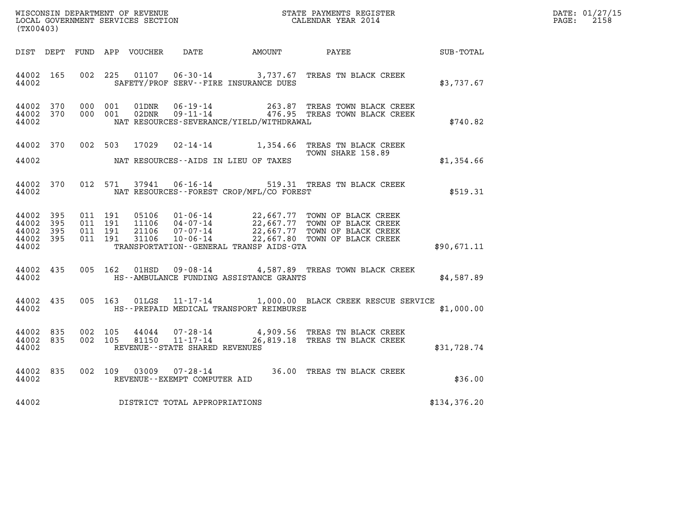| WISCONSIN DEPARTMENT OF REVENUE<br>LOCAL GOVERNMENT SERVICES SECTION | STATE PAYMENTS REGISTER<br>CALENDAR YEAR 2014 | DATE: 01/27/15<br>2158<br>PAGE: |
|----------------------------------------------------------------------|-----------------------------------------------|---------------------------------|

| WISCONSIN DEPARTMENT OF REVENUE<br>STATE PAYMENTS REGISTER<br>LOCAL GOVERNMENT SERVICES SECTION<br>CALENDAR YEAR 2014<br>(TX00403) |                          |                          |                          |                                  |                                                                       |                                                                   |                                                                                                                                  |              |  |  |
|------------------------------------------------------------------------------------------------------------------------------------|--------------------------|--------------------------|--------------------------|----------------------------------|-----------------------------------------------------------------------|-------------------------------------------------------------------|----------------------------------------------------------------------------------------------------------------------------------|--------------|--|--|
| DIST                                                                                                                               | DEPT                     | FUND                     | APP                      | VOUCHER                          | DATE                                                                  | AMOUNT                                                            | PAYEE                                                                                                                            | SUB-TOTAL    |  |  |
| 44002<br>44002                                                                                                                     | 165                      | 002                      | 225                      | 01107                            |                                                                       | $06 - 30 - 14$ 3, 737.67<br>SAFETY/PROF SERV--FIRE INSURANCE DUES | TREAS TN BLACK CREEK                                                                                                             | \$3,737.67   |  |  |
| 44002<br>44002<br>44002                                                                                                            | 370<br>370               | 000<br>000               | 001<br>001               | 01DNR<br>02DNR                   | $06 - 19 - 14$<br>$09 - 11 - 14$                                      | NAT RESOURCES-SEVERANCE/YIELD/WITHDRAWAL                          | 263.87 TREAS TOWN BLACK CREEK<br>163.87 TREAS TOWN DUACA CAPEA<br>476.95 TREAS TOWN BLACK CREEK                                  | \$740.82     |  |  |
| 44002<br>44002                                                                                                                     | 370                      |                          | 002 503                  | 17029                            | 02-14-14                                                              | 1,354.66<br>NAT RESOURCES--AIDS IN LIEU OF TAXES                  | TREAS TN BLACK CREEK<br>TOWN SHARE 158.89                                                                                        | \$1,354.66   |  |  |
| 44002<br>44002                                                                                                                     | 370                      | 012                      | 571                      | 37941                            |                                                                       | NAT RESOURCES - - FOREST CROP/MFL/CO FOREST                       | 06-16-14 519.31 TREAS TN BLACK CREEK                                                                                             | \$519.31     |  |  |
| 44002<br>44002<br>44002<br>44002<br>44002                                                                                          | 395<br>395<br>395<br>395 | 011<br>011<br>011<br>011 | 191<br>191<br>191<br>191 | 05106<br>11106<br>21106<br>31106 | $01 - 06 - 14$<br>04-07-14<br>07-07-14<br>$10 - 06 - 14$              | TRANSPORTATION--GENERAL TRANSP AIDS-GTA                           | 22,667.77 TOWN OF BLACK CREEK<br>22,667.77 TOWN OF BLACK CREEK<br>22,667.77 TOWN OF BLACK CREEK<br>22,667.80 TOWN OF BLACK CREEK | \$90.671.11  |  |  |
| 44002<br>44002                                                                                                                     | 435                      | 005                      | 162                      | 01HSD                            |                                                                       | HS--AMBULANCE FUNDING ASSISTANCE GRANTS                           | 09-08-14 4,587.89 TREAS TOWN BLACK CREEK                                                                                         | \$4,587.89   |  |  |
| 44002<br>44002                                                                                                                     | 435                      | 005                      | 163                      | 01LGS                            |                                                                       | HS--PREPAID MEDICAL TRANSPORT REIMBURSE                           | 11-17-14 1,000.00 BLACK CREEK RESCUE SERVICE                                                                                     | \$1,000.00   |  |  |
| 44002<br>44002<br>44002                                                                                                            | 835<br>835               | 002<br>002               | 105<br>105               | 44044<br>81150                   | $07 - 28 - 14$<br>$11 - 17 - 14$<br>REVENUE - - STATE SHARED REVENUES |                                                                   | 4,909.56 TREAS TN BLACK CREEK<br>26,819.18 TREAS TN BLACK CREEK                                                                  | \$31,728.74  |  |  |
| 44002<br>44002                                                                                                                     | 835                      | 002                      | 109                      | 03009                            | $07 - 28 - 14$<br>REVENUE--EXEMPT COMPUTER AID                        |                                                                   | 36.00 TREAS TN BLACK CREEK                                                                                                       | \$36.00      |  |  |
| 44002                                                                                                                              |                          |                          |                          |                                  | DISTRICT TOTAL APPROPRIATIONS                                         |                                                                   |                                                                                                                                  | \$134,376.20 |  |  |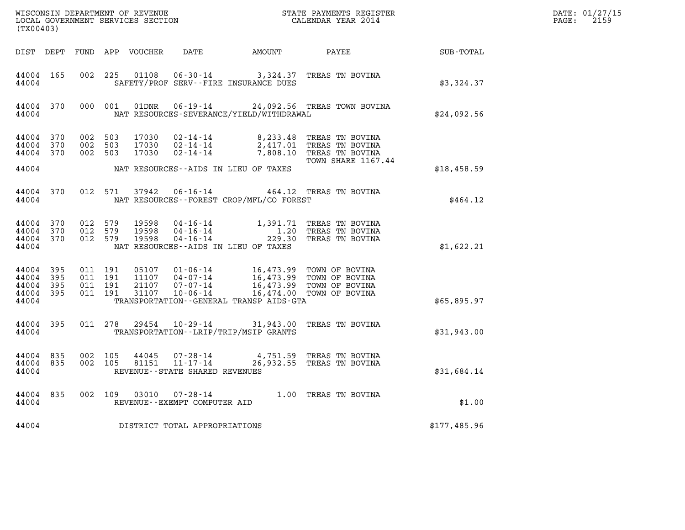| (TX00403)                                         |                    |                    |                                          |                         |                                                  |                                             | ${\tt WISCONSIM\ DEPARTMENT\ OF\ REVENUE}\qquad \qquad {\tt STATE\ PAYMENTS\ REGISTER}\nonumber\\ {\tt LOCAL\ GOVERNMENT\ SERVICES\ SECTION}\qquad \qquad {\tt CALENDAR\ YEAR\ 2014}$ |                                                    | DATE: 01/27/15<br>$\mathtt{PAGE:}$<br>2159 |
|---------------------------------------------------|--------------------|--------------------|------------------------------------------|-------------------------|--------------------------------------------------|---------------------------------------------|---------------------------------------------------------------------------------------------------------------------------------------------------------------------------------------|----------------------------------------------------|--------------------------------------------|
|                                                   |                    |                    |                                          |                         |                                                  |                                             |                                                                                                                                                                                       | DIST DEPT FUND APP VOUCHER DATE AMOUNT PAYEE TOTAL |                                            |
| 44004 165<br>44004                                |                    |                    |                                          |                         |                                                  | SAFETY/PROF SERV--FIRE INSURANCE DUES       | 002 225 01108 06-30-14 3,324.37 TREAS TN BOVINA                                                                                                                                       | \$3,324.37                                         |                                            |
| 44004                                             | 44004 370          |                    | 000 001                                  |                         |                                                  | NAT RESOURCES-SEVERANCE/YIELD/WITHDRAWAL    | 01DNR  06-19-14  24,092.56 TREAS TOWN BOVINA                                                                                                                                          | \$24,092.56                                        |                                            |
| 44004 370<br>44004 370<br>44004 370               |                    |                    | 002 503<br>002 503<br>002 503            |                         |                                                  |                                             | 17030  02-14-14  8,233.48  TREAS TN BOVINA<br>17030  02-14-14  2,417.01  TREAS TN BOVINA<br>17030  02-14-14  7,808.10  TREAS TN BOVINA                                                |                                                    |                                            |
| 44004                                             |                    |                    |                                          |                         |                                                  | NAT RESOURCES--AIDS IN LIEU OF TAXES        | TOWN SHARE 1167.44                                                                                                                                                                    | \$18,458.59                                        |                                            |
|                                                   | 44004 370<br>44004 |                    |                                          |                         |                                                  | NAT RESOURCES - - FOREST CROP/MFL/CO FOREST | 012 571 37942 06-16-14 464.12 TREAS TN BOVINA                                                                                                                                         | \$464.12                                           |                                            |
| 44004 370<br>44004<br>44004 370<br>44004          | 370                | 012 579<br>012 579 | 012 579                                  | 19598<br>19598<br>19598 |                                                  | NAT RESOURCES--AIDS IN LIEU OF TAXES        | 04-16-14 1,391.71 TREAS TN BOVINA<br>04-16-14 1.20 TREAS TN BOVINA<br>04-16-14 229.30 TREAS TN BOVINA                                                                                 | \$1,622.21                                         |                                            |
| 44004 395<br>44004<br>44004 395<br>44004<br>44004 | 395<br>395         |                    | 011 191<br>011 191<br>011 191<br>011 191 |                         | $21107$ $07 - 07 - 14$<br>$21107$ $10 - 06 - 14$ | TRANSPORTATION--GENERAL TRANSP AIDS-GTA     | 05107 01-06-14 16,473.99 TOWN OF BOVINA<br>11107 04-07-14 16,473.99 TOWN OF BOVINA<br>16,473.99 TOWN OF BOVINA<br>16,474.00 TOWN OF BOVINA                                            | \$65,895.97                                        |                                            |
| 44004                                             | 44004 395          |                    |                                          |                         |                                                  | TRANSPORTATION - - LRIP/TRIP/MSIP GRANTS    | 011 278 29454 10-29-14 31,943.00 TREAS TN BOVINA                                                                                                                                      | \$31,943.00                                        |                                            |
| 44004 835<br>44004 835<br>44004                   |                    |                    | 002 105<br>002 105                       | 44045                   | 81151 11-17-14<br>REVENUE--STATE SHARED REVENUES |                                             | 07-28-14 4,751.59 TREAS TN BOVINA<br>26,932.55 TREAS TN BOVINA                                                                                                                        | \$31,684.14                                        |                                            |
| 44004                                             | 44004 835          |                    |                                          |                         | REVENUE--EXEMPT COMPUTER AID                     |                                             | 002 109 03010 07-28-14 1.00 TREAS TN BOVINA                                                                                                                                           | \$1.00                                             |                                            |
| 44004                                             |                    |                    |                                          |                         | DISTRICT TOTAL APPROPRIATIONS                    |                                             |                                                                                                                                                                                       | \$177,485.96                                       |                                            |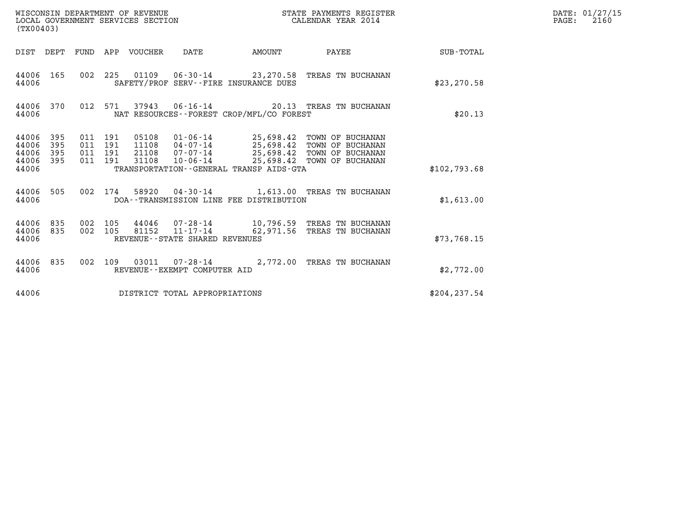| (TX00403)                                 |                          |                                      |                    | WISCONSIN DEPARTMENT OF REVENUE<br>LOCAL GOVERNMENT SERVICES SECTION |                                                  |                                          | STATE PAYMENTS REGISTER<br>CALENDAR YEAR 2014                                                                                 |              | DATE: 01/27/15<br>$\mathtt{PAGE:}$<br>2160 |
|-------------------------------------------|--------------------------|--------------------------------------|--------------------|----------------------------------------------------------------------|--------------------------------------------------|------------------------------------------|-------------------------------------------------------------------------------------------------------------------------------|--------------|--------------------------------------------|
|                                           |                          |                                      |                    | DIST DEPT FUND APP VOUCHER DATE                                      |                                                  | AMOUNT                                   | <b>PAYEE</b>                                                                                                                  | SUB-TOTAL    |                                            |
| 44006                                     | 44006 165                |                                      |                    |                                                                      |                                                  | SAFETY/PROF SERV--FIRE INSURANCE DUES    | 002 225 01109 06-30-14 23,270.58 TREAS TN BUCHANAN                                                                            | \$23, 270.58 |                                            |
| 44006                                     | 44006 370                |                                      |                    |                                                                      |                                                  | NAT RESOURCES--FOREST CROP/MFL/CO FOREST | 012 571 37943 06-16-14 20.13 TREAS TN BUCHANAN                                                                                | \$20.13      |                                            |
| 44006<br>44006<br>44006<br>44006<br>44006 | 395<br>395<br>395<br>395 | 011 191<br>011 191<br>011<br>011 191 | 191                | 05108<br>11108<br>21108<br>31108                                     | 04-07-14<br>07-07-14<br>$10 - 06 - 14$           | TRANSPORTATION--GENERAL TRANSP AIDS-GTA  | 01-06-14 25,698.42 TOWN OF BUCHANAN<br>25,698.42 TOWN OF BUCHANAN<br>25,698.42 TOWN OF BUCHANAN<br>25,698.42 TOWN OF BUCHANAN | \$102,793.68 |                                            |
| 44006                                     | 44006 505                |                                      | 002 174            |                                                                      |                                                  | DOA--TRANSMISSION LINE FEE DISTRIBUTION  | 58920  04-30-14   1,613.00  TREAS TN BUCHANAN                                                                                 | \$1,613.00   |                                            |
| 44006<br>44006                            | 44006 835<br>835         |                                      | 002 105<br>002 105 | 81152                                                                | $11 - 17 - 14$<br>REVENUE--STATE SHARED REVENUES |                                          | 44046 07-28-14 10,796.59 TREAS TN BUCHANAN<br>62,971.56 TREAS TN BUCHANAN                                                     | \$73,768.15  |                                            |
| 44006                                     | 44006 835                |                                      |                    |                                                                      | REVENUE--EXEMPT COMPUTER AID                     |                                          | 002 109 03011 07-28-14 2,772.00 TREAS TN BUCHANAN                                                                             | \$2,772.00   |                                            |
| 44006                                     |                          |                                      |                    |                                                                      | DISTRICT TOTAL APPROPRIATIONS                    |                                          |                                                                                                                               | \$204,237.54 |                                            |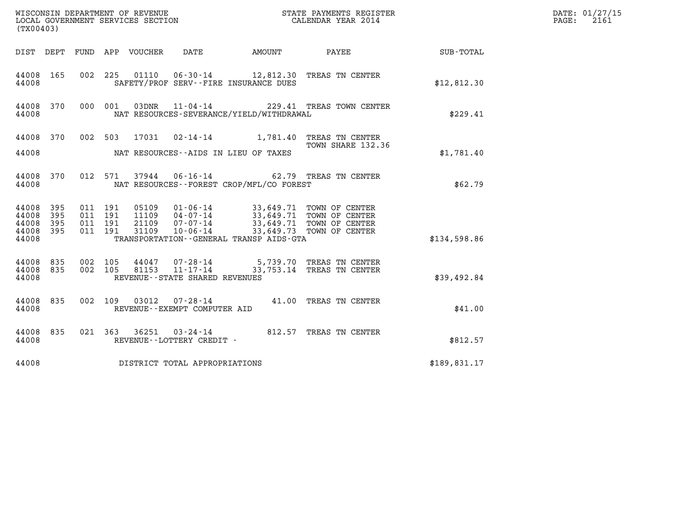| (TX00403)                                 |                          |                                          |         |                            |                                |                                          | DATE: 01/27/15<br>2161<br>$\mathtt{PAGE}$ :                                                                                                                                                                      |              |  |
|-------------------------------------------|--------------------------|------------------------------------------|---------|----------------------------|--------------------------------|------------------------------------------|------------------------------------------------------------------------------------------------------------------------------------------------------------------------------------------------------------------|--------------|--|
|                                           |                          |                                          |         | DIST DEPT FUND APP VOUCHER | DATE                           |                                          | AMOUNT PAYEE                                                                                                                                                                                                     | SUB-TOTAL    |  |
| 44008 165<br>44008                        |                          |                                          |         |                            |                                | SAFETY/PROF SERV--FIRE INSURANCE DUES    | 002 225 01110 06-30-14 12,812.30 TREAS TN CENTER                                                                                                                                                                 | \$12,812.30  |  |
| 44008                                     | 44008 370                |                                          | 000 001 | 03DNR                      |                                | NAT RESOURCES-SEVERANCE/YIELD/WITHDRAWAL | 11-04-14 229.41 TREAS TOWN CENTER                                                                                                                                                                                | \$229.41     |  |
| 44008                                     |                          |                                          |         |                            |                                | NAT RESOURCES--AIDS IN LIEU OF TAXES     | 44008 370 002 503 17031 02-14-14 1,781.40 TREAS TN CENTER<br>TOWN SHARE 132.36                                                                                                                                   | \$1,781.40   |  |
| 44008 370<br>44008                        |                          |                                          | 012 571 |                            |                                | NAT RESOURCES--FOREST CROP/MFL/CO FOREST | 37944  06-16-14  62.79  TREAS TN CENTER                                                                                                                                                                          | \$62.79      |  |
| 44008<br>44008<br>44008<br>44008<br>44008 | 395<br>395<br>395<br>395 | 011 191<br>011 191<br>011 191<br>011 191 |         |                            |                                | TRANSPORTATION--GENERAL TRANSP AIDS-GTA  | 05109  01-06-14  33,649.71  TOWN OF CENTER<br>11109  04-07-14  33,649.71  TOWN OF CENTER<br>21109  07-07-14  33,649.71  TOWN OF CENTER<br>31109  10-06-14  33,649.73  TOWN OF CENTER<br>33,649.73 TOWN OF CENTER | \$134,598.86 |  |
| 44008<br>44008 835<br>44008               | 835                      |                                          |         |                            | REVENUE--STATE SHARED REVENUES |                                          | 002 105 44047 07-28-14 5,739.70 TREAS TN CENTER<br>002 105 81153 11-17-14 33,753.14 TREAS TN CENTER                                                                                                              | \$39,492.84  |  |
| 44008 835<br>44008                        |                          |                                          | 002 109 |                            | REVENUE--EXEMPT COMPUTER AID   |                                          | 03012  07-28-14  41.00 TREAS TN CENTER                                                                                                                                                                           | \$41.00      |  |
| 44008 835<br>44008                        |                          |                                          |         |                            | REVENUE--LOTTERY CREDIT -      |                                          | 021  363  36251  03-24-14  812.57  TREAS TN CENTER                                                                                                                                                               | \$812.57     |  |
| 44008                                     |                          |                                          |         |                            | DISTRICT TOTAL APPROPRIATIONS  |                                          |                                                                                                                                                                                                                  | \$189,831.17 |  |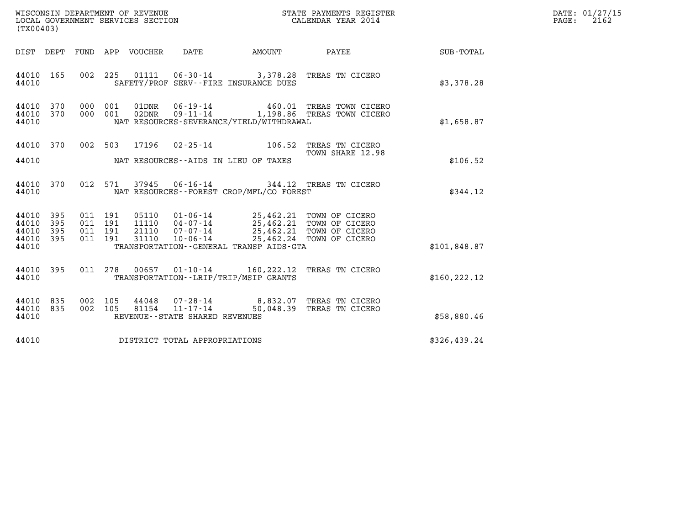| (TX00403)                                                 |     |                                          | LOCAL GOVERNMENT SERVICES SECTION | WISCONSIN DEPARTMENT OF REVENUE<br>LOCAL GOVERNMENT SERVICES SECTION |                                          | STATE PAYMENTS REGISTER<br>CALENDAR YEAR 2014                                                                                                                      |                 | DATE: 01/27/15<br>PAGE: 2162 |
|-----------------------------------------------------------|-----|------------------------------------------|-----------------------------------|----------------------------------------------------------------------|------------------------------------------|--------------------------------------------------------------------------------------------------------------------------------------------------------------------|-----------------|------------------------------|
|                                                           |     |                                          | DIST DEPT FUND APP VOUCHER DATE   |                                                                      | AMOUNT                                   |                                                                                                                                                                    | PAYEE SUB-TOTAL |                              |
| 44010 165<br>44010                                        |     |                                          |                                   |                                                                      | SAFETY/PROF SERV--FIRE INSURANCE DUES    | 002 225 01111 06-30-14 3,378.28 TREAS TN CICERO                                                                                                                    | \$3,378.28      |                              |
| 44010 370<br>44010 370<br>44010                           |     | 000 001<br>000 001                       |                                   |                                                                      | NAT RESOURCES-SEVERANCE/YIELD/WITHDRAWAL | 01DNR  06-19-14  460.01 TREAS TOWN CICERO<br>02DNR  09-11-14  1,198.86 TREAS TOWN CICERO                                                                           | \$1,658.87      |                              |
| 44010 370<br>44010                                        |     |                                          |                                   |                                                                      | NAT RESOURCES--AIDS IN LIEU OF TAXES     | 002 503 17196 02-25-14 106.52 TREAS TN CICERO<br>TOWN SHARE 12.98                                                                                                  | \$106.52        |                              |
| 44010 370<br>44010                                        |     | 012 571                                  | 37945                             |                                                                      | NAT RESOURCES--FOREST CROP/MFL/CO FOREST | 06-16-14 344.12 TREAS TN CICERO                                                                                                                                    | \$344.12        |                              |
| 44010 395<br>44010 395<br>44010 395<br>44010 395<br>44010 |     | 011 191<br>011 191<br>011 191<br>011 191 | 31110                             | $10 - 06 - 14$                                                       | TRANSPORTATION--GENERAL TRANSP AIDS-GTA  | 05110  01-06-14  25,462.21  TOWN OF CICERO<br>11110  04-07-14  25,462.21  TOWN OF CICERO<br>21110  07-07-14  25,462.21  TOWN OF CICERO<br>25,462.24 TOWN OF CICERO | \$101,848.87    |                              |
| 44010 395<br>44010                                        |     | 011 278                                  |                                   |                                                                      | TRANSPORTATION - - LRIP/TRIP/MSIP GRANTS | 00657  01-10-14  160,222.12  TREAS TN CICERO                                                                                                                       | \$160, 222.12   |                              |
| 44010<br>44010 835<br>44010                               | 835 | 002 105<br>002 105                       | 81154                             | REVENUE - - STATE SHARED REVENUES                                    |                                          | 44048  07-28-14  8,832.07  TREAS TN CICERO<br>81154  11-17-14  50,048.39  TREAS TN CICERO                                                                          | \$58,880.46     |                              |
| 44010                                                     |     |                                          |                                   | DISTRICT TOTAL APPROPRIATIONS                                        |                                          |                                                                                                                                                                    | \$326,439.24    |                              |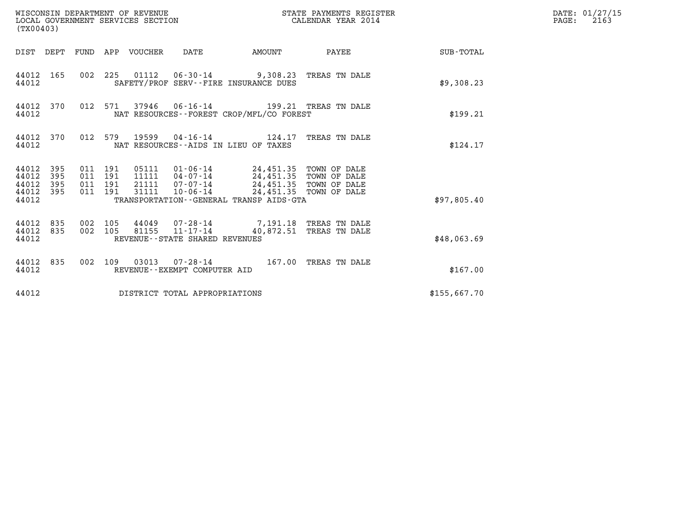| (TX00403)                                                             |                                          | WISCONSIN DEPARTMENT OF REVENUE<br>LOCAL GOVERNMENT SERVICES SECTION |                                                                                                                                                                                         | STATE PAYMENTS REGISTER<br>CALENDAR YEAR 2014 |              | DATE: 01/27/15<br>$\mathtt{PAGE:}$<br>2163 |
|-----------------------------------------------------------------------|------------------------------------------|----------------------------------------------------------------------|-----------------------------------------------------------------------------------------------------------------------------------------------------------------------------------------|-----------------------------------------------|--------------|--------------------------------------------|
|                                                                       |                                          | DIST DEPT FUND APP VOUCHER DATE                                      |                                                                                                                                                                                         | AMOUNT PAYEE                                  | SUB-TOTAL    |                                            |
| 44012 165<br>44012                                                    |                                          |                                                                      | 002 225 01112 06-30-14 9,308.23 TREAS TN DALE<br>SAFETY/PROF SERV--FIRE INSURANCE DUES                                                                                                  |                                               | \$9,308.23   |                                            |
| 44012 370<br>44012                                                    |                                          |                                                                      | 012 571 37946 06-16-14 199.21 TREAS TN DALE<br>NAT RESOURCES--FOREST CROP/MFL/CO FOREST                                                                                                 |                                               | \$199.21     |                                            |
| 44012 370<br>44012                                                    |                                          |                                                                      | 012 579 19599 04-16-14 124.17 TREAS TN DALE<br>NAT RESOURCES--AIDS IN LIEU OF TAXES                                                                                                     |                                               | \$124.17     |                                            |
| 44012<br>395<br>44012<br>395<br>44012<br>395<br>44012<br>395<br>44012 | 011 191<br>011 191<br>011 191<br>011 191 | 31111                                                                | 05111  01-06-14  24,451.35  TOWN OF DALE<br>11111  04-07-14  24,451.35  TOWN OF DALE<br>21111  07-07-14  24,451.35  TOWN OF DALE<br>10-06-14<br>TRANSPORTATION--GENERAL TRANSP AIDS-GTA | 24,451.35 TOWN OF DALE                        | \$97,805.40  |                                            |
| 44012 835<br>835<br>44012<br>44012                                    | 002 105<br>002 105                       |                                                                      | 44049 07-28-14 7,191.18 TREAS TN DALE<br>$81155$ $11 - 17 - 14$<br>REVENUE - - STATE SHARED REVENUES                                                                                    | 40,872.51 TREAS TN DALE                       | \$48,063.69  |                                            |
| 44012 835<br>44012                                                    |                                          |                                                                      | 002 109 03013 07-28-14 167.00 TREAS TN DALE<br>REVENUE - - EXEMPT COMPUTER AID                                                                                                          |                                               | \$167.00     |                                            |
| 44012                                                                 |                                          |                                                                      | DISTRICT TOTAL APPROPRIATIONS                                                                                                                                                           |                                               | \$155,667.70 |                                            |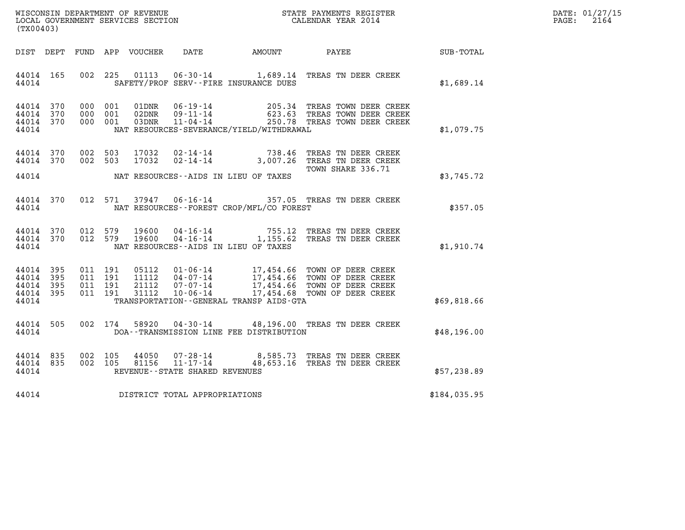| WISCONSIN DEPARTMENT OF REVENUE   | STATE PAYMENTS REGISTER | DATE: 01/27/15 |
|-----------------------------------|-------------------------|----------------|
| LOCAL GOVERNMENT SERVICES SECTION | CALENDAR YEAR 2014      | 2164<br>PAGE:  |

| (TX00403)                                        |  |  |                                     |                                             | WISCONSIN DEPARTMENT OF REVENUE                             STATE PAYMENTS REGISTER LOCAL GOVERNMENT SERVICES SECTION                             CALENDAR YEAR 2014                                                                                                         |              | DATE: 01/27/15<br>$\mathtt{PAGE:}$<br>2164 |
|--------------------------------------------------|--|--|-------------------------------------|---------------------------------------------|------------------------------------------------------------------------------------------------------------------------------------------------------------------------------------------------------------------------------------------------------------------------------|--------------|--------------------------------------------|
|                                                  |  |  |                                     |                                             | DIST DEPT FUND APP VOUCHER DATE AMOUNT PAYEE                                                                                                                                                                                                                                 | SUB-TOTAL    |                                            |
| 44014 165                                        |  |  |                                     | 44014 SAFETY/PROF SERV--FIRE INSURANCE DUES | 002 225 01113 06-30-14 1,689.14 TREAS TN DEER CREEK                                                                                                                                                                                                                          | \$1,689.14   |                                            |
| 44014 370<br>44014 370<br>44014 370<br>44014     |  |  |                                     | NAT RESOURCES-SEVERANCE/YIELD/WITHDRAWAL    | 000 001 01DNR 06-19-14 205.34 TREAS TOWN DEER CREEK<br>000 001 02DNR 09-11-14 623.63 TREAS TOWN DEER CREEK<br>000 001 03DNR 11-04-14 250.78 TREAS TOWN DEER CREEK                                                                                                            | \$1,079.75   |                                            |
| 44014 370<br>44014 370                           |  |  |                                     |                                             | 002 503 17032 02-14-14 738.46 TREAS TN DEER CREEK<br>002 503 17032 02-14-14 3,007.26 TREAS TN DEER CREEK                                                                                                                                                                     |              |                                            |
|                                                  |  |  |                                     | 44014 NAT RESOURCES--AIDS IN LIEU OF TAXES  | TOWN SHARE 336.71                                                                                                                                                                                                                                                            | \$3,745.72   |                                            |
|                                                  |  |  |                                     |                                             | 44014 370 012 571 37947 06-16-14 357.05 TREAS TN DEER CREEK<br>44014 MAT RESOURCES--FOREST CROP/MFL/CO FOREST                                                                                                                                                                | \$357.05     |                                            |
|                                                  |  |  |                                     | 44014 NAT RESOURCES--AIDS IN LIEU OF TAXES  | $\begin{array}{cccc} 44014 & 370 & 012 & 579 & 19600 & 04\cdot 16\cdot 14 & & & 755.12 & \text{TREAS TN DEER CREEK}\\ 44014 & 370 & 012 & 579 & 19600 & 04\cdot 16\cdot 14 & & & 1,155.62 & \text{TREAS TN DEER CREEK} \end{array}$                                          | \$1,910.74   |                                            |
| 44014 395<br>44014 395<br>44014 395<br>44014 395 |  |  |                                     |                                             | 011 191 05112 01-06-14 17,454.66 TOWN OF DEER CREEK<br>011 191 11112 04-07-14 17,454.66 TOWN OF DEER CREEK<br>011 191 21112 07-07-14 17,454.66 TOWN OF DEER CREEK<br>011 191 31112 10-06-14 17,454.68 TOWN OF DEER CREEK<br>44014 TRANSPORTATION - GENERAL TRANSP AIDS - GTA | \$69,818.66  |                                            |
|                                                  |  |  |                                     |                                             | 44014 505 002 174 58920 04-30-14 48,196.00 TREAS TN DEER CREEK<br>44014 DOA--TRANSMISSION LINE FEE DISTRIBUTION                                                                                                                                                              | \$48,196.00  |                                            |
| 44014                                            |  |  | REVENUE--STATE SHARED REVENUES      |                                             | 44014 835 002 105 44050 07-28-14 8,585.73 TREAS TN DEER CREEK<br>44014 835 002 105 81156 11-17-14 48,653.16 TREAS TN DEER CREEK                                                                                                                                              | \$57,238.89  |                                            |
|                                                  |  |  | 44014 DISTRICT TOTAL APPROPRIATIONS |                                             |                                                                                                                                                                                                                                                                              | \$184,035.95 |                                            |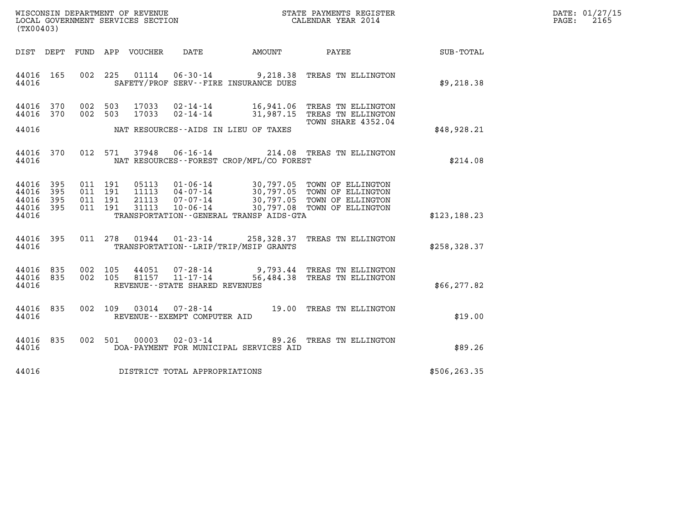| WISCONSIN DEPARTMENT OF REVENUE   | STATE PAYMENTS REGISTER | DATE: 01/27/15 |
|-----------------------------------|-------------------------|----------------|
| LOCAL GOVERNMENT SERVICES SECTION | CALENDAR YEAR 2014      | 2165<br>PAGE:  |

| (TX00403)                                 |                          |                          |                          |                                  |                                                                       |                                                                        |                                                                                                      |               |  |
|-------------------------------------------|--------------------------|--------------------------|--------------------------|----------------------------------|-----------------------------------------------------------------------|------------------------------------------------------------------------|------------------------------------------------------------------------------------------------------|---------------|--|
| DIST                                      | DEPT                     | FUND                     | APP                      | VOUCHER                          | DATE                                                                  | AMOUNT                                                                 | PAYEE                                                                                                | SUB-TOTAL     |  |
| 44016<br>44016                            | 165                      | 002                      | 225                      | 01114                            | $06 - 30 - 14$<br>SAFETY/PROF SERV--FIRE INSURANCE DUES               | 9,218.38                                                               | TREAS TN ELLINGTON                                                                                   | \$9,218.38    |  |
| 44016<br>44016                            | 370<br>370               | 002<br>002               | 503<br>503               | 17033<br>17033                   | $02 - 14 - 14$<br>$02 - 14 - 14$                                      | 16,941.06<br>31,987.15                                                 | TREAS TN ELLINGTON<br>TREAS TN ELLINGTON<br>TOWN SHARE 4352.04                                       |               |  |
| 44016                                     |                          |                          |                          |                                  | NAT RESOURCES -- AIDS IN LIEU OF TAXES                                |                                                                        |                                                                                                      | \$48,928.21   |  |
| 44016<br>44016                            | 370                      | 012                      | 571                      | 37948                            | $06 - 16 - 14$                                                        | 214.08<br>NAT RESOURCES - - FOREST CROP/MFL/CO FOREST                  | TREAS TN ELLINGTON                                                                                   | \$214.08      |  |
| 44016<br>44016<br>44016<br>44016<br>44016 | 395<br>395<br>395<br>395 | 011<br>011<br>011<br>011 | 191<br>191<br>191<br>191 | 05113<br>11113<br>21113<br>31113 | $01 - 06 - 14$<br>$04 - 07 - 14$<br>$07 - 07 - 14$<br>$10 - 06 - 14$  | 30,797.05<br>30,797.08<br>TRANSPORTATION - - GENERAL TRANSP AIDS - GTA | TOWN OF ELLINGTON<br>30,797.05 TOWN OF ELLINGTON<br>30,797.05 TOWN OF ELLINGTON<br>TOWN OF ELLINGTON | \$123, 188.23 |  |
| 44016<br>44016                            | 395                      | 011                      | 278                      | 01944                            | $01 - 23 - 14$<br>TRANSPORTATION - - LRIP/TRIP/MSIP GRANTS            | 258,328.37                                                             | TREAS TN ELLINGTON                                                                                   | \$258, 328.37 |  |
| 44016<br>44016<br>44016                   | 835<br>835               | 002<br>002               | 105<br>105               | 44051<br>81157                   | $07 - 28 - 14$<br>$11 - 17 - 14$<br>REVENUE - - STATE SHARED REVENUES | 9,793.44<br>56,484.38                                                  | TREAS TN ELLINGTON<br>TREAS TN ELLINGTON                                                             | \$66, 277.82  |  |
| 44016<br>44016                            | 835                      | 002                      | 109                      | 03014                            | $07 - 28 - 14$<br>REVENUE--EXEMPT COMPUTER AID                        | 19.00                                                                  | TREAS TN ELLINGTON                                                                                   | \$19.00       |  |
| 44016<br>44016                            | 835                      | 002                      | 501                      | 00003                            | $02 - 03 - 14$                                                        | 89.26<br>DOA-PAYMENT FOR MUNICIPAL SERVICES AID                        | TREAS TN ELLINGTON                                                                                   | \$89.26       |  |
| 44016                                     |                          |                          |                          |                                  | DISTRICT TOTAL APPROPRIATIONS                                         |                                                                        |                                                                                                      | \$506,263.35  |  |
|                                           |                          |                          |                          |                                  |                                                                       |                                                                        |                                                                                                      |               |  |

LOCAL GOVERNMENT SERVICES SECTION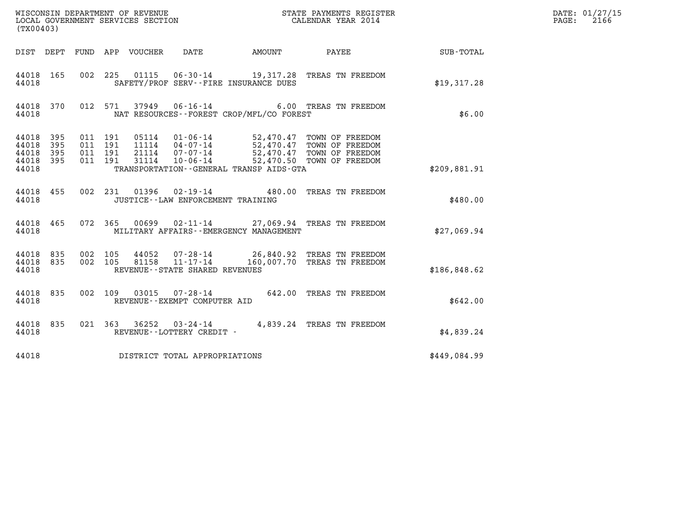| (TX00403)                                     |                     |                                          |                            | WISCONSIN DEPARTMENT OF REVENUE<br>LOCAL GOVERNMENT SERVICES SECTION |                                             | STATE PAYMENTS REGISTER<br>CALENDAR YEAR 2014                                                                                                                                        |                 | DATE: 01/27/15<br>$\mathtt{PAGE:}$<br>2166 |
|-----------------------------------------------|---------------------|------------------------------------------|----------------------------|----------------------------------------------------------------------|---------------------------------------------|--------------------------------------------------------------------------------------------------------------------------------------------------------------------------------------|-----------------|--------------------------------------------|
|                                               |                     |                                          | DIST DEPT FUND APP VOUCHER | DATE                                                                 | AMOUNT                                      |                                                                                                                                                                                      | PAYEE SUB-TOTAL |                                            |
| 44018 165<br>44018                            |                     | 002 225                                  | 01115                      | SAFETY/PROF SERV--FIRE INSURANCE DUES                                |                                             | 06-30-14 19,317.28 TREAS TN FREEDOM                                                                                                                                                  | \$19,317.28     |                                            |
| 44018 370<br>44018                            |                     |                                          | 012 571                    | 37949 06-16-14                                                       | NAT RESOURCES - - FOREST CROP/MFL/CO FOREST | 6.00 TREAS TN FREEDOM                                                                                                                                                                | \$6.00          |                                            |
| 44018 395<br>44018<br>44018<br>44018<br>44018 | 395<br>- 395<br>395 | 011 191<br>011 191<br>011 191<br>011 191 |                            |                                                                      | TRANSPORTATION--GENERAL TRANSP AIDS-GTA     | 05114  01-06-14  52,470.47 TOWN OF FREEDOM<br>11114  04-07-14  52,470.47 TOWN OF FREEDOM<br>21114  07-07-14  52,470.47 TOWN OF FREEDOM<br>31114  10-06-14  52,470.50 TOWN OF FREEDOM | \$209.881.91    |                                            |
| 44018 455<br>44018                            |                     |                                          |                            | JUSTICE -- LAW ENFORCEMENT TRAINING                                  |                                             | 002 231 01396 02-19-14 480.00 TREAS TN FREEDOM                                                                                                                                       | \$480.00        |                                            |
| 44018 465<br>44018                            |                     |                                          |                            |                                                                      | MILITARY AFFAIRS - - EMERGENCY MANAGEMENT   | 072 365 00699 02-11-14 27,069.94 TREAS TN FREEDOM                                                                                                                                    | \$27,069.94     |                                            |
| 44018 835<br>44018 835<br>44018               |                     | 002 105<br>002 105                       | 81158                      | $11 - 17 - 14$<br>REVENUE - - STATE SHARED REVENUES                  |                                             | 44052 07-28-14 26,840.92 TREAS TN FREEDOM<br>160,007.70 TREAS TN FREEDOM                                                                                                             | \$186,848.62    |                                            |
| 44018 835<br>44018                            |                     |                                          | 002 109 03015              | REVENUE--EXEMPT COMPUTER AID                                         |                                             | 07-28-14 642.00 TREAS TN FREEDOM                                                                                                                                                     | \$642.00        |                                            |
| 44018 835<br>44018                            |                     |                                          |                            | REVENUE--LOTTERY CREDIT -                                            |                                             | 021 363 36252 03-24-14 4,839.24 TREAS TN FREEDOM                                                                                                                                     | \$4,839.24      |                                            |
| 44018                                         |                     |                                          |                            | DISTRICT TOTAL APPROPRIATIONS                                        |                                             |                                                                                                                                                                                      | \$449,084.99    |                                            |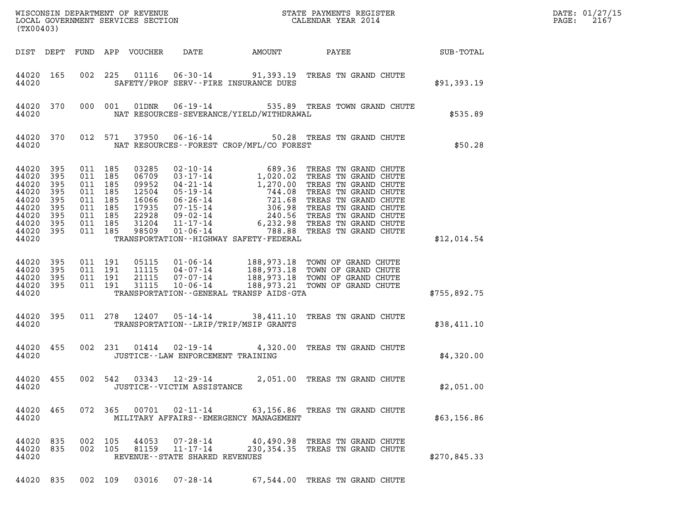| (TX00403)                                                                                      |                                               |                               |                                                                |                            | WISCONSIN DEPARTMENT OF REVENUE<br>LOCAL GOVERNMENT SERVICES SECTION<br>(TWO 402) CALENDAR YEAR 2014 |                                             | DATE: 01/27/15<br>$\mathtt{PAGE:}$<br>2167                                                                                                                                                                                             |              |  |
|------------------------------------------------------------------------------------------------|-----------------------------------------------|-------------------------------|----------------------------------------------------------------|----------------------------|------------------------------------------------------------------------------------------------------|---------------------------------------------|----------------------------------------------------------------------------------------------------------------------------------------------------------------------------------------------------------------------------------------|--------------|--|
|                                                                                                |                                               |                               |                                                                | DIST DEPT FUND APP VOUCHER | DATE                                                                                                 | AMOUNT                                      | PAYEE SUB-TOTAL                                                                                                                                                                                                                        |              |  |
| 44020                                                                                          | 44020 165                                     |                               |                                                                |                            |                                                                                                      | SAFETY/PROF SERV--FIRE INSURANCE DUES       | 002 225 01116 06-30-14 91,393.19 TREAS TN GRAND CHUTE                                                                                                                                                                                  | \$91,393.19  |  |
| 44020                                                                                          | 44020 370                                     |                               | 000 001                                                        |                            |                                                                                                      | NAT RESOURCES-SEVERANCE/YIELD/WITHDRAWAL    | 01DNR  06-19-14  535.89 TREAS TOWN GRAND CHUTE                                                                                                                                                                                         | \$535.89     |  |
| 44020                                                                                          | 44020 370                                     |                               |                                                                |                            |                                                                                                      | NAT RESOURCES - - FOREST CROP/MFL/CO FOREST | 012 571 37950 06-16-14 50.28 TREAS TN GRAND CHUTE                                                                                                                                                                                      | \$50.28      |  |
| 44020<br>44020<br>44020<br>44020<br>44020<br>44020<br>44020<br>44020 395<br>44020 395<br>44020 | 395<br>395<br>395<br>395<br>395<br>395<br>395 | 011 185<br>011 185<br>011 185 | 011 185<br>011 185<br>011 185<br>011 185<br>011 185<br>011 185 |                            |                                                                                                      | TRANSPORTATION - - HIGHWAY SAFETY - FEDERAL | 03285 02-10-14 689.36 TREAS TN GRAND CHUTE<br>06709 03-17-14 1,020.02 TREAS TN GRAND CHUTE<br>09952 04-21-14 1,270.00 TREAS TN GRAND CHUTE<br>12504 05-19-14 744.08 TREAS TN GRAND CHUTE<br>16066 06-26-14 721.68 TREAS TN GRAND CHUTE | \$12,014.54  |  |
| 44020 395<br>44020<br>44020 395<br>44020 395<br>44020                                          | 395                                           |                               | 011 191<br>011 191<br>011 191<br>011 191                       |                            |                                                                                                      | TRANSPORTATION--GENERAL TRANSP AIDS-GTA     | 05115  01-06-14  188,973.18  TOWN OF GRAND CHUTE<br>11115  04-07-14  188,973.18  TOWN OF GRAND CHUTE<br>21115  07-07-14  188,973.18  TOWN OF GRAND CHUTE<br>31115  10-06-14  188,973.21  TOWN OF GRAND CHUTE                           | \$755,892.75 |  |
| 44020                                                                                          | 44020 395                                     |                               | 011 278                                                        |                            |                                                                                                      | TRANSPORTATION--LRIP/TRIP/MSIP GRANTS       | 12407  05-14-14  38,411.10  TREAS TN GRAND CHUTE                                                                                                                                                                                       | \$38,411.10  |  |
| 44020                                                                                          | 44020 455                                     |                               | 002 231                                                        | 01414                      | JUSTICE - - LAW ENFORCEMENT TRAINING                                                                 |                                             | 02-19-14 4,320.00 TREAS TN GRAND CHUTE                                                                                                                                                                                                 | \$4,320.00   |  |
| 44020 455<br>44020                                                                             |                                               |                               | 002 542                                                        |                            | $03343$ $12 - 29 - 14$<br>JUSTICE - - VICTIM ASSISTANCE                                              |                                             | 2,051.00 TREAS TN GRAND CHUTE                                                                                                                                                                                                          | \$2,051.00   |  |
| 44020 465<br>44020                                                                             |                                               |                               |                                                                |                            |                                                                                                      | MILITARY AFFAIRS--EMERGENCY MANAGEMENT      | 072 365 00701 02-11-14 63,156.86 TREAS TN GRAND CHUTE                                                                                                                                                                                  | \$63,156.86  |  |
| 44020 835<br>44020 835<br>44020                                                                |                                               |                               | 002 105<br>002 105                                             | 44053<br>81159             | $07 - 28 - 14$<br>$11 - 17 - 14$<br>REVENUE - - STATE SHARED REVENUES                                |                                             | 40,490.98 TREAS TN GRAND CHUTE<br>230,354.35 TREAS TN GRAND CHUTE                                                                                                                                                                      | \$270,845.33 |  |
| 44020 835                                                                                      |                                               |                               | 002 109                                                        | 03016                      | 07-28-14                                                                                             |                                             | 67,544.00 TREAS TN GRAND CHUTE                                                                                                                                                                                                         |              |  |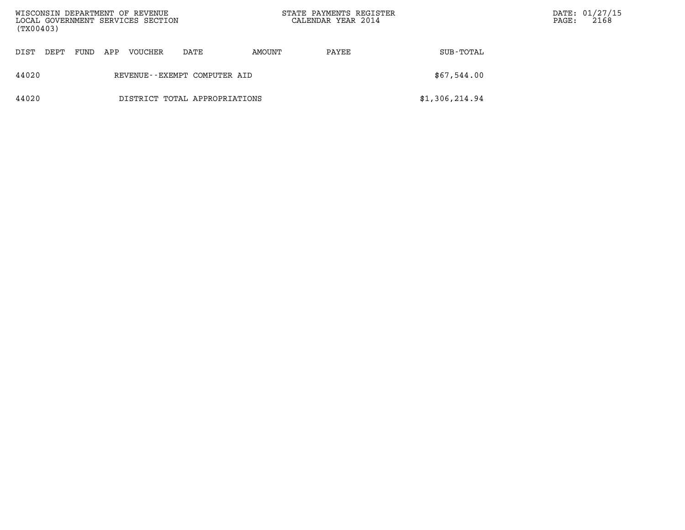| WISCONSIN DEPARTMENT OF REVENUE<br>LOCAL GOVERNMENT SERVICES SECTION<br>(TX00403) |                              |      |     |         |                               |        | STATE PAYMENTS REGISTER<br>CALENDAR YEAR 2014 |                | $\mathtt{PAGE}$ : | DATE: 01/27/15<br>2168 |
|-----------------------------------------------------------------------------------|------------------------------|------|-----|---------|-------------------------------|--------|-----------------------------------------------|----------------|-------------------|------------------------|
| DIST                                                                              | DEPT                         | FUND | APP | VOUCHER | DATE                          | AMOUNT | PAYEE                                         | SUB-TOTAL      |                   |                        |
| 44020                                                                             | REVENUE--EXEMPT COMPUTER AID |      |     |         |                               |        |                                               | \$67,544.00    |                   |                        |
| 44020                                                                             |                              |      |     |         | DISTRICT TOTAL APPROPRIATIONS |        |                                               | \$1,306,214.94 |                   |                        |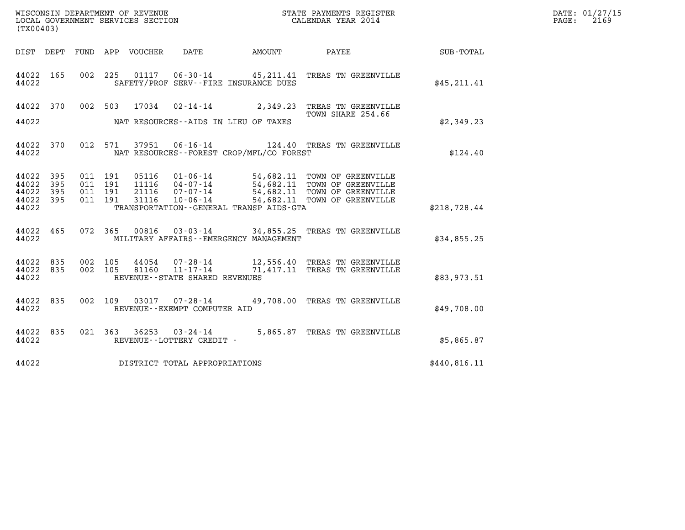| WISCONSIN DEPARTMENT OF REVENUE   | STATE PAYMENTS REGISTER | DATE: 01/27/15 |
|-----------------------------------|-------------------------|----------------|
| LOCAL GOVERNMENT SERVICES SECTION | CALENDAR YEAR 2014      | 2169<br>PAGE:  |

| (TX00403)                        |                          |                          |                          |                                  |                                                                 |                                                                       |                                                                                                                    |                  |
|----------------------------------|--------------------------|--------------------------|--------------------------|----------------------------------|-----------------------------------------------------------------|-----------------------------------------------------------------------|--------------------------------------------------------------------------------------------------------------------|------------------|
| DIST                             | DEPT                     | FUND                     | APP                      | VOUCHER                          | DATE                                                            | AMOUNT                                                                | PAYEE                                                                                                              | <b>SUB-TOTAL</b> |
| 44022<br>44022                   | 165                      | 002                      | 225                      | 01117                            | $06 - 30 - 14$                                                  | SAFETY/PROF SERV--FIRE INSURANCE DUES                                 | 45,211.41 TREAS TN GREENVILLE                                                                                      | \$45,211.41      |
| 44022                            | 370                      | 002                      | 503                      | 17034                            | $02 - 14 - 14$                                                  | 2,349.23                                                              | TREAS TN GREENVILLE<br>TOWN SHARE 254.66                                                                           |                  |
| 44022                            |                          |                          |                          |                                  |                                                                 | NAT RESOURCES--AIDS IN LIEU OF TAXES                                  |                                                                                                                    | \$2,349.23       |
| 44022<br>44022                   | 370                      | 012                      | 571                      | 37951                            | $06 - 16 - 14$                                                  | NAT RESOURCES - - FOREST CROP/MFL/CO FOREST                           | 124.40 TREAS TN GREENVILLE                                                                                         | \$124.40         |
| 44022<br>44022<br>44022<br>44022 | 395<br>395<br>395<br>395 | 011<br>011<br>011<br>011 | 191<br>191<br>191<br>191 | 05116<br>11116<br>21116<br>31116 | 01-06-14<br>$04 - 07 - 14$<br>07-07-14<br>$10 - 06 - 14$        | 54,682.11                                                             | 54,682.11 TOWN OF GREENVILLE<br>54,682.11 TOWN OF GREENVILLE<br>54,682.11 TOWN OF GREENVILLE<br>TOWN OF GREENVILLE |                  |
| 44022                            |                          |                          |                          |                                  |                                                                 | TRANSPORTATION--GENERAL TRANSP AIDS-GTA                               |                                                                                                                    | \$218,728.44     |
| 44022<br>44022                   | 465                      | 072                      | 365                      |                                  |                                                                 | 00816 03-03-14 34,855.25<br>MILITARY AFFAIRS - - EMERGENCY MANAGEMENT | TREAS TN GREENVILLE                                                                                                | \$34,855.25      |
| 44022<br>44022<br>44022          | 835<br>835               | 002<br>002               | 105<br>105               | 44054<br>81160                   | 07-28-14<br>$11 - 17 - 14$<br>REVENUE - - STATE SHARED REVENUES | 71,417.11                                                             | 12,556.40 TREAS TN GREENVILLE<br>TREAS TN GREENVILLE                                                               | \$83,973.51      |
| 44022<br>44022                   | 835                      | 002                      | 109                      | 03017                            | $07 - 28 - 14$<br>REVENUE - - EXEMPT COMPUTER AID               |                                                                       | 49,708.00 TREAS TN GREENVILLE                                                                                      | \$49,708.00      |
| 44022<br>44022                   | 835                      | 021                      | 363                      |                                  | $36253$ $03 - 24 - 14$<br>REVENUE - - LOTTERY CREDIT -          | 5,865.87                                                              | TREAS TN GREENVILLE                                                                                                | \$5,865.87       |
| 44022                            |                          |                          |                          |                                  | DISTRICT TOTAL APPROPRIATIONS                                   |                                                                       |                                                                                                                    | \$440,816.11     |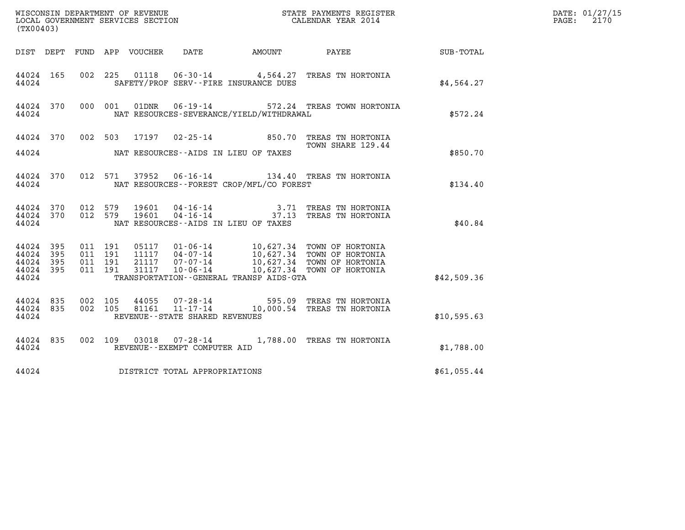| (TX00403)                                         |                   |                               |         |                |                                   |                                              | WISCONSIN DEPARTMENT OF REVENUE<br>LOCAL GOVERNMENT SERVICES SECTION TERM CONFERING CALENDAR YEAR 2014 |                  | DATE: 01/27/15<br>$\mathtt{PAGE:}$<br>2170 |
|---------------------------------------------------|-------------------|-------------------------------|---------|----------------|-----------------------------------|----------------------------------------------|--------------------------------------------------------------------------------------------------------|------------------|--------------------------------------------|
|                                                   |                   |                               |         |                |                                   | DIST DEPT FUND APP VOUCHER DATE AMOUNT PAYEE |                                                                                                        | <b>SUB-TOTAL</b> |                                            |
| 44024                                             | 44024 165         |                               |         |                |                                   | SAFETY/PROF SERV--FIRE INSURANCE DUES        | 002 225 01118 06-30-14 4,564.27 TREAS TN HORTONIA                                                      | \$4,564.27       |                                            |
| 44024                                             | 44024 370         |                               | 000 001 |                |                                   | NAT RESOURCES-SEVERANCE/YIELD/WITHDRAWAL     | 01DNR  06-19-14  572.24 TREAS TOWN HORTONIA                                                            | \$572.24         |                                            |
|                                                   | 44024 370         |                               | 002 503 |                |                                   |                                              | 17197  02-25-14  850.70  TREAS TN HORTONIA<br>TOWN SHARE 129.44                                        |                  |                                            |
| 44024                                             |                   |                               |         |                |                                   | NAT RESOURCES--AIDS IN LIEU OF TAXES         |                                                                                                        | \$850.70         |                                            |
|                                                   | 44024             |                               |         |                |                                   | NAT RESOURCES--FOREST CROP/MFL/CO FOREST     | 44024 370 012 571 37952 06-16-14 134.40 TREAS TN HORTONIA                                              | \$134.40         |                                            |
| 44024 370<br>44024                                | 44024 370 012 579 | 012 579                       |         | 19601<br>19601 |                                   | NAT RESOURCES--AIDS IN LIEU OF TAXES         | 04-16-14 3.71 TREAS TN HORTONIA<br>04-16-14 37.13 TREAS TN HORTONIA                                    | \$40.84          |                                            |
| 44024 395<br>44024<br>44024<br>44024 395<br>44024 | - 395<br>-395     | 011 191<br>011 191<br>011 191 | 011 191 |                |                                   | TRANSPORTATION - - GENERAL TRANSP AIDS - GTA |                                                                                                        | \$42,509.36      |                                            |
| 44024 835<br>44024 835<br>44024                   |                   | 002 105<br>002 105            |         | 44055<br>81161 | REVENUE - - STATE SHARED REVENUES |                                              | 07-28-14 595.09 TREAS TN HORTONIA<br>11-17-14 10,000.54 TREAS TN HORTONIA                              | \$10,595.63      |                                            |
| 44024                                             | 44024 835         |                               |         |                | REVENUE--EXEMPT COMPUTER AID      |                                              | 002 109 03018 07-28-14 1,788.00 TREAS TN HORTONIA                                                      | \$1,788.00       |                                            |
| 44024                                             |                   |                               |         |                | DISTRICT TOTAL APPROPRIATIONS     |                                              |                                                                                                        | \$61,055.44      |                                            |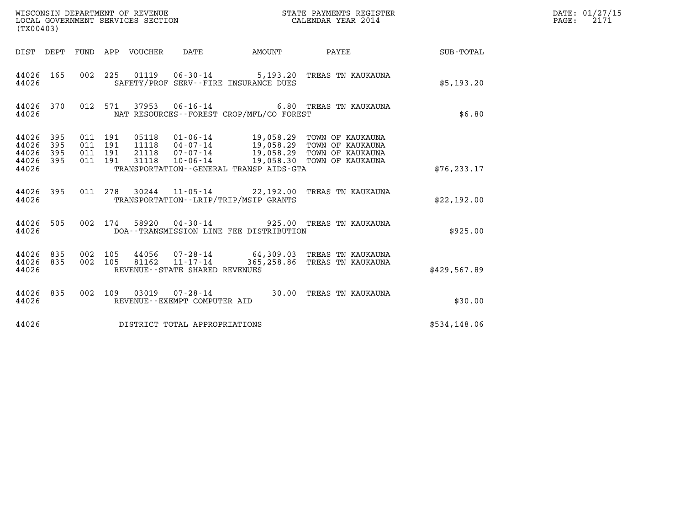| (TX00403)                                        |                     |                                          |         |                                 |                                            | STATE PAYMENTS REGISTER                     |                                                                                                                                                                         |              | DATE: 01/27/15<br>$\mathtt{PAGE:}$<br>2171 |
|--------------------------------------------------|---------------------|------------------------------------------|---------|---------------------------------|--------------------------------------------|---------------------------------------------|-------------------------------------------------------------------------------------------------------------------------------------------------------------------------|--------------|--------------------------------------------|
|                                                  |                     |                                          |         | DIST DEPT FUND APP VOUCHER DATE |                                            | <b>EXAMPLE THE AMOUNT</b>                   | PAYEE                                                                                                                                                                   | SUB-TOTAL    |                                            |
| 44026 165<br>44026                               |                     |                                          |         |                                 |                                            | SAFETY/PROF SERV--FIRE INSURANCE DUES       | 002 225 01119 06-30-14 5,193.20 TREAS TN KAUKAUNA                                                                                                                       | \$5,193.20   |                                            |
| 44026 370<br>44026                               |                     |                                          | 012 571 |                                 | 37953 06-16-14                             | NAT RESOURCES - - FOREST CROP/MFL/CO FOREST | 6.80 TREAS TN KAUKAUNA                                                                                                                                                  | \$6.80       |                                            |
| 44026<br>44026<br>44026<br>44026<br>395<br>44026 | - 395<br>395<br>395 | 011 191<br>011 191<br>011 191<br>011 191 |         | 31118                           | $10 - 06 - 14$                             | TRANSPORTATION--GENERAL TRANSP AIDS-GTA     | 05118  01-06-14  19,058.29 TOWN OF KAUKAUNA<br>11118  04-07-14  19,058.29 TOWN OF KAUKAUNA<br>21118  07-07-14  19,058.29 TOWN OF KAUKAUNA<br>19,058.30 TOWN OF KAUKAUNA | \$76, 233.17 |                                            |
| 44026 395<br>44026                               |                     |                                          |         |                                 |                                            | TRANSPORTATION - - LRIP/TRIP/MSIP GRANTS    | 011 278 30244 11-05-14 22,192.00 TREAS TN KAUKAUNA                                                                                                                      | \$22,192.00  |                                            |
| 44026 505<br>44026                               |                     |                                          | 002 174 |                                 |                                            | DOA--TRANSMISSION LINE FEE DISTRIBUTION     | 58920  04-30-14  925.00 TREAS TN KAUKAUNA                                                                                                                               | \$925.00     |                                            |
| 44026 835<br>44026<br>44026                      | 835                 | 002 105<br>002 105                       |         | 81162                           | 11-17-14<br>REVENUE--STATE SHARED REVENUES |                                             | 44056 07-28-14 64,309.03 TREAS TN KAUKAUNA<br>365,258.86 TREAS TN KAUKAUNA                                                                                              | \$429,567.89 |                                            |
| 44026 835<br>44026                               |                     |                                          |         |                                 | REVENUE--EXEMPT COMPUTER AID               |                                             | 002 109 03019 07-28-14 30.00 TREAS TN KAUKAUNA                                                                                                                          | \$30.00      |                                            |
| 44026                                            |                     |                                          |         |                                 | DISTRICT TOTAL APPROPRIATIONS              |                                             |                                                                                                                                                                         | \$534,148.06 |                                            |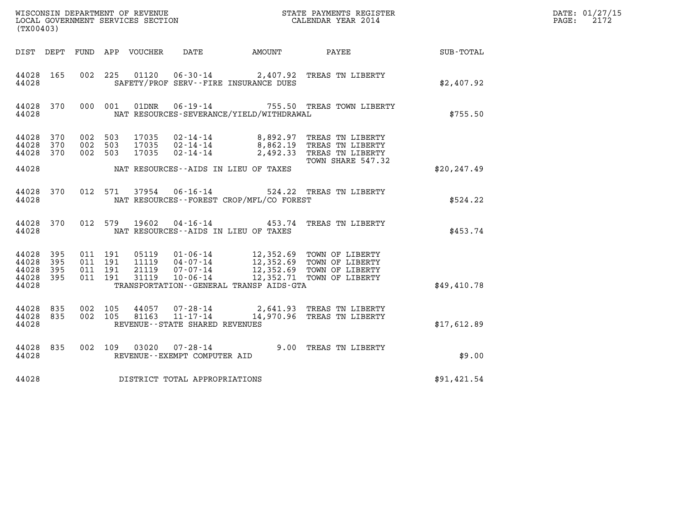| WISCONSIN DEPARTMENT OF REVENUE<br>LOCAL GOVERNMENT SERVICES SECTION<br>CALENDAR YEAR 2014<br>(TX00403) |                          |                                          |         |                                  |                                                     |                                              |                                                                                                                                                      | DATE: 01/27/15<br>$\mathtt{PAGE:}$<br>2172 |  |
|---------------------------------------------------------------------------------------------------------|--------------------------|------------------------------------------|---------|----------------------------------|-----------------------------------------------------|----------------------------------------------|------------------------------------------------------------------------------------------------------------------------------------------------------|--------------------------------------------|--|
|                                                                                                         |                          |                                          |         |                                  |                                                     | DIST DEPT FUND APP VOUCHER DATE AMOUNT PAYEE |                                                                                                                                                      | SUB-TOTAL                                  |  |
| 44028 165<br>44028                                                                                      |                          | 002 225                                  |         |                                  |                                                     | SAFETY/PROF SERV--FIRE INSURANCE DUES        | 01120  06-30-14  2,407.92  TREAS TN LIBERTY                                                                                                          | \$2,407.92                                 |  |
| 44028 370<br>44028                                                                                      |                          |                                          | 000 001 |                                  |                                                     | NAT RESOURCES-SEVERANCE/YIELD/WITHDRAWAL     | 01DNR  06-19-14  755.50 TREAS TOWN LIBERTY                                                                                                           | \$755.50                                   |  |
| 44028<br>44028<br>44028                                                                                 | 370<br>370<br>370        | 002 503<br>002 503<br>002 503            |         | 17035<br>17035                   |                                                     |                                              | 17035 02-14-14 8,892.97 TREAS TN LIBERTY<br>02-14-14 8,862.19 TREAS TN LIBERTY<br>02-14-14 2,492.33 TREAS TN LIBERTY                                 |                                            |  |
| 44028                                                                                                   |                          |                                          |         |                                  |                                                     | NAT RESOURCES--AIDS IN LIEU OF TAXES         | TOWN SHARE 547.32                                                                                                                                    | \$20.247.49                                |  |
| 44028 370<br>44028                                                                                      |                          |                                          |         |                                  |                                                     | NAT RESOURCES - - FOREST CROP/MFL/CO FOREST  | 012 571 37954 06-16-14 524.22 TREAS TN LIBERTY                                                                                                       | \$524.22                                   |  |
| 44028 370<br>44028                                                                                      |                          |                                          |         |                                  |                                                     | NAT RESOURCES--AIDS IN LIEU OF TAXES         | 012 579 19602 04-16-14 453.74 TREAS TN LIBERTY                                                                                                       | \$453.74                                   |  |
| 44028<br>44028<br>44028<br>44028<br>44028                                                               | 395<br>395<br>395<br>395 | 011 191<br>011 191<br>011 191<br>011 191 |         | 05119<br>11119<br>21119<br>31119 |                                                     | TRANSPORTATION--GENERAL TRANSP AIDS-GTA      | 01-06-14 12,352.69 TOWN OF LIBERTY<br>04-07-14 12,352.69 TOWN OF LIBERTY<br>07-07-14 12,352.69 TOWN OF LIBERTY<br>10-06-14 12,352.71 TOWN OF LIBERTY | \$49,410.78                                |  |
| 44028<br>44028<br>44028                                                                                 | 835<br>835               | 002 105<br>002 105                       |         | 81163                            | $11 - 17 - 14$<br>REVENUE - - STATE SHARED REVENUES |                                              | 44057 07-28-14 2,641.93 TREAS TN LIBERTY<br>14,970.96 TREAS TN LIBERTY                                                                               | \$17,612.89                                |  |
| 44028 835<br>44028                                                                                      |                          |                                          |         |                                  | REVENUE--EXEMPT COMPUTER AID                        |                                              | 002 109 03020 07-28-14 9.00 TREAS TN LIBERTY                                                                                                         | \$9.00                                     |  |
| 44028                                                                                                   |                          |                                          |         |                                  | DISTRICT TOTAL APPROPRIATIONS                       |                                              |                                                                                                                                                      | \$91,421.54                                |  |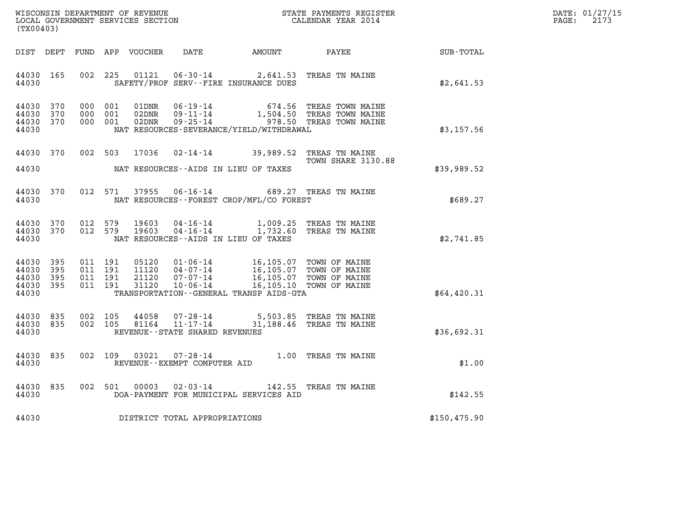| DATE: | 01/27/15 |
|-------|----------|
| PAGE: | 2173     |

| (TX00403)                                                       | WISCONSIN DEPARTMENT OF REVENUE<br>LOCAL GOVERNMENT SERVICES SECTION<br>CALENDAR YEAR 2014                                                                                                                                                                                   |                                                                       |              | DATE: 01/27/15<br>$\mathtt{PAGE:}$<br>2173 |
|-----------------------------------------------------------------|------------------------------------------------------------------------------------------------------------------------------------------------------------------------------------------------------------------------------------------------------------------------------|-----------------------------------------------------------------------|--------------|--------------------------------------------|
|                                                                 | DIST DEPT FUND APP VOUCHER DATE AMOUNT PAYEE PAYEE SUB-TOTAL                                                                                                                                                                                                                 |                                                                       |              |                                            |
| 44030 165<br>44030                                              | 01121  06-30-14  2,641.53  TREAS TN MAINE<br>002 225<br>SAFETY/PROF SERV--FIRE INSURANCE DUES                                                                                                                                                                                |                                                                       | \$2,641.53   |                                            |
| 44030<br>370<br>44030<br>370<br>44030 370<br>44030              | 000 001<br>01DNR 06-19-14 674.56 TREAS TOWN MAINE<br>02DNR 09-11-14 1,504.50 TREAS TOWN MAINE<br>02DNR 09-25-14 978.50 TREAS TOWN MAINE<br>000 001<br>000 001<br>NAT RESOURCES-SEVERANCE/YIELD/WITHDRAWAL                                                                    |                                                                       | \$3,157.56   |                                            |
| 44030 370<br>44030                                              | 002 503 17036<br>NAT RESOURCES--AIDS IN LIEU OF TAXES                                                                                                                                                                                                                        | 02-14-14 39,989.52 TREAS TN MAINE<br>TOWN SHARE 3130.88               | \$39,989.52  |                                            |
| 44030 370<br>44030                                              | 37955 06-16-14 689.27 TREAS TN MAINE<br>012 571<br>NAT RESOURCES--FOREST CROP/MFL/CO FOREST                                                                                                                                                                                  |                                                                       | \$689.27     |                                            |
| 44030 370<br>44030 370<br>44030                                 | 012 579<br>19603<br>012 579<br>19603<br>NAT RESOURCES--AIDS IN LIEU OF TAXES                                                                                                                                                                                                 | 04-16-14 1,009.25 TREAS TN MAINE<br>04-16-14 1,732.60 TREAS TN MAINE  | \$2,741.85   |                                            |
| 44030<br>395<br>44030<br>395<br>44030 395<br>44030 395<br>44030 | 05120  01-06-14  16,105.07  TOWN OF MAINE<br>11120  04-07-14  16,105.07  TOWN OF MAINE<br>21120  07-07-14  16,105.07  TOWN OF MAINE<br>31120  10-06-14  16,105.10  TOWN OF MAINE<br>011 191<br>011 191<br>011 191<br>011 191<br>TRANSPORTATION - - GENERAL TRANSP AIDS - GTA |                                                                       | \$64,420.31  |                                            |
| 44030 835<br>44030 835<br>44030                                 | 002 105<br>44058<br>002 105<br>81164<br>REVENUE - - STATE SHARED REVENUES                                                                                                                                                                                                    | 07-28-14 5,503.85 TREAS TN MAINE<br>11-17-14 31,188.46 TREAS TN MAINE | \$36,692.31  |                                            |
| 44030<br>835<br>44030                                           | 002 109<br>03021<br>REVENUE--EXEMPT COMPUTER AID                                                                                                                                                                                                                             | 07-28-14 1.00 TREAS TN MAINE                                          | \$1.00       |                                            |
| 44030<br>835<br>44030                                           | 002 501 00003<br>DOA-PAYMENT FOR MUNICIPAL SERVICES AID                                                                                                                                                                                                                      | 02-03-14 142.55 TREAS TN MAINE                                        | \$142.55     |                                            |
|                                                                 | 44030 DISTRICT TOTAL APPROPRIATIONS                                                                                                                                                                                                                                          |                                                                       | \$150,475.90 |                                            |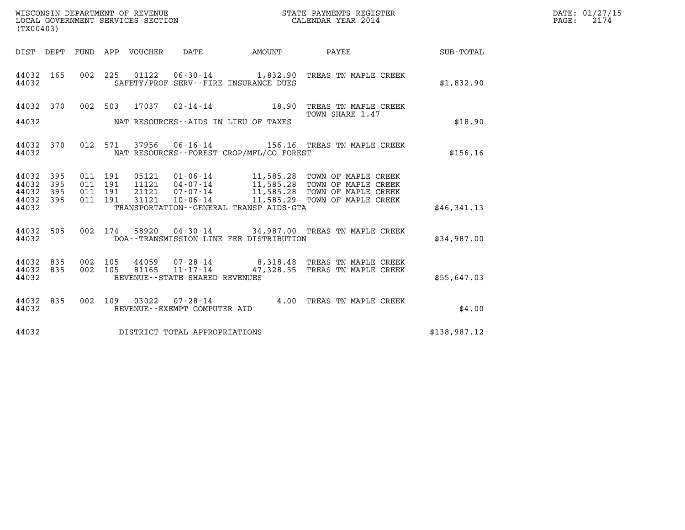| (TX00403)                       | WISCONSIN DEPARTMENT OF REVENUE<br>LOCAL GOVERNMENT SERVICES SECTION<br>CALENDAR YEAR 2014                                                                                                                                   |                 | $\mathbb{R}^n$ | DATE: 01/27/15<br>PAGE: 2174 |
|---------------------------------|------------------------------------------------------------------------------------------------------------------------------------------------------------------------------------------------------------------------------|-----------------|----------------|------------------------------|
|                                 | DIST DEPT FUND APP VOUCHER DATE AMOUNT PAYEE TOTAL                                                                                                                                                                           |                 |                |                              |
| 44032 165<br>44032              | 002 225 01122 06-30-14 1,832.90 TREAS TN MAPLE CREEK<br>SAFETY/PROF SERV--FIRE INSURANCE DUES                                                                                                                                |                 | \$1,832.90     |                              |
|                                 | 44032 370 002 503 17037 02-14-14 18.90 TREAS TN MAPLE CREEK<br>TOWN SHARE 1.47                                                                                                                                               | TOWN SHARE 1.47 |                |                              |
|                                 | 44032 NAT RESOURCES--AIDS IN LIEU OF TAXES                                                                                                                                                                                   |                 | \$18.90        |                              |
| 44032 370<br>44032              | 012 571 37956 06-16-14 156.16 TREAS TN MAPLE CREEK<br>NAT RESOURCES--FOREST CROP/MFL/CO FOREST                                                                                                                               |                 | \$156.16       |                              |
| 44032 395<br>44032 395          | 011 191 05121 01-06-14 11,585.28 TOWN OF MAPLE CREEK<br>011 191 11121 04-07-14 11,585.28 TOWN OF MAPLE CREEK<br>011 191 31121 07-07-14 11,585.28 TOWN OF MAPLE CREEK<br>011 191 31121 10-06-14 11,585.29 TOWN OF MAPLE CREEK |                 |                |                              |
| 44032 395<br>44032 395<br>44032 | TRANSPORTATION - - GENERAL TRANSP AIDS - GTA                                                                                                                                                                                 |                 | \$46,341.13    |                              |
| 44032                           | 44032 505 002 174 58920 04-30-14 34,987.00 TREAS TN MAPLE CREEK<br>DOA--TRANSMISSION LINE FEE DISTRIBUTION                                                                                                                   |                 | \$34,987.00    |                              |
| 44032 835<br>44032 835<br>44032 | 002 105 44059 07-28-14 8,318.48 TREAS TN MAPLE CREEK<br>002 105 81165 11-17-14 47,328.55 TREAS TN MAPLE CREEK<br>REVENUE--STATE SHARED REVENUES                                                                              |                 | \$55,647.03    |                              |
| 44032                           | 44032 835 002 109 03022 07-28-14 4.00 TREAS TN MAPLE CREEK<br>REVENUE--EXEMPT COMPUTER AID                                                                                                                                   |                 | \$4.00         |                              |
|                                 | 44032 DISTRICT TOTAL APPROPRIATIONS                                                                                                                                                                                          |                 | \$138,987.12   |                              |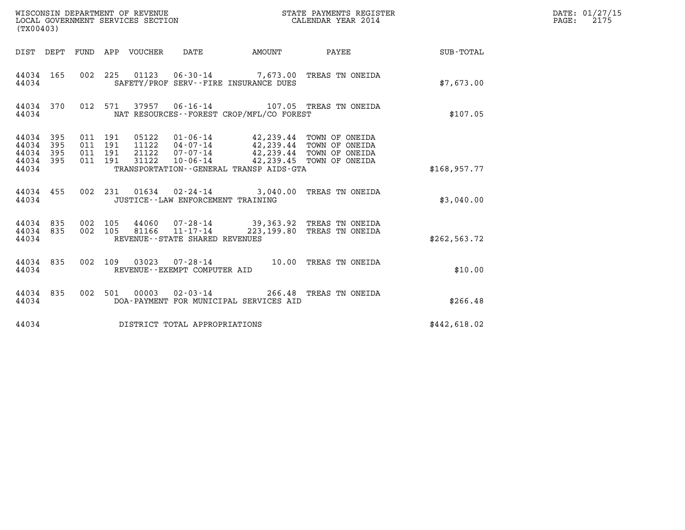| (TX00403)                                                                                             |                                                                                                                                                                                                                                 |              |               | DATE: 01/27/15<br>$\mathtt{PAGE:}$<br>2175 |
|-------------------------------------------------------------------------------------------------------|---------------------------------------------------------------------------------------------------------------------------------------------------------------------------------------------------------------------------------|--------------|---------------|--------------------------------------------|
| DIST DEPT FUND APP VOUCHER DATE                                                                       |                                                                                                                                                                                                                                 | AMOUNT PAYEE | SUB-TOTAL     |                                            |
| 44034 165<br>44034                                                                                    | 002 225 01123 06-30-14 7,673.00 TREAS TN ONEIDA<br>SAFETY/PROF SERV--FIRE INSURANCE DUES                                                                                                                                        |              | \$7,673.00    |                                            |
| 44034 370<br>44034                                                                                    | 012 571 37957 06-16-14 107.05 TREAS TN ONEIDA<br>NAT RESOURCES--FOREST CROP/MFL/CO FOREST                                                                                                                                       |              | \$107.05      |                                            |
| 011 191<br>44034 395<br>44034 395<br>011 191<br>44034 395<br>011 191<br>011 191<br>44034 395<br>44034 | 05122  01-06-14  42,239.44  TOWN OF ONEIDA<br>11122  04-07-14  42,239.44  TOWN OF ONEIDA<br>21122  07-07-14  42,239.44  TOWN OF ONEIDA<br>10-06-14 42,239.45 TOWN OF ONEIDA<br>31122<br>TRANSPORTATION--GENERAL TRANSP AIDS-GTA |              | \$168, 957.77 |                                            |
| 44034 455<br>44034                                                                                    | 002 231 01634 02-24-14 3,040.00 TREAS TN ONEIDA<br>JUSTICE - - LAW ENFORCEMENT TRAINING                                                                                                                                         |              | \$3,040.00    |                                            |
| 44034 835 002 105<br>44034 835<br>002 105<br>44034                                                    | 44060   07-28-14   39,363.92 TREAS TN ONEIDA<br>81166   11-17-14   223,199.80 TREAS TN ONEIDA<br>REVENUE - - STATE SHARED REVENUES                                                                                              |              | \$262, 563.72 |                                            |
| 44034 835<br>002 109<br>44034                                                                         | 03023  07-28-14  10.00 TREAS TN ONEIDA<br>REVENUE--EXEMPT COMPUTER AID                                                                                                                                                          |              | \$10.00       |                                            |
| 44034 835<br>44034                                                                                    | 002 501 00003 02-03-14 266.48 TREAS TN ONEIDA<br>DOA-PAYMENT FOR MUNICIPAL SERVICES AID                                                                                                                                         |              | \$266.48      |                                            |
| 44034                                                                                                 | DISTRICT TOTAL APPROPRIATIONS                                                                                                                                                                                                   |              | \$442,618.02  |                                            |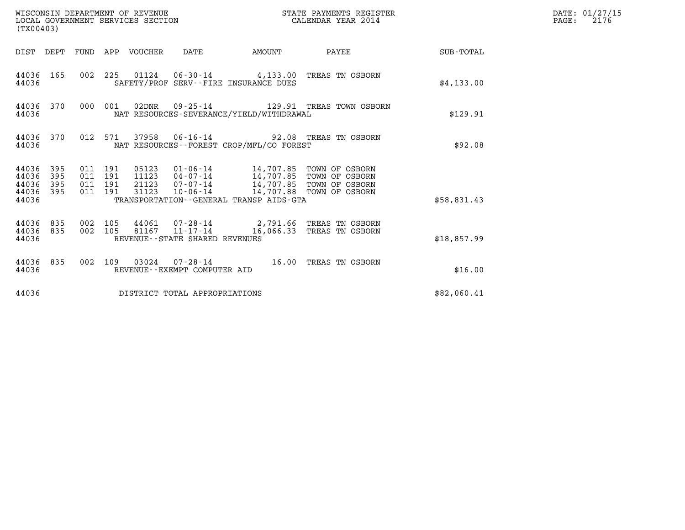| (TX00403)                                 |                          |                                          |         |       | WISCONSIN DEPARTMENT OF REVENUE<br>LOCAL GOVERNMENT SERVICES SECTION |                                          | STATE PAYMENTS REGISTER<br>CALENDAR YEAR 2014                                                                                                                               |             | DATE: 01/27/15<br>$\mathtt{PAGE:}$<br>2176 |
|-------------------------------------------|--------------------------|------------------------------------------|---------|-------|----------------------------------------------------------------------|------------------------------------------|-----------------------------------------------------------------------------------------------------------------------------------------------------------------------------|-------------|--------------------------------------------|
|                                           |                          |                                          |         |       |                                                                      |                                          | DIST DEPT FUND APP VOUCHER DATE AMOUNT PAYEE TOTAL                                                                                                                          |             |                                            |
| 44036 165<br>44036                        |                          |                                          |         |       |                                                                      | SAFETY/PROF SERV--FIRE INSURANCE DUES    | 002 225 01124 06-30-14 4,133.00 TREAS TN OSBORN                                                                                                                             | \$4,133.00  |                                            |
| 44036 370<br>44036                        |                          |                                          | 000 001 |       |                                                                      | NAT RESOURCES-SEVERANCE/YIELD/WITHDRAWAL |                                                                                                                                                                             | \$129.91    |                                            |
| 44036 370<br>44036                        |                          |                                          |         |       |                                                                      | NAT RESOURCES--FOREST CROP/MFL/CO FOREST | 012 571 37958 06-16-14 92.08 TREAS TN OSBORN                                                                                                                                | \$92.08     |                                            |
| 44036<br>44036<br>44036<br>44036<br>44036 | 395<br>395<br>395<br>395 | 011 191<br>011 191<br>011 191<br>011 191 |         | 31123 |                                                                      | TRANSPORTATION--GENERAL TRANSP AIDS-GTA  | 05123  01-06-14  14,707.85  TOWN OF OSBORN<br>11123  04-07-14  14,707.85  TOWN OF OSBORN<br>21123  07-07-14  14,707.85  TOWN OF OSBORN<br>10-06-14 14,707.88 TOWN OF OSBORN | \$58,831.43 |                                            |
| 44036 835<br>44036 835<br>44036           |                          | 002 105<br>002 105                       |         |       | REVENUE - - STATE SHARED REVENUES                                    |                                          | 44061  07-28-14  2,791.66 TREAS TN OSBORN<br>81167  11-17-14  16,066.33 TREAS TN OSBORN                                                                                     | \$18,857.99 |                                            |
| 44036 835<br>44036                        |                          |                                          |         |       | REVENUE--EXEMPT COMPUTER AID                                         |                                          | 002 109 03024 07-28-14 16.00 TREAS TN OSBORN                                                                                                                                | \$16.00     |                                            |
| 44036                                     |                          |                                          |         |       | DISTRICT TOTAL APPROPRIATIONS                                        |                                          |                                                                                                                                                                             | \$82,060.41 |                                            |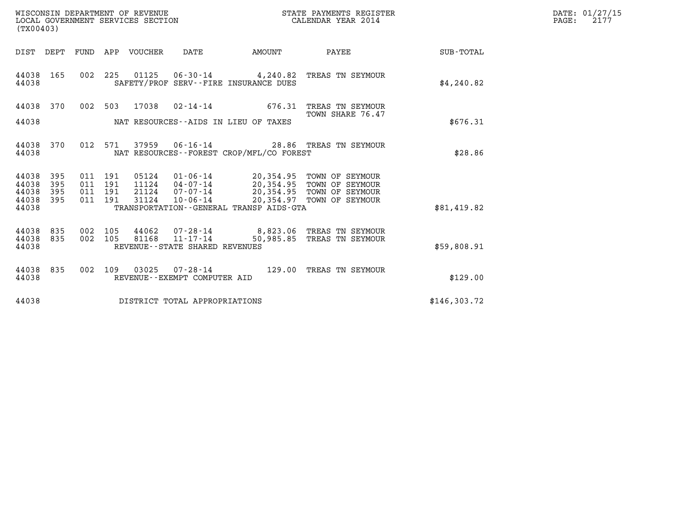| WISCONSIN DEPARTMENT OF REVENUE   | STATE PAYMENTS REGISTER | DATE: 01/27/15 |
|-----------------------------------|-------------------------|----------------|
| LOCAL GOVERNMENT SERVICES SECTION | CALENDAR YEAR 2014      | 2177<br>PAGE:  |

| WISCONSIN DEPARTMENT OF REVENUE<br>LOCAL GOVERNMENT SERVICES SECTION<br>(TX00403) | STATE PAYMENTS REGISTER<br>CALENDAR YEAR 2014                                                                              |           |                                                        |                  |
|-----------------------------------------------------------------------------------|----------------------------------------------------------------------------------------------------------------------------|-----------|--------------------------------------------------------|------------------|
| DIST<br>DEPT<br>FUND                                                              | APP<br>VOUCHER<br>DATE<br>AMOUNT                                                                                           |           | PAYEE                                                  | <b>SUB-TOTAL</b> |
| 165<br>002<br>44038<br>44038                                                      | 225<br>01125  06-30-14  4,240.82  TREAS TN SEYMOUR<br>SAFETY/PROF SERV--FIRE INSURANCE DUES                                |           |                                                        | \$4,240.82       |
| 44038<br>370<br>002                                                               | $02 - 14 - 14$<br>503<br>17038                                                                                             | 676.31    | TREAS TN SEYMOUR<br>TOWN SHARE 76.47                   |                  |
| 44038                                                                             | NAT RESOURCES--AIDS IN LIEU OF TAXES                                                                                       |           |                                                        | \$676.31         |
| 370<br>012<br>44038<br>44038                                                      | 571<br>37959  06-16-14  28.86  TREAS TN SEYMOUR<br>NAT RESOURCES - - FOREST CROP/MFL/CO FOREST                             |           |                                                        | \$28.86          |
| 44038<br>395<br>011<br>395<br>011<br>44038                                        | 191<br>05124<br>$01 - 06 - 14$<br>191<br>11124                                                                             |           | 20,354.95 TOWN OF SEYMOUR                              |                  |
| 44038<br>395<br>011<br>44038<br>395<br>011                                        | 04-07-14 20,354.95 TOWN OF SEYMOUR<br>07-07-14 20,354.95 TOWN OF SEYMOUR<br>191<br>21124<br>31124<br>$10 - 06 - 14$<br>191 | 20,354.97 | TOWN OF SEYMOUR                                        |                  |
| 44038                                                                             | TRANSPORTATION--GENERAL TRANSP AIDS-GTA                                                                                    |           |                                                        | \$81,419.82      |
| 835<br>002<br>44038<br>002<br>44038<br>835                                        | 105<br>44062<br>$11 - 17 - 14$<br>105<br>81168                                                                             | 50,985.85 | 07-28-14 8,823.06 TREAS TN SEYMOUR<br>TREAS TN SEYMOUR |                  |
| 44038                                                                             | REVENUE - - STATE SHARED REVENUES                                                                                          |           |                                                        | \$59,808.91      |
| 835<br>002<br>44038<br>44038                                                      | 03025<br>109<br>$07 - 28 - 14$<br>REVENUE - - EXEMPT COMPUTER AID                                                          | 129.00    | TREAS TN SEYMOUR                                       | \$129.00         |
| 44038                                                                             | DISTRICT TOTAL APPROPRIATIONS                                                                                              |           |                                                        | \$146,303.72     |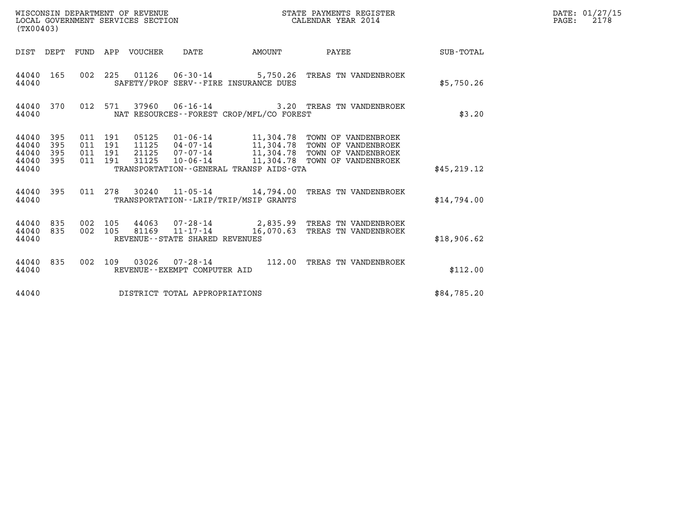| WISCONSIN DEPARTMENT OF REVENUE<br>LOCAL GOVERNMENT SERVICES SECTION<br>(TX00403) |                          |                               |         |                                  |                                |                                              | STATE PAYMENTS REGISTER<br>CALENDAR YEAR 2014                                                                                                                        |              | DATE: 01/27/15<br>2178<br>$\mathtt{PAGE:}$ |
|-----------------------------------------------------------------------------------|--------------------------|-------------------------------|---------|----------------------------------|--------------------------------|----------------------------------------------|----------------------------------------------------------------------------------------------------------------------------------------------------------------------|--------------|--------------------------------------------|
|                                                                                   |                          |                               |         | DIST DEPT FUND APP VOUCHER DATE  |                                | AMOUNT                                       | <b>PAYEE</b>                                                                                                                                                         | SUB - TOTAL  |                                            |
| 44040<br>44040                                                                    | 165                      |                               |         |                                  |                                | SAFETY/PROF SERV--FIRE INSURANCE DUES        | 002 225 01126 06-30-14 5,750.26 TREAS TN VANDENBROEK                                                                                                                 | \$5,750.26   |                                            |
| 44040 370<br>44040                                                                |                          |                               |         |                                  |                                | NAT RESOURCES--FOREST CROP/MFL/CO FOREST     | 012 571 37960 06-16-14 3.20 TREAS TN VANDENBROEK                                                                                                                     | \$3.20       |                                            |
| 44040<br>44040<br>44040<br>44040<br>44040                                         | 395<br>395<br>395<br>395 | 011 191<br>011 191<br>011 191 | 011 191 | 05125<br>11125<br>21125<br>31125 |                                | TRANSPORTATION - - GENERAL TRANSP AIDS - GTA | 01-06-14 11,304.78 TOWN OF VANDENBROEK<br>04-07-14 11,304.78 TOWN OF VANDENBROEK<br>07-07-14 11,304.78 TOWN OF VANDENBROEK<br>10-06-14 11,304.78 TOWN OF VANDENBROEK | \$45, 219.12 |                                            |
| 44040 395<br>44040                                                                |                          |                               | 011 278 |                                  |                                | TRANSPORTATION - - LRIP/TRIP/MSIP GRANTS     | 30240  11-05-14  14,794.00 TREAS TN VANDENBROEK                                                                                                                      | \$14,794.00  |                                            |
| 44040<br>44040<br>44040                                                           | 835<br>835               | 002 105                       | 002 105 |                                  | REVENUE--STATE SHARED REVENUES |                                              | 44063 07-28-14 2,835.99 TREAS TN VANDENBROEK<br>81169    11-17-14    16,070.63    TREAS TN VANDENBROEK                                                               | \$18,906.62  |                                            |
| 44040 835<br>44040                                                                |                          |                               |         |                                  | REVENUE--EXEMPT COMPUTER AID   |                                              | 002 109 03026 07-28-14 112.00 TREAS TN VANDENBROEK                                                                                                                   | \$112.00     |                                            |
| 44040                                                                             |                          |                               |         |                                  | DISTRICT TOTAL APPROPRIATIONS  |                                              |                                                                                                                                                                      | \$84,785.20  |                                            |
|                                                                                   |                          |                               |         |                                  |                                |                                              |                                                                                                                                                                      |              |                                            |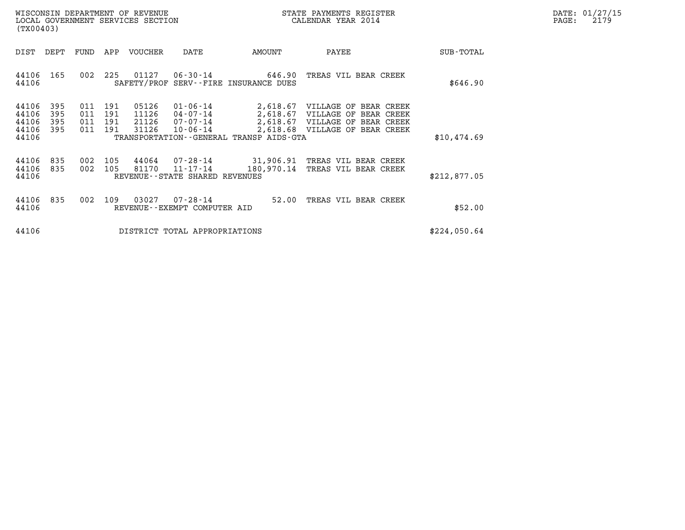| DATE: | 01/27/15 |
|-------|----------|
| PAGE: | 2179     |

| WISCONSIN DEPARTMENT OF REVENUE<br>LOCAL GOVERNMENT SERVICES SECTION<br>(TX00403)                 |                                                                                                                                                                                                                                  | STATE PAYMENTS REGISTER<br>CALENDAR YEAR 2014                                   | DATE: 01/27/15<br>PAGE:<br>2179 |
|---------------------------------------------------------------------------------------------------|----------------------------------------------------------------------------------------------------------------------------------------------------------------------------------------------------------------------------------|---------------------------------------------------------------------------------|---------------------------------|
| DIST<br>DEPT<br>FUND                                                                              | APP VOUCHER<br>DATE<br>AMOUNT                                                                                                                                                                                                    | PAYEE<br>SUB-TOTAL                                                              |                                 |
| 44106 165<br>002<br>44106                                                                         | 225<br>01127<br>06-30-14 646.90 TREAS VIL BEAR CREEK<br>SAFETY/PROF SERV--FIRE INSURANCE DUES                                                                                                                                    | \$646.90                                                                        |                                 |
| 44106<br>395<br>011<br>44106<br>395<br>011<br>44106<br>011<br>395<br>44106<br>395<br>011<br>44106 | 191<br>05126<br>01-06-14 2,618.67 VILLAGE OF BEAR CREEK<br>191<br>11126<br>04-07-14 2,618.67 VILLAGE OF BEAR CREEK<br>21126<br>191<br>$07 - 07 - 14$<br>31126<br>191<br>10-06-14<br>TRANSPORTATION - - GENERAL TRANSP AIDS - GTA | 2,618.67 VILLAGE OF BEAR CREEK<br>2,618.68 VILLAGE OF BEAR CREEK<br>\$10,474.69 |                                 |
| 44106<br>835<br>002<br>002 105<br>44106<br>835<br>44106                                           | 44064<br>105<br>07-28-14 31,906.91 TREAS VIL BEAR CREEK<br>81170<br>180,970.14<br>11-17-14<br>REVENUE--STATE SHARED REVENUES                                                                                                     | TREAS VIL BEAR CREEK<br>\$212,877.05                                            |                                 |
| 44106<br>835<br>002<br>44106                                                                      | 03027<br>109<br>07-28-14<br>52.00<br>REVENUE--EXEMPT COMPUTER AID                                                                                                                                                                | TREAS VIL BEAR CREEK<br>\$52.00                                                 |                                 |
| 44106                                                                                             | DISTRICT TOTAL APPROPRIATIONS                                                                                                                                                                                                    | \$224,050.64                                                                    |                                 |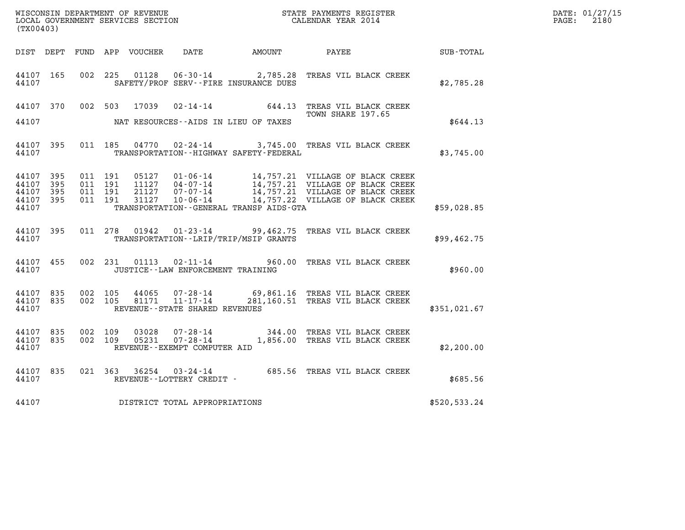| WISCONSIN DEPARTMENT OF REVENUE<br>LOCAL GOVERNMENT SERVICES SECTION<br>CALENDAR YEAR 2014<br>(TX00403) |                        |                   |         |       |                                   |                                              |                                                                                                                               |              | DATE: 01/27/15<br>$\mathtt{PAGE:}$<br>2180 |
|---------------------------------------------------------------------------------------------------------|------------------------|-------------------|---------|-------|-----------------------------------|----------------------------------------------|-------------------------------------------------------------------------------------------------------------------------------|--------------|--------------------------------------------|
|                                                                                                         |                        |                   |         |       |                                   | DIST DEPT FUND APP VOUCHER DATE AMOUNT PAYEE |                                                                                                                               | SUB-TOTAL    |                                            |
| 44107 165<br>44107                                                                                      |                        | 002 225           |         | 01128 |                                   | SAFETY/PROF SERV--FIRE INSURANCE DUES        | 06-30-14 2,785.28 TREAS VIL BLACK CREEK                                                                                       | \$2,785.28   |                                            |
|                                                                                                         |                        |                   |         |       |                                   |                                              | 44107 370 002 503 17039 02-14-14 644.13 TREAS VIL BLACK CREEK<br>TOWN SHARE 197.65                                            |              |                                            |
| 44107                                                                                                   |                        |                   |         |       |                                   | NAT RESOURCES--AIDS IN LIEU OF TAXES         |                                                                                                                               | \$644.13     |                                            |
| 44107                                                                                                   |                        |                   |         |       |                                   | TRANSPORTATION - - HIGHWAY SAFETY - FEDERAL  | 44107 395 011 185 04770 02-24-14 3,745.00 TREAS VIL BLACK CREEK                                                               | \$3,745.00   |                                            |
| 44107 395<br>44107 395                                                                                  |                        | 011 191           | 011 191 |       |                                   |                                              |                                                                                                                               |              |                                            |
| 44107<br>44107 395<br>44107                                                                             | - 395                  | 011 191           | 011 191 |       |                                   | TRANSPORTATION--GENERAL TRANSP AIDS-GTA      |                                                                                                                               | \$59,028.85  |                                            |
|                                                                                                         | 44107                  |                   |         |       |                                   | TRANSPORTATION - - LRIP/TRIP/MSIP GRANTS     | 44107 395 011 278 01942 01-23-14 99,462.75 TREAS VIL BLACK CREEK                                                              | \$99,462.75  |                                            |
|                                                                                                         | 44107 455<br>44107     |                   |         |       | JUSTICE--LAW ENFORCEMENT TRAINING |                                              | 002 231 01113 02-11-14 960.00 TREAS VIL BLACK CREEK                                                                           | \$960.00     |                                            |
| 44107                                                                                                   | 44107 835              | 44107 835 002 105 |         |       | REVENUE--STATE SHARED REVENUES    |                                              | 002  105  44065  07-28-14  69,861.16  TREAS  VIL BLACK CREEK<br>002  105  81171  11-17-14  281,160.51  TREAS  VIL BLACK CREEK | \$351,021.67 |                                            |
| 44107                                                                                                   | 44107 835<br>44107 835 | 002 109           | 002 109 |       | REVENUE--EXEMPT COMPUTER AID      |                                              | 03028  07-28-14   344.00   TREAS VIL BLACK CREEK<br>05231  07-28-14   1,856.00   TREAS VIL BLACK CREEK                        | \$2,200.00   |                                            |
| 44107                                                                                                   | 44107 835              |                   |         |       | REVENUE--LOTTERY CREDIT -         |                                              | 021 363 36254 03-24-14 685.56 TREAS VIL BLACK CREEK                                                                           | \$685.56     |                                            |
| 44107                                                                                                   |                        |                   |         |       | DISTRICT TOTAL APPROPRIATIONS     |                                              |                                                                                                                               | \$520,533.24 |                                            |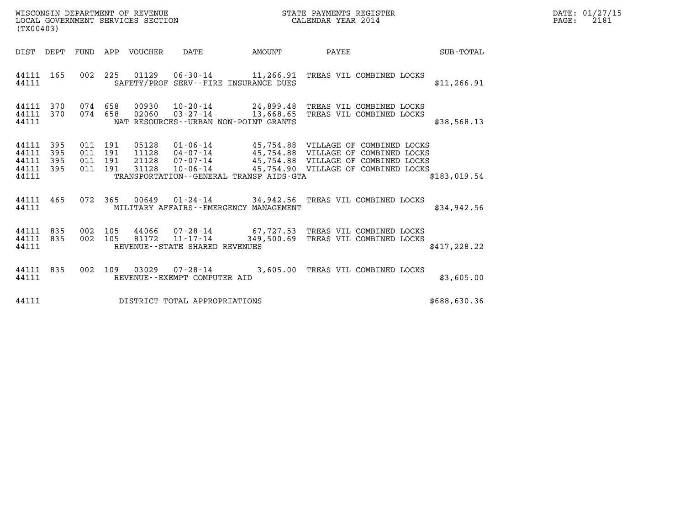| DATE: | 01/27/15 |
|-------|----------|
| PAGE: | 2181     |

| (TX00403)                                                       | WISCONSIN DEPARTMENT OF REVENUE<br>LOCAL GOVERNMENT SERVICES SECTION                | STATE PAYMENTS REGISTER<br>CALENDAR YEAR 2014                                                                                                                                                                                                      |              | DATE: 01/27/15<br>$\mathtt{PAGE:}$<br>2181 |
|-----------------------------------------------------------------|-------------------------------------------------------------------------------------|----------------------------------------------------------------------------------------------------------------------------------------------------------------------------------------------------------------------------------------------------|--------------|--------------------------------------------|
|                                                                 | <b>AMOUNT</b><br>DIST DEPT FUND APP VOUCHER DATE                                    | PAYEE SUB-TOTAL                                                                                                                                                                                                                                    |              |                                            |
| 44111 165<br>44111                                              | SAFETY/PROF SERV--FIRE INSURANCE DUES                                               | 002 225 01129 06-30-14 11,266.91 TREAS VIL COMBINED LOCKS                                                                                                                                                                                          | \$11, 266.91 |                                            |
| 44111 370<br>44111 370<br>44111                                 | 074 658 02060<br>NAT RESOURCES--URBAN NON-POINT GRANTS                              | 074 658 00930 10-20-14 24,899.48 TREAS VIL COMBINED LOCKS<br>03-27-14 13,668.65 TREAS VIL COMBINED LOCKS                                                                                                                                           | \$38,568.13  |                                            |
| 44111 395<br>44111<br>395<br>44111<br>395<br>44111 395<br>44111 | 011 191<br>011 191<br>011 191<br>011 191<br>TRANSPORTATION--GENERAL TRANSP AIDS-GTA | 05128  01-06-14  45,754.88  VILLAGE OF COMBINED LOCKS<br>11128    04-07-14    45,754.88    VILLAGE OF COMBINED LOCKS<br>21128    07-07-14    45,754.88    VILLAGE OF COMBINED LOCKS<br>31128    10-06-14    45,754.90    VILLAGE OF COMBINED LOCKS | \$183.019.54 |                                            |
| 44111 465<br>44111                                              | MILITARY AFFAIRS - - EMERGENCY MANAGEMENT                                           | 072  365  00649  01-24-14  34,942.56  TREAS VIL COMBINED LOCKS                                                                                                                                                                                     | \$34,942.56  |                                            |
| 44111 835<br>002<br>44111 835<br>44111                          | 105<br>002 105<br>REVENUE--STATE SHARED REVENUES                                    | 44066  07-28-14  67,727.53  TREAS VIL COMBINED LOCKS<br>81172  11-17-14  349,500.69  TREAS VIL COMBINED LOCKS                                                                                                                                      | \$417,228.22 |                                            |
| 44111<br>835<br>44111                                           | 002 109<br>REVENUE--EXEMPT COMPUTER AID                                             | 03029  07-28-14  3,605.00  TREAS VIL COMBINED LOCKS                                                                                                                                                                                                | \$3,605.00   |                                            |
| 44111                                                           | DISTRICT TOTAL APPROPRIATIONS                                                       |                                                                                                                                                                                                                                                    | \$688,630.36 |                                            |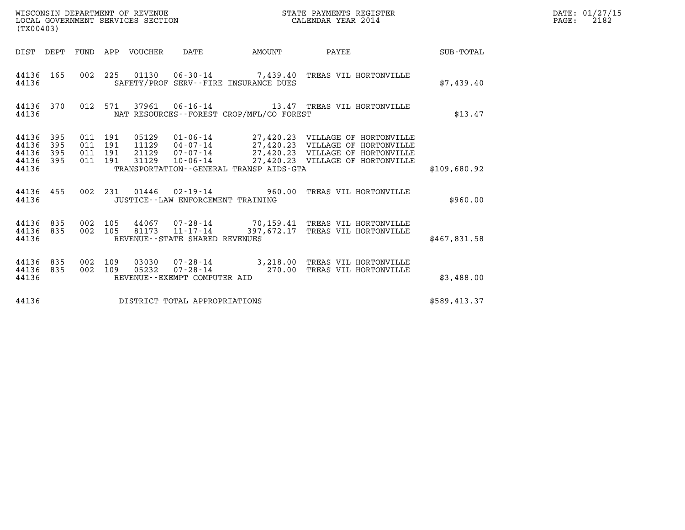| WISCONSIN DEPARTMENT OF REVENUE<br>LOCAL GOVERNMENT SERVICES SECTION<br>(TX00403) |                          |                                          |         |                                 |                                |                                              | STATE PAYMENTS REGISTER<br>CALENDAR YEAR 2014                                                                                                                                                                        |              | DATE: 01/27/15<br>$\mathtt{PAGE:}$<br>2182 |
|-----------------------------------------------------------------------------------|--------------------------|------------------------------------------|---------|---------------------------------|--------------------------------|----------------------------------------------|----------------------------------------------------------------------------------------------------------------------------------------------------------------------------------------------------------------------|--------------|--------------------------------------------|
|                                                                                   |                          |                                          |         | DIST DEPT FUND APP VOUCHER DATE |                                |                                              | AMOUNT PAYEE SUB-TOTAL                                                                                                                                                                                               |              |                                            |
| 44136 165<br>44136                                                                |                          |                                          |         |                                 |                                | SAFETY/PROF SERV--FIRE INSURANCE DUES        | 002 225 01130 06-30-14 7,439.40 TREAS VIL HORTONVILLE                                                                                                                                                                | \$7,439.40   |                                            |
| 44136 370<br>44136                                                                |                          |                                          |         |                                 |                                | NAT RESOURCES - - FOREST CROP/MFL/CO FOREST  | 012 571 37961 06-16-14 13.47 TREAS VIL HORTONVILLE                                                                                                                                                                   | \$13.47      |                                            |
| 44136<br>44136<br>44136<br>44136<br>44136                                         | 395<br>395<br>395<br>395 | 011 191<br>011 191<br>011 191<br>011 191 |         |                                 |                                | TRANSPORTATION - - GENERAL TRANSP AIDS - GTA | 05129  01-06-14  27,420.23  VILLAGE OF HORTONVILLE<br>11129  04-07-14  27,420.23  VILLAGE OF HORTONVILLE<br>21129  07-07-14  27,420.23  VILLAGE OF HORTONVILLE<br>31129  10-06-14  27,420.23  VILLAGE OF HORTONVILLE | \$109.680.92 |                                            |
| 44136 455<br>44136                                                                |                          |                                          |         |                                 |                                | JUSTICE - - LAW ENFORCEMENT TRAINING         | 002 231 01446 02-19-14 960.00 TREAS VIL HORTONVILLE                                                                                                                                                                  | \$960.00     |                                            |
| 44136 835<br>44136 835<br>44136                                                   |                          | 002 105                                  | 002 105 |                                 | REVENUE--STATE SHARED REVENUES |                                              | 44067  07-28-14  70,159.41  TREAS VIL HORTONVILLE<br>81173  11-17-14  397, 672.17  TREAS VIL HORTONVILLE                                                                                                             | \$467,831.58 |                                            |
| 44136 835<br>44136 835<br>44136                                                   |                          | 002 109<br>002 109                       |         |                                 | REVENUE--EXEMPT COMPUTER AID   |                                              | 03030  07-28-14  3,218.00 TREAS VIL HORTONVILLE<br>05232  07-28-14  270.00 TREAS VIL HORTONVILLE                                                                                                                     | \$3,488.00   |                                            |
| 44136                                                                             |                          |                                          |         |                                 | DISTRICT TOTAL APPROPRIATIONS  |                                              |                                                                                                                                                                                                                      | \$589,413.37 |                                            |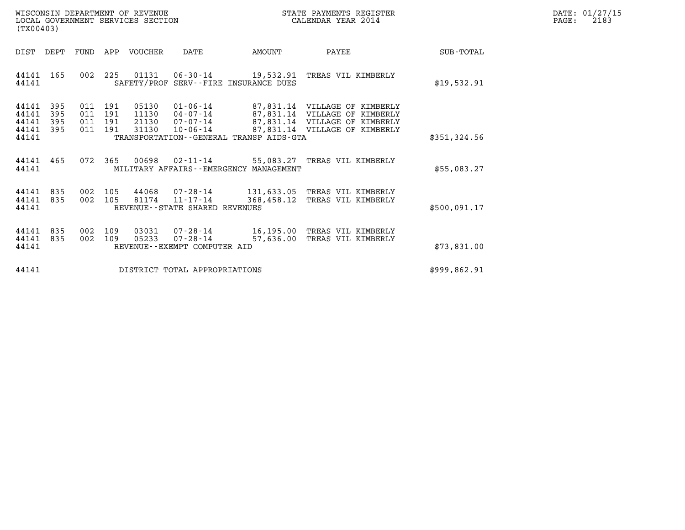| DATE:             | 01/27/15 |
|-------------------|----------|
| $\mathtt{PAGE}$ : | 2183     |

| WISCONSIN DEPARTMENT OF REVENUE<br>LOCAL GOVERNMENT SERVICES SECTION<br>(TX00403)                                                                                                                                                          |            | STATE PAYMENTS REGISTER<br>CALENDAR YEAR 2014                                      |              | DATE: 01/27/15<br>$\mathtt{PAGE:}$<br>2183 |
|--------------------------------------------------------------------------------------------------------------------------------------------------------------------------------------------------------------------------------------------|------------|------------------------------------------------------------------------------------|--------------|--------------------------------------------|
| FUND APP VOUCHER<br>DIST DEPT<br>DATE                                                                                                                                                                                                      | AMOUNT     | PAYEE                                                                              | SUB-TOTAL    |                                            |
| 225<br>01131  06-30-14  19,532.91 TREAS VIL KIMBERLY<br>44141<br>165<br>002<br>SAFETY/PROF SERV--FIRE INSURANCE DUES<br>44141                                                                                                              |            |                                                                                    | \$19,532.91  |                                            |
| 44141<br>395<br>011 191<br>05130<br>44141<br>395<br>011 191<br>11130  04-07-14  87,831.14  VILLAGE OF KIMBERLY<br>44141<br>395<br>011 191<br>21130<br>44141<br>395<br>011 191<br>31130<br>44141<br>TRANSPORTATION--GENERAL TRANSP AIDS-GTA |            | 01-06-14  87,831.14  VILLAGE OF KIMBERLY<br>10-06-14 87,831.14 VILLAGE OF KIMBERLY | \$351,324.56 |                                            |
| 00698  02-11-14  55,083.27  TREAS VIL KIMBERLY<br>44141<br>465<br>072 365<br>44141<br>MILITARY AFFAIRS - - EMERGENCY MANAGEMENT                                                                                                            |            |                                                                                    | \$55,083.27  |                                            |
| 44141<br>835<br>105<br>44068  07-28-14  131,633.05  TREAS VIL KIMBERLY<br>002<br>44141<br>835<br>002<br>105<br>81174<br>$11 - 17 - 14$<br>44141<br>REVENUE--STATE SHARED REVENUES                                                          | 368,458.12 | TREAS VIL KIMBERLY                                                                 | \$500.091.17 |                                            |
| 44141<br>835<br>002<br>109<br>03031<br>44141<br>835<br>002<br>109<br>05233<br>07-28-14<br>44141<br>REVENUE - - EXEMPT COMPUTER AID                                                                                                         | 57,636.00  | 07-28-14 16,195.00 TREAS VIL KIMBERLY<br>TREAS VIL KIMBERLY                        | \$73,831.00  |                                            |
| 44141<br>DISTRICT TOTAL APPROPRIATIONS                                                                                                                                                                                                     |            |                                                                                    | \$999,862.91 |                                            |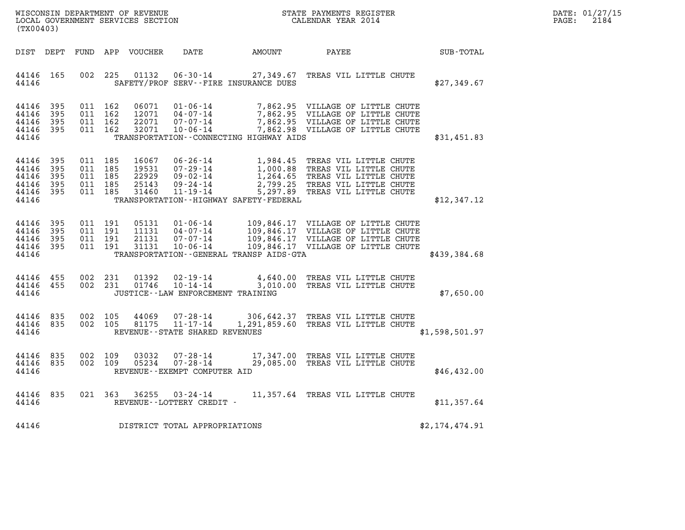| DATE: | 01/27/15 |
|-------|----------|
| PAGE: | 2184     |

| WISCONSIN DEPARTMENT OF REVENUE<br>LOCAL GOVERNMENT SERVICES SECTION<br>(TX00403) |            |                                          |                                          |                                           |                                                        | STATE PAYMENTS REGISTER<br>CALENDAR YEAR 2014 |                                                                                                                                                                                                        |                | DATE: 01/27/15<br>$\mathtt{PAGE:}$<br>2184 |
|-----------------------------------------------------------------------------------|------------|------------------------------------------|------------------------------------------|-------------------------------------------|--------------------------------------------------------|-----------------------------------------------|--------------------------------------------------------------------------------------------------------------------------------------------------------------------------------------------------------|----------------|--------------------------------------------|
| DIST DEPT                                                                         |            |                                          |                                          | FUND APP VOUCHER                          | DATE                                                   | <b>AMOUNT</b>                                 | PAYEE                                                                                                                                                                                                  | SUB-TOTAL      |                                            |
| 44146<br>44146                                                                    | 165        |                                          | 002 225                                  | 01132                                     |                                                        | SAFETY/PROF SERV--FIRE INSURANCE DUES         | 06-30-14 27,349.67 TREAS VIL LITTLE CHUTE                                                                                                                                                              | \$27,349.67    |                                            |
| 44146 395<br>44146<br>44146 395<br>44146 395<br>44146                             | 395        |                                          | 011 162<br>011 162<br>011 162<br>011 162 | 06071<br>12071<br>22071<br>32071          |                                                        | TRANSPORTATION--CONNECTING HIGHWAY AIDS       | 01-06-14 7,862.95 VILLAGE OF LITTLE CHUTE<br>04-07-14 7,862.95 VILLAGE OF LITTLE CHUTE<br>07-07-14 7,862.95 VILLAGE OF LITTLE CHUTE<br>10-06-14 7,862.98 VILLAGE OF LITTLE CHUTE                       | \$31,451.83    |                                            |
| 44146 395<br>44146<br>44146<br>44146 395<br>44146 395<br>44146                    | 395<br>395 | 011 185<br>011 185<br>011 185<br>011 185 | 011 185                                  | 16067<br>19531<br>22929<br>25143<br>31460 | 09 - 24 - 14<br>11 - 19 - 14                           | TRANSPORTATION - - HIGHWAY SAFETY - FEDERAL   | 06-26-14 1,984.45 TREAS VIL LITTLE CHUTE<br>07-29-14 1,000.88 TREAS VIL LITTLE CHUTE<br>09-02-14 1,264.65 TREAS VIL LITTLE CHUTE<br>2,799.25 TREAS VIL LITTLE CHUTE<br>5,297.89 TREAS VIL LITTLE CHUTE | \$12,347.12    |                                            |
| 44146 395<br>44146<br>44146 395<br>44146 395<br>44146                             | 395        | 011 191<br>011 191<br>011 191            | 011 191                                  | 05131<br>11131<br>21131<br>31131          |                                                        | TRANSPORTATION--GENERAL TRANSP AIDS-GTA       |                                                                                                                                                                                                        | \$439,384.68   |                                            |
| 44146 455<br>44146 455<br>44146                                                   |            | 002                                      | 231<br>002 231                           | 01392<br>01746                            | 10-14-14<br>JUSTICE -- LAW ENFORCEMENT TRAINING        |                                               | 02-19-14 4,640.00 TREAS VIL LITTLE CHUTE<br>3,010.00 TREAS VIL LITTLE CHUTE                                                                                                                            | \$7,650.00     |                                            |
| 44146 835<br>44146 835<br>44146                                                   |            | 002 105                                  | 002 105                                  | 44069<br>81175                            | 07-28-14<br>11-17-14<br>REVENUE--STATE SHARED REVENUES |                                               | 306,642.37 TREAS VIL LITTLE CHUTE<br>1,291,859.60 TREAS VIL LITTLE CHUTE                                                                                                                               | \$1,598,501.97 |                                            |
| 44146 835<br>44146 835<br>44146                                                   |            | 002 109<br>002 109                       |                                          | 03032<br>05234                            | 07-28-14<br>REVENUE--EXEMPT COMPUTER AID               |                                               | 07-28-14 17,347.00 TREAS VIL LITTLE CHUTE<br>29,085.00 TREAS VIL LITTLE CHUTE                                                                                                                          | \$46,432.00    |                                            |
| 44146<br>44146                                                                    | 835        |                                          |                                          |                                           | 021 363 36255 03-24-14<br>REVENUE - - LOTTERY CREDIT - |                                               | 11,357.64 TREAS VIL LITTLE CHUTE                                                                                                                                                                       | \$11,357.64    |                                            |
| 44146                                                                             |            |                                          |                                          |                                           | DISTRICT TOTAL APPROPRIATIONS                          |                                               |                                                                                                                                                                                                        | \$2,174,474.91 |                                            |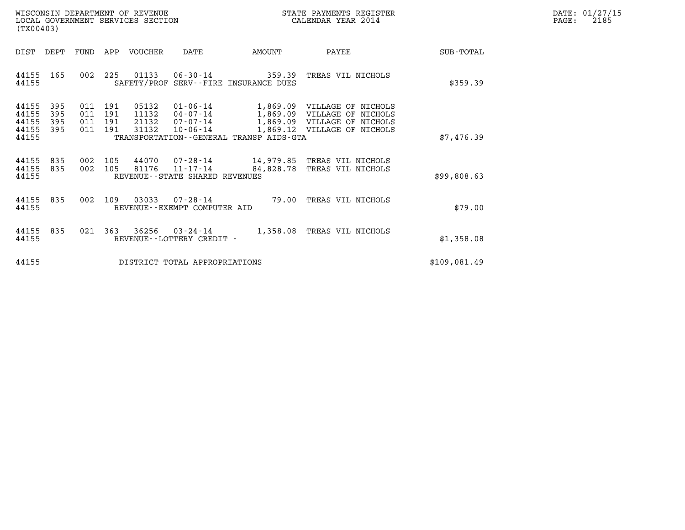| WISCONSIN DEPARTMENT OF REVENUE   | STATE PAYMENTS REGISTER | DATE: 01/27/15 |
|-----------------------------------|-------------------------|----------------|
| LOCAL GOVERNMENT SERVICES SECTION | CALENDAR YEAR 2014      | 2185<br>PAGE:  |

| WISCONSIN DEPARTMENT OF REVENUE<br>LOCAL GOVERNMENT SERVICES SECTION<br>(TX00403)                 | STATE PAYMENTS REGISTER<br>CALENDAR YEAR 2014                                                                                                                       |           |                                                                                                                          |                  |
|---------------------------------------------------------------------------------------------------|---------------------------------------------------------------------------------------------------------------------------------------------------------------------|-----------|--------------------------------------------------------------------------------------------------------------------------|------------------|
| DIST<br>DEPT<br><b>FUND</b>                                                                       | APP<br><b>VOUCHER</b><br>DATE                                                                                                                                       | AMOUNT    | PAYEE                                                                                                                    | <b>SUB-TOTAL</b> |
| 002<br>44155<br>165<br>44155                                                                      | 225<br>01133 06-30-14 359.39<br>SAFETY/PROF SERV--FIRE INSURANCE DUES                                                                                               |           | TREAS VIL NICHOLS                                                                                                        | \$359.39         |
| 395<br>44155<br>011<br>395<br>011<br>44155<br>44155<br>395<br>011<br>44155<br>395<br>011<br>44155 | 05132<br>01-06-14<br>191<br>191<br>11132<br>$04 - 07 - 14$<br>191<br>21132<br>07-07-14<br>191<br>31132<br>$10 - 06 - 14$<br>TRANSPORTATION--GENERAL TRANSP AIDS-GTA |           | 1,869.09 VILLAGE OF NICHOLS<br>1,869.09 VILLAGE OF NICHOLS<br>1,869.09 VILLAGE OF NICHOLS<br>1,869.12 VILLAGE OF NICHOLS | \$7,476.39       |
| 835<br>44155<br>002<br>835<br>002<br>44155<br>44155                                               | 105<br>44070  07-28-14  14,979.85  TREAS VIL NICHOLS<br>105<br>81176<br>11-17-14<br>REVENUE - - STATE SHARED REVENUES                                               | 84,828.78 | TREAS VIL NICHOLS                                                                                                        | \$99,808.63      |
| 002<br>44155<br>835<br>44155                                                                      | 109<br>03033<br>$07 - 28 - 14$<br>REVENUE - - EXEMPT COMPUTER AID                                                                                                   | 79.00     | TREAS VIL NICHOLS                                                                                                        | \$79.00          |
| 021<br>44155<br>835<br>44155                                                                      | 363<br>36256<br>$03 - 24 - 14$<br>REVENUE - - LOTTERY CREDIT -                                                                                                      | 1,358.08  | TREAS VIL NICHOLS                                                                                                        | \$1,358.08       |
| 44155                                                                                             | DISTRICT TOTAL APPROPRIATIONS                                                                                                                                       |           |                                                                                                                          | \$109,081.49     |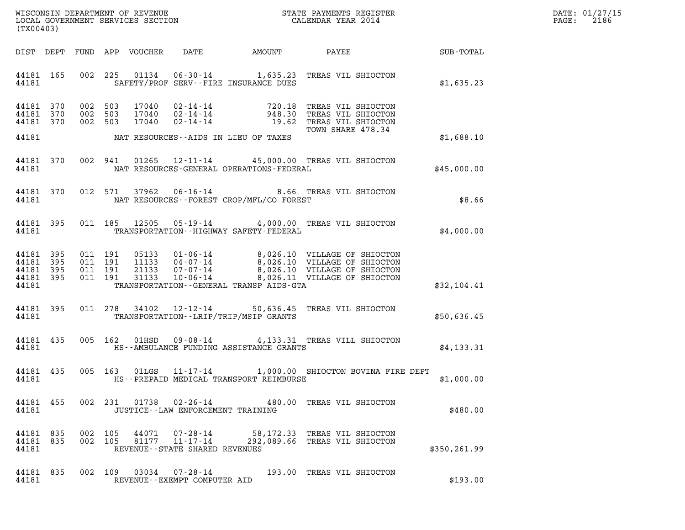| DATE: | 01/27/15 |
|-------|----------|
| PAGE: | 2186     |

| (TX00403)                                                 |  |                                         |                                          |                            |                                      |                                             |                                                                                                                                                                                                      |              | DATE: 01/27/15<br>$\mathtt{PAGE:}$<br>2186 |
|-----------------------------------------------------------|--|-----------------------------------------|------------------------------------------|----------------------------|--------------------------------------|---------------------------------------------|------------------------------------------------------------------------------------------------------------------------------------------------------------------------------------------------------|--------------|--------------------------------------------|
|                                                           |  |                                         |                                          | DIST DEPT FUND APP VOUCHER |                                      |                                             | DATE AMOUNT PAYEE SUB-TOTAL                                                                                                                                                                          |              |                                            |
| 44181 165<br>44181                                        |  |                                         |                                          |                            |                                      | SAFETY/PROF SERV--FIRE INSURANCE DUES       | 002 225 01134 06-30-14 1,635.23 TREAS VIL SHIOCTON                                                                                                                                                   | \$1,635.23   |                                            |
| 44181 370<br>44181 370                                    |  | 44181 370 002 503<br>002 503<br>002 503 |                                          |                            |                                      |                                             | 17040  02-14-14  720.18  TREAS VIL SHIOCTON<br>17040  02-14-14  948.30  TREAS VIL SHIOCTON<br>17040  02-14-14  19.62  TREAS VIL SHIOCTON<br>TOWN SHARE 478.34                                        |              |                                            |
| 44181                                                     |  |                                         |                                          |                            |                                      | NAT RESOURCES--AIDS IN LIEU OF TAXES        |                                                                                                                                                                                                      | \$1,688.10   |                                            |
| 44181 370<br>44181                                        |  |                                         |                                          |                            |                                      | NAT RESOURCES-GENERAL OPERATIONS-FEDERAL    | 002 941 01265 12-11-14 45,000.00 TREAS VIL SHIOCTON                                                                                                                                                  | \$45,000.00  |                                            |
| 44181 370<br>44181                                        |  |                                         |                                          |                            |                                      | NAT RESOURCES - - FOREST CROP/MFL/CO FOREST | 012 571 37962 06-16-14 8.66 TREAS VIL SHIOCTON                                                                                                                                                       | \$8.66       |                                            |
| 44181 395<br>44181                                        |  |                                         |                                          | 011 185 12505              |                                      | TRANSPORTATION - - HIGHWAY SAFETY - FEDERAL | 05-19-14 4,000.00 TREAS VIL SHIOCTON                                                                                                                                                                 | \$4,000.00   |                                            |
| 44181 395<br>44181 395<br>44181 395<br>44181 395<br>44181 |  |                                         | 011 191<br>011 191<br>011 191<br>011 191 |                            |                                      | TRANSPORTATION--GENERAL TRANSP AIDS-GTA     | 05133  01-06-14  8,026.10  VILLAGE OF SHIOCTON<br>11133  04-07-14  8,026.10  VILLAGE OF SHIOCTON<br>21133  07-07-14  8,026.10  VILLAGE OF SHIOCTON<br>31133  10-06-14  8,026.11  VILLAGE OF SHIOCTON | \$32,104.41  |                                            |
| 44181 395<br>44181                                        |  |                                         |                                          | 011 278 34102              |                                      | TRANSPORTATION - - LRIP/TRIP/MSIP GRANTS    | 12-12-14 50,636.45 TREAS VIL SHIOCTON                                                                                                                                                                | \$50,636.45  |                                            |
| 44181 435<br>44181                                        |  |                                         |                                          |                            |                                      | HS--AMBULANCE FUNDING ASSISTANCE GRANTS     | 005 162 01HSD 09-08-14 4,133.31 TREAS VILL SHIOCTON                                                                                                                                                  | \$4,133.31   |                                            |
| 44181                                                     |  |                                         |                                          |                            |                                      | HS--PREPAID MEDICAL TRANSPORT REIMBURSE     | 44181 435 005 163 01LGS 11-17-14 1,000.00 SHIOCTON BOVINA FIRE DEPT                                                                                                                                  | \$1,000.00   |                                            |
| 44181                                                     |  |                                         |                                          |                            | JUSTICE - - LAW ENFORCEMENT TRAINING |                                             | 44181 455 002 231 01738 02-26-14 480.00 TREAS VIL SHIOCTON                                                                                                                                           | \$480.00     |                                            |
| 44181 835 002 105<br>44181 835<br>44181                   |  | 002 105                                 |                                          |                            | REVENUE - - STATE SHARED REVENUES    |                                             | 44071  07-28-14  58,172.33  TREAS VIL SHIOCTON<br>81177  11-17-14  292,089.66  TREAS VIL SHIOCTON                                                                                                    | \$350,261.99 |                                            |
| 44181 835<br>44181                                        |  |                                         |                                          |                            | REVENUE--EXEMPT COMPUTER AID         |                                             | 002 109 03034 07-28-14 193.00 TREAS VIL SHIOCTON                                                                                                                                                     | \$193.00     |                                            |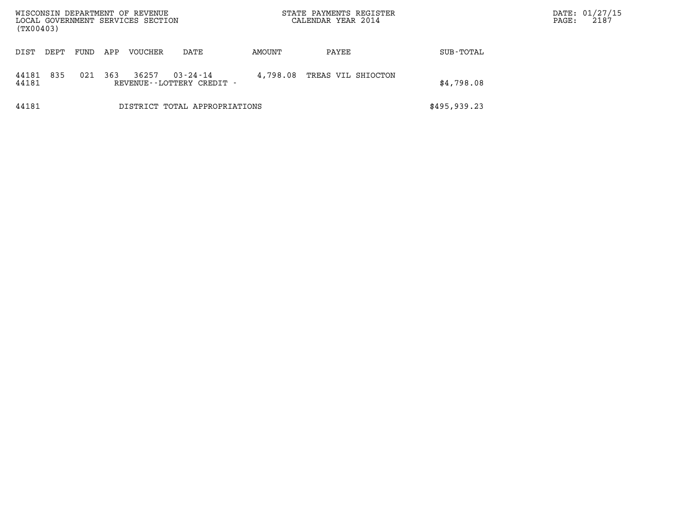| WISCONSIN DEPARTMENT OF REVENUE<br>LOCAL GOVERNMENT SERVICES SECTION<br>(TX00403) |      |     |         |                                                |          | STATE PAYMENTS REGISTER<br>CALENDAR YEAR 2014 |              | DATE: 01/27/15<br>2187<br>PAGE: |
|-----------------------------------------------------------------------------------|------|-----|---------|------------------------------------------------|----------|-----------------------------------------------|--------------|---------------------------------|
| DEPT<br>DIST                                                                      | FUND | APP | VOUCHER | DATE                                           | AMOUNT   | PAYEE                                         | SUB-TOTAL    |                                 |
| 835<br>44181<br>44181                                                             | 021  | 363 | 36257   | $03 - 24 - 14$<br>REVENUE - - LOTTERY CREDIT - | 4,798.08 | TREAS VIL SHIOCTON                            | \$4,798.08   |                                 |
| 44181                                                                             |      |     |         | DISTRICT TOTAL APPROPRIATIONS                  |          |                                               | \$495,939.23 |                                 |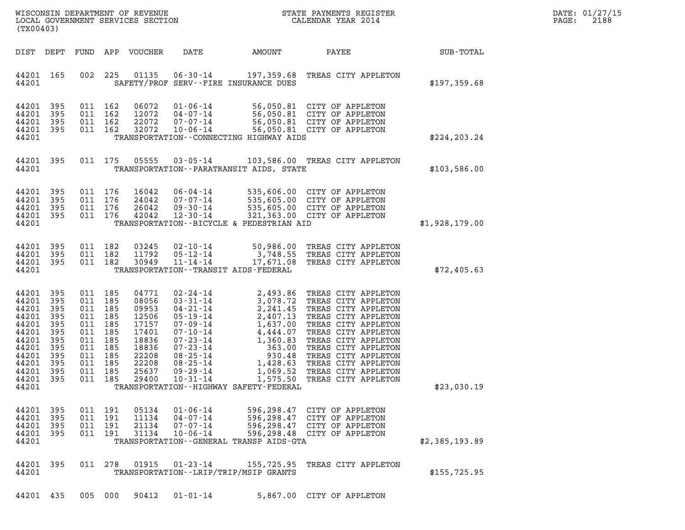| DATE: | 01/27/15 |
|-------|----------|
| PAGE: | 2188     |

| WISCONSIN DEPARTMENT OF REVENUE<br>LOCAL GOVERNMENT SERVICES SECTION<br>(TX00403)                                                                                                                                                                                                                                                                                                                                                                                                                                            | STATE PAYMENTS REGISTER<br>CALENDAR YEAR 2014                                                                                                                                                                                                                                                                                                                                  | DATE: 01/27/15<br>2188<br>PAGE: |
|------------------------------------------------------------------------------------------------------------------------------------------------------------------------------------------------------------------------------------------------------------------------------------------------------------------------------------------------------------------------------------------------------------------------------------------------------------------------------------------------------------------------------|--------------------------------------------------------------------------------------------------------------------------------------------------------------------------------------------------------------------------------------------------------------------------------------------------------------------------------------------------------------------------------|---------------------------------|
| <b>AMOUNT</b><br>DIST DEPT<br>FUND APP VOUCHER<br>DATE                                                                                                                                                                                                                                                                                                                                                                                                                                                                       | SUB-TOTAL<br>PAYEE                                                                                                                                                                                                                                                                                                                                                             |                                 |
| 44201 165<br>002 225<br>44201<br>SAFETY/PROF SERV--FIRE INSURANCE DUES                                                                                                                                                                                                                                                                                                                                                                                                                                                       | 01135  06-30-14  197,359.68  TREAS CITY APPLETON<br>\$197,359.68                                                                                                                                                                                                                                                                                                               |                                 |
| 44201 395<br>011 162<br>06072<br>44201<br>395<br>011 162<br>12072<br>44201 395<br>011 162<br>22072<br>44201 395<br>011 162<br>32072<br>44201<br>TRANSPORTATION - - CONNECTING HIGHWAY AIDS                                                                                                                                                                                                                                                                                                                                   | 01-06-14<br>04-07-14<br>07-07-14<br>07-07-14<br>07-06-14<br>06-06-14<br>06-06-14<br>06-06-14<br>06-06-14<br>06-06-14<br>06-06-14<br>06-050.81<br>07-07-14<br>06-050.81<br>07-07-14<br>06-06-14<br>06-050.81<br>07-07-14<br>06-06-14<br>\$224, 203.24                                                                                                                           |                                 |
| 44201 395<br>011 175<br>05555<br>$03 - 05 - 14$<br>44201<br>TRANSPORTATION - - PARATRANSIT AIDS, STATE                                                                                                                                                                                                                                                                                                                                                                                                                       | 103,586.00 TREAS CITY APPLETON<br>\$103,586.00                                                                                                                                                                                                                                                                                                                                 |                                 |
| 44201 395<br>011 176<br>16042<br>011 176<br>44201 395<br>24042<br>44201 395<br>011 176<br>26042<br>011 176<br>44201 395<br>42042<br>TRANSPORTATION--BICYCLE & PEDESTRIAN AID<br>44201                                                                                                                                                                                                                                                                                                                                        | 06-04-14 535,606.00 CITY OF APPLETON<br>07-07-14 535,605.00 CITY OF APPLETON<br>09-30-14 535,605.00 CITY OF APPLETON<br>12-30-14 321,363.00 CITY OF APPLETON<br>\$1,928,179.00                                                                                                                                                                                                 |                                 |
| 44201 395<br>011 182<br>03245<br>44201 395<br>011 182<br>11792<br>05-12-14<br>44201 395<br>011 182<br>30949<br>$11 - 14 - 14$<br>44201<br>TRANSPORTATION - - TRANSIT AIDS - FEDERAL                                                                                                                                                                                                                                                                                                                                          | 02-10-14 50,986.00 TREAS CITY APPLETON<br>3,748.55 TREAS CITY APPLETON<br>17,671.08 TREAS CITY APPLETON<br>\$72,405.63                                                                                                                                                                                                                                                         |                                 |
| 44201 395<br>011 185<br>04771<br>44201<br>395<br>011 185<br>08056<br>011 185<br>44201<br>395<br>09953<br>44201<br>395<br>011 185<br>12506<br>44201<br>395<br>011 185<br>17157<br>44201<br>395<br>011 185<br>17401<br>44201<br>395<br>011 185<br>18836<br>44201<br>395<br>011 185<br>18836<br>44201 395<br>011 185<br>22208<br>44201<br>395<br>011 185<br>22208<br>44201 395<br>011 185<br>25637<br>$09 - 29 - 14$<br>44201 395<br>011 185<br>29400<br>$10 - 31 - 14$<br>44201<br>TRANSPORTATION - - HIGHWAY SAFETY - FEDERAL | 02-24-14 2,493.86 TREAS CITY APPLETON<br>02-24-14<br>03-31-14<br>3,078.72 TREAS CITY APPLETON<br>04-21-14<br>2,241.45 TREAS CITY APPLETON<br>05-19-14<br>2,407.13 TREAS CITY APPLETON<br>07-09-14<br>4,444.07 TREAS CITY APPLETON<br>07-23-14<br>07-23-14<br>363.00 TREAS CITY APPLETON<br>08-2<br>1,069.52 TREAS CITY APPLETON<br>1,575.50 TREAS CITY APPLETON<br>\$23,030.19 |                                 |
| 44201 395<br>011 191<br>05134<br>$01 - 06 - 14$<br>44201 395<br>011 191<br>11134<br>$04 - 07 - 14$<br>44201 395<br>011 191<br>21134<br>$07 - 07 - 14$<br>44201 395<br>011 191<br>31134<br>$10 - 06 - 14$<br>44201<br>TRANSPORTATION - - GENERAL TRANSP AIDS - GTA                                                                                                                                                                                                                                                            | 596,298.47 CITY OF APPLETON<br>596,298.47 CITY OF APPLETON<br>596,298.47 CITY OF APPLETON<br>596,298.48 CITY OF APPLETON<br>\$2,385,193.89                                                                                                                                                                                                                                     |                                 |
| 44201 395<br>011 278<br>01915<br>$01 - 23 - 14$<br>44201<br>TRANSPORTATION--LRIP/TRIP/MSIP GRANTS                                                                                                                                                                                                                                                                                                                                                                                                                            | 155,725.95 TREAS CITY APPLETON<br>\$155,725.95                                                                                                                                                                                                                                                                                                                                 |                                 |
| 44201 435<br>005 000<br>90412<br>$01 - 01 - 14$                                                                                                                                                                                                                                                                                                                                                                                                                                                                              | 5,867.00 CITY OF APPLETON                                                                                                                                                                                                                                                                                                                                                      |                                 |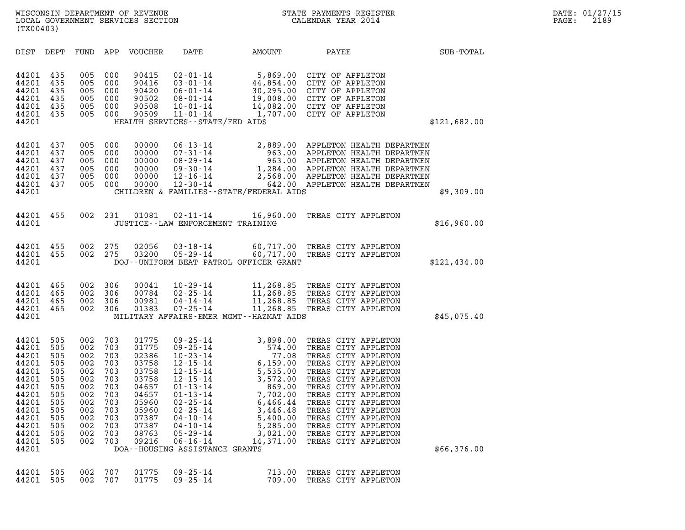| (TX00403)                                                                                                                           |                                                                                                |                                                                                                |                                                                                                |                                                                                                                            |                                                                                                                                                                                                                                                                                            |                                                                                                                                                                                                     |                                                                                                                                                                                                                                                                                                                                |              |
|-------------------------------------------------------------------------------------------------------------------------------------|------------------------------------------------------------------------------------------------|------------------------------------------------------------------------------------------------|------------------------------------------------------------------------------------------------|----------------------------------------------------------------------------------------------------------------------------|--------------------------------------------------------------------------------------------------------------------------------------------------------------------------------------------------------------------------------------------------------------------------------------------|-----------------------------------------------------------------------------------------------------------------------------------------------------------------------------------------------------|--------------------------------------------------------------------------------------------------------------------------------------------------------------------------------------------------------------------------------------------------------------------------------------------------------------------------------|--------------|
| DIST                                                                                                                                | DEPT                                                                                           | FUND                                                                                           | APP                                                                                            | VOUCHER                                                                                                                    | DATE                                                                                                                                                                                                                                                                                       | AMOUNT                                                                                                                                                                                              | PAYEE                                                                                                                                                                                                                                                                                                                          | SUB-TOTAL    |
| 44201<br>44201<br>44201<br>44201<br>44201<br>44201<br>44201                                                                         | 435<br>435<br>435<br>435<br>435<br>435                                                         | 005<br>005<br>005<br>005<br>005<br>005                                                         | 000<br>000<br>000<br>000<br>000<br>000                                                         | 90415<br>90416<br>90420<br>90502<br>90508<br>90509                                                                         | $02 - 01 - 14$<br>$03 - 01 - 14$<br>06-01-14<br>08-01-14<br>10-01-14<br>$11 - 01 - 14$<br>HEALTH SERVICES - - STATE/FED AIDS                                                                                                                                                               |                                                                                                                                                                                                     | 5,869.00 CITY OF APPLETON<br>44,854.00 CITY OF APPLETON<br>30,295.00 CITY OF APPLETON<br>19,008.00 CITY OF APPLETON<br>14,082.00 CITY OF APPLETON<br>1,707.00 CITY OF APPLETON                                                                                                                                                 | \$121,682.00 |
| 44201<br>44201<br>44201<br>44201<br>44201<br>44201<br>44201                                                                         | 437<br>437<br>437<br>437<br>437<br>437                                                         | 005<br>005<br>005<br>005<br>005<br>005                                                         | 000<br>000<br>000<br>000<br>000<br>000                                                         | 00000<br>00000<br>00000<br>00000<br>00000<br>00000                                                                         | $06 - 13 - 14$<br>$07 - 31 - 14$<br>08-29-14<br>09-30-14<br>12-16-14<br>$12 - 30 - 14$<br>CHILDREN & FAMILIES - - STATE/FEDERAL AIDS                                                                                                                                                       |                                                                                                                                                                                                     | 2,889.00 APPLETON HEALTH DEPARTMEN<br>963.00 APPLETON HEALTH DEPARTMEN<br>963.00 APPLETON HEALTH DEPARTMEN<br>1,284.00 APPLETON HEALTH DEPARTMEN<br>2,568.00 APPLETON HEALTH DEPARTMEN<br>642.00 APPLETON HEALTH DEPARTMEN                                                                                                     | \$9,309.00   |
| 44201<br>44201                                                                                                                      | 455                                                                                            | 002                                                                                            | 231                                                                                            | 01081                                                                                                                      | $02 - 11 - 14$<br>JUSTICE--LAW ENFORCEMENT TRAINING                                                                                                                                                                                                                                        | 16,960.00                                                                                                                                                                                           | TREAS CITY APPLETON                                                                                                                                                                                                                                                                                                            | \$16,960.00  |
| 44201<br>44201<br>44201                                                                                                             | 455<br>455                                                                                     | 002<br>002                                                                                     | 275<br>275                                                                                     | 02056<br>03200                                                                                                             | $03 - 18 - 14$<br>$05 - 29 - 14$<br>DOJ--UNIFORM BEAT PATROL OFFICER GRANT                                                                                                                                                                                                                 | 60,717.00                                                                                                                                                                                           | 60,717.00 TREAS CITY APPLETON<br>TREAS CITY APPLETON                                                                                                                                                                                                                                                                           | \$121,434.00 |
| 44201<br>44201<br>44201<br>44201<br>44201                                                                                           | 465<br>465<br>465<br>465                                                                       | 002<br>002<br>002<br>002                                                                       | 306<br>306<br>306<br>306                                                                       | 00041<br>00784<br>00981<br>01383                                                                                           | $10 - 29 - 14$<br>$02 - 25 - 14$<br>$04 - 14 - 14$<br>$07 - 25 - 14$<br>MILITARY AFFAIRS-EMER MGMT--HAZMAT AIDS                                                                                                                                                                            | 11,268.85                                                                                                                                                                                           | 11,268.85 TREAS CITY APPLETON<br>11,268.85 TREAS CITY APPLETON<br>11,268.85 TREAS CITY APPLETON<br>TREAS CITY APPLETON                                                                                                                                                                                                         | \$45,075.40  |
| 44201<br>44201<br>44201<br>44201<br>44201<br>44201<br>44201<br>44201<br>44201<br>44201<br>44201<br>44201<br>44201<br>44201<br>44201 | 505<br>505<br>505<br>505<br>505<br>505<br>505<br>505<br>505<br>505<br>505<br>505<br>505<br>505 | 002<br>002<br>002<br>002<br>002<br>002<br>002<br>002<br>002<br>002<br>002<br>002<br>002<br>002 | 703<br>703<br>703<br>703<br>703<br>703<br>703<br>703<br>703<br>703<br>703<br>703<br>703<br>703 | 01775<br>01775<br>02386<br>03758<br>03758<br>03758<br>04657<br>04657<br>05960<br>05960<br>07387<br>07387<br>08763<br>09216 | $09 - 25 - 14$<br>$09 - 25 - 14$<br>$10 - 23 - 14$<br>$12 - 15 - 14$<br>$12 - 15 - 14$<br>$12 - 15 - 14$<br>$01 - 13 - 14$<br>$01 - 13 - 14$<br>$02 - 25 - 14$<br>$02 - 25 - 14$<br>$04 - 10 - 14$<br>$04 - 10 - 14$<br>$05 - 29 - 14$<br>$06 - 16 - 14$<br>DOA--HOUSING ASSISTANCE GRANTS | 3,898.00<br>574.00<br>5,159.00<br>$\begin{array}{r} 6,155.00 \\ 5,535.00 \\ 3,572.00 \\ 869.00 \\ 7,702.00 \\ \end{array}$<br>6,466.44<br>3,446.48<br>5,400.00<br>5,285.00<br>3,021.00<br>14,371.00 | TREAS CITY APPLETON<br>TREAS CITY APPLETON<br>TREAS CITY APPLETON<br>TREAS CITY APPLETON<br>TREAS CITY APPLETON<br>TREAS CITY APPLETON<br>TREAS CITY APPLETON<br>TREAS CITY APPLETON<br>TREAS CITY APPLETON<br>TREAS CITY APPLETON<br>TREAS CITY APPLETON<br>TREAS CITY APPLETON<br>TREAS CITY APPLETON<br>TREAS CITY APPLETON | \$66,376.00  |
| 44201<br>44201                                                                                                                      | 505<br>505                                                                                     | 002<br>002                                                                                     | 707<br>707                                                                                     | 01775<br>01775                                                                                                             | $09 - 25 - 14$<br>$09 - 25 - 14$                                                                                                                                                                                                                                                           | 713.00<br>709.00                                                                                                                                                                                    | TREAS CITY APPLETON<br>TREAS CITY APPLETON                                                                                                                                                                                                                                                                                     |              |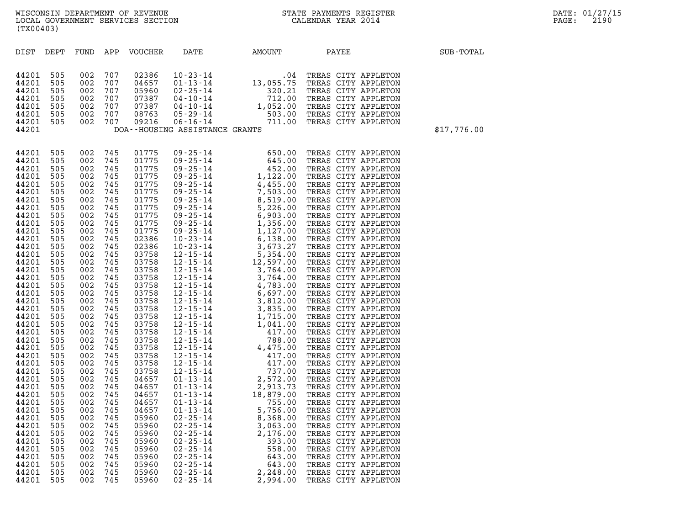| (TX00403)                                                                                                                                                                                                                                                                                                                                                                     |                                                                                                                                                                                                                                                                                             |                                                                                                                                                                                                                                                                                             |                                                                                                                                                                                                                                                                                             |                                                                                                                                                                                                                                                                                                                                                                               |                                                                                                                            |                                                                                                                                                                                                                                                                                                                                                                                                                                                   |                                                                                                                                                               |             |
|-------------------------------------------------------------------------------------------------------------------------------------------------------------------------------------------------------------------------------------------------------------------------------------------------------------------------------------------------------------------------------|---------------------------------------------------------------------------------------------------------------------------------------------------------------------------------------------------------------------------------------------------------------------------------------------|---------------------------------------------------------------------------------------------------------------------------------------------------------------------------------------------------------------------------------------------------------------------------------------------|---------------------------------------------------------------------------------------------------------------------------------------------------------------------------------------------------------------------------------------------------------------------------------------------|-------------------------------------------------------------------------------------------------------------------------------------------------------------------------------------------------------------------------------------------------------------------------------------------------------------------------------------------------------------------------------|----------------------------------------------------------------------------------------------------------------------------|---------------------------------------------------------------------------------------------------------------------------------------------------------------------------------------------------------------------------------------------------------------------------------------------------------------------------------------------------------------------------------------------------------------------------------------------------|---------------------------------------------------------------------------------------------------------------------------------------------------------------|-------------|
| DIST                                                                                                                                                                                                                                                                                                                                                                          | DEPT                                                                                                                                                                                                                                                                                        | FUND APP                                                                                                                                                                                                                                                                                    |                                                                                                                                                                                                                                                                                             | VOUCHER                                                                                                                                                                                                                                                                                                                                                                       | DATE                                                                                                                       | AMOUNT                                                                                                                                                                                                                                                                                                                                                                                                                                            | PAYEE                                                                                                                                                         | SUB-TOTAL   |
| 44201<br>44201<br>44201<br>44201<br>44201<br>44201<br>44201<br>44201                                                                                                                                                                                                                                                                                                          | 505<br>505<br>505<br>505<br>505<br>505<br>505                                                                                                                                                                                                                                               | 002<br>002<br>002<br>002<br>002<br>002<br>002                                                                                                                                                                                                                                               | 707<br>707<br>707<br>707<br>707<br>707<br>707                                                                                                                                                                                                                                               | 02386<br>04657<br>05960<br>07387<br>07387<br>08763<br>09216                                                                                                                                                                                                                                                                                                                   | DOA--HOUSING ASSISTANCE GRANTS                                                                                             | $\begin{tabular}{lllllllllllll} 10-23-14 & .04 \quad \text{TREAS CITY APPLICATION} \\ 01-13-14 & 13,055.75 \quad \text{TREAS CITY APPLICATION} \\ 02-25-14 & 320.21 \quad \text{TREAS CITY APPLICATION} \\ 04-10-14 & 712.00 \quad \text{TREAS CITY APPLICATION} \\ 04-10-14 & 1,052.00 \quad \text{TREAS CITY APPLICATION} \\ 05-29-14 & 503.00 \quad \text{TREAS CITY APPLICATION} \\ 06-16-14 & 711.00 \quad \text{TREAS CITY APPLICATION} \\$ |                                                                                                                                                               | \$17,776.00 |
| 44201<br>44201<br>44201<br>44201<br>44201<br>44201<br>44201<br>44201<br>44201<br>44201<br>44201<br>44201<br>44201<br>44201<br>44201<br>44201<br>44201<br>44201<br>44201<br>44201<br>44201<br>44201<br>44201<br>44201<br>44201<br>44201<br>44201<br>44201<br>44201<br>44201<br>44201<br>44201<br>44201<br>44201<br>44201<br>44201<br>44201<br>44201<br>44201<br>44201<br>44201 | 505<br>505<br>505<br>505<br>505<br>505<br>505<br>505<br>505<br>505<br>505<br>505<br>505<br>505<br>505<br>505<br>505<br>505<br>505<br>505<br>505<br>505<br>505<br>505<br>505<br>505<br>505<br>505<br>505<br>505<br>505<br>505<br>505<br>505<br>505<br>505<br>505<br>505<br>505<br>505<br>505 | 002<br>002<br>002<br>002<br>002<br>002<br>002<br>002<br>002<br>002<br>002<br>002<br>002<br>002<br>002<br>002<br>002<br>002<br>002<br>002<br>002<br>002<br>002<br>002<br>002<br>002<br>002<br>002<br>002<br>002<br>002<br>002<br>002<br>002<br>002<br>002<br>002<br>002<br>002<br>002<br>002 | 745<br>745<br>745<br>745<br>745<br>745<br>745<br>745<br>745<br>745<br>745<br>745<br>745<br>745<br>745<br>745<br>745<br>745<br>745<br>745<br>745<br>745<br>745<br>745<br>745<br>745<br>745<br>745<br>745<br>745<br>745<br>745<br>745<br>745<br>745<br>745<br>745<br>745<br>745<br>745<br>745 | 01775<br>01775<br>01775<br>01775<br>01775<br>01775<br>01775<br>01775<br>01775<br>01775<br>01775<br>02386<br>02386<br>03758<br>03758<br>03758<br>03758<br>03758<br>03758<br>03758<br>03758<br>03758<br>03758<br>03758<br>03758<br>03758<br>03758<br>03758<br>03758<br>04657<br>04657<br>04657<br>04657<br>04657<br>05960<br>05960<br>05960<br>05960<br>05960<br>05960<br>05960 | $02 - 25 - 14$<br>$02 - 25 - 14$<br>$02 - 25 - 14$<br>$02 - 25 - 14$<br>$02 - 25 - 14$<br>$02 - 25 - 14$<br>$02 - 25 - 14$ | 8,368.00<br>3,063.00<br>2,176.00<br>393.00<br>558.00<br>643.00<br>643.00                                                                                                                                                                                                                                                                                                                                                                          | TREAS CITY APPLETON<br>TREAS CITY APPLETON<br>TREAS CITY APPLETON<br>TREAS CITY APPLETON<br>TREAS CITY APPLETON<br>TREAS CITY APPLETON<br>TREAS CITY APPLETON |             |
| 44201<br>44201                                                                                                                                                                                                                                                                                                                                                                | 505<br>505                                                                                                                                                                                                                                                                                  | 002<br>002                                                                                                                                                                                                                                                                                  | 745<br>745                                                                                                                                                                                                                                                                                  | 05960<br>05960                                                                                                                                                                                                                                                                                                                                                                | $02 - 25 - 14$<br>$02 - 25 - 14$                                                                                           | 2,248.00<br>2,994.00                                                                                                                                                                                                                                                                                                                                                                                                                              | TREAS CITY APPLETON<br>TREAS CITY APPLETON                                                                                                                    |             |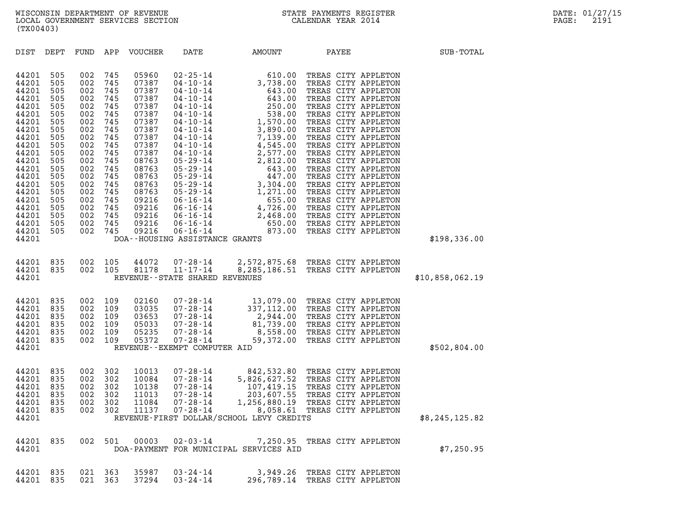| (TX00403)                                                                                                                                                                                                                                                                                                                                             |                                                                                                                                                                                                                                                                                                                                                                                                                                                                                                 |                                                                                                                                                                                                                                                                                                                                                                                                                    |           |                                                                                                                                                                                                                                             |                 |
|-------------------------------------------------------------------------------------------------------------------------------------------------------------------------------------------------------------------------------------------------------------------------------------------------------------------------------------------------------|-------------------------------------------------------------------------------------------------------------------------------------------------------------------------------------------------------------------------------------------------------------------------------------------------------------------------------------------------------------------------------------------------------------------------------------------------------------------------------------------------|--------------------------------------------------------------------------------------------------------------------------------------------------------------------------------------------------------------------------------------------------------------------------------------------------------------------------------------------------------------------------------------------------------------------|-----------|---------------------------------------------------------------------------------------------------------------------------------------------------------------------------------------------------------------------------------------------|-----------------|
| DIST<br>DEPT                                                                                                                                                                                                                                                                                                                                          | FUND<br>APP<br><b>VOUCHER</b>                                                                                                                                                                                                                                                                                                                                                                                                                                                                   | DATE                                                                                                                                                                                                                                                                                                                                                                                                               | AMOUNT    | PAYEE                                                                                                                                                                                                                                       | SUB-TOTAL       |
| 44201<br>505<br>44201<br>505<br>44201<br>505<br>44201<br>505<br>44201<br>505<br>44201<br>505<br>44201<br>505<br>44201<br>505<br>44201<br>505<br>44201<br>505<br>44201<br>505<br>44201<br>505<br>44201<br>505<br>44201<br>505<br>44201<br>505<br>44201<br>505<br>44201<br>505<br>44201<br>505<br>44201<br>505<br>44201<br>505<br>44201<br>505<br>44201 | 002<br>05960<br>745<br>002<br>745<br>07387<br>002<br>745<br>07387<br>002<br>745<br>07387<br>002<br>745<br>07387<br>002<br>745<br>07387<br>002<br>745<br>07387<br>002<br>745<br>07387<br>002<br>745<br>07387<br>002<br>745<br>07387<br>002<br>745<br>07387<br>002<br>745<br>08763<br>002<br>745<br>08763<br>002<br>745<br>08763<br>002<br>745<br>08763<br>002<br>745<br>08763<br>002<br>745<br>09216<br>002<br>745<br>09216<br>002<br>745<br>09216<br>002<br>745<br>09216<br>002<br>745<br>09216 | $02 - 25 - 14$<br>$04 - 10 - 14$<br>$04 - 10 - 14$<br>$04 - 10 - 14$<br>$04 - 10 - 14$<br>$04 - 10 - 14$<br>$04 - 10 - 14$<br>$04 - 10 - 14$<br>$04 - 10 - 14$<br>$04 - 10 - 14$<br>$04 - 10 - 14$<br>$05 - 29 - 14$<br>$05 - 29 - 14$<br>$05 - 29 - 14$<br>$05 - 29 - 14$<br>$05 - 29 - 14$<br>$06 - 16 - 14$<br>$06 - 16 - 14$<br>06-16-14<br>$06 - 16 - 14$<br>$06 - 16 - 14$<br>DOA--HOUSING ASSISTANCE GRANTS |           | 610.00 TREAS CITY APPLETON<br>3,738.00 TREAS CITY APPLETON<br>643.00 TREAS CITY APPLETON<br>643.00 TREAS CITY APPLETON<br>643.00 TREAS CITY APPLETON<br>538.00 TREAS CITY APPLETON<br>1,570.00 TREAS CITY APPLETON<br>1,570.00 TREAS CITY A | \$198,336.00    |
| 835<br>44201<br>44201<br>835<br>44201                                                                                                                                                                                                                                                                                                                 | 002<br>105<br>44072<br>002<br>105<br>81178                                                                                                                                                                                                                                                                                                                                                                                                                                                      | $07 - 28 - 14$<br>$11 - 17 - 14$<br>REVENUE - - STATE SHARED REVENUES                                                                                                                                                                                                                                                                                                                                              |           | 2,572,875.68 TREAS CITY APPLETON<br>8,285,186.51 TREAS CITY APPLETON                                                                                                                                                                        | \$10,858,062.19 |
| 44201<br>835<br>44201<br>835<br>44201<br>835<br>44201<br>835<br>44201<br>835<br>44201<br>835<br>44201                                                                                                                                                                                                                                                 | 002<br>109<br>02160<br>002<br>109<br>03035<br>002<br>109<br>03653<br>002<br>109<br>05033<br>002<br>109<br>05235<br>002<br>109<br>05372                                                                                                                                                                                                                                                                                                                                                          | $07 - 28 - 14$<br>$07 - 28 - 14$<br>$07 - 28 - 14$<br>$07 - 28 - 14$<br>07-28-14<br>$07 - 28 - 14$<br>REVENUE - - EXEMPT COMPUTER AID                                                                                                                                                                                                                                                                              | 59,372.00 | 13,079.00 TREAS CITY APPLETON<br>337,112.00 TREAS CITY APPLETON<br>2,944.00 TREAS CITY APPLETON<br>81,739.00 TREAS CITY APPLETON<br>8,558.00 TREAS CITY APPLETON<br>TREAS CITY APPLETON                                                     | \$502,804.00    |
| 44201<br>835<br>44201<br>835<br>44201<br>835<br>44201<br>835<br>44201<br>835<br>44201<br>835<br>44201                                                                                                                                                                                                                                                 | 002<br>302<br>10013<br>002<br>302<br>10084<br>002<br>302<br>10138<br>002<br>302<br>11013<br>002<br>302<br>11084<br>002<br>302<br>11137                                                                                                                                                                                                                                                                                                                                                          | $07 - 28 - 14$<br>$07 - 28 - 14$<br>$07 - 28 - 14$<br>$07 - 28 - 14$<br>$07 - 28 - 14$<br>$07 - 28 - 14$<br>REVENUE-FIRST DOLLAR/SCHOOL LEVY CREDITS                                                                                                                                                                                                                                                               | 8,058.61  | 842,532.80 TREAS CITY APPLETON<br>842,532.80 TREAS CITY APPLETON<br>5,826,627.52 TREAS CITY APPLETON<br>107,419.15 TREAS CITY APPLETON<br>203,607.55 TREAS CITY APPLETON<br>1,256,880.19 TREAS CITY APPLETON<br>TREAS CITY APPLETON         | \$8,245,125.82  |
| 44201 835<br>44201                                                                                                                                                                                                                                                                                                                                    | 002 501<br>00003                                                                                                                                                                                                                                                                                                                                                                                                                                                                                | DOA-PAYMENT FOR MUNICIPAL SERVICES AID                                                                                                                                                                                                                                                                                                                                                                             |           | 02-03-14 7,250.95 TREAS CITY APPLETON                                                                                                                                                                                                       | \$7,250.95      |
| 44201 835<br>44201 835                                                                                                                                                                                                                                                                                                                                | 021<br>35987<br>- 363<br>021<br>363<br>37294                                                                                                                                                                                                                                                                                                                                                                                                                                                    | 03-24-14<br>$03 - 24 - 14$                                                                                                                                                                                                                                                                                                                                                                                         |           | 3,949.26 TREAS CITY APPLETON<br>296,789.14 TREAS CITY APPLETON                                                                                                                                                                              |                 |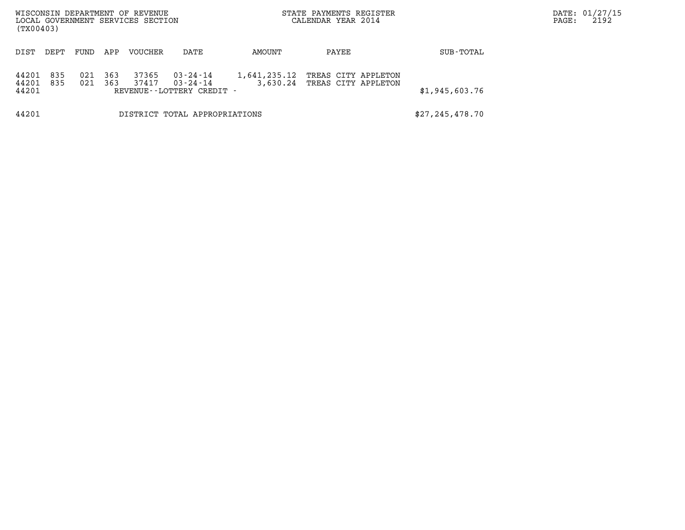| (TX00403)               |            |            |            | WISCONSIN DEPARTMENT OF REVENUE<br>LOCAL GOVERNMENT SERVICES SECTION |                                                      |                          | STATE PAYMENTS REGISTER<br>CALENDAR YEAR 2014 |                | DATE: 01/27/15<br>2192<br>PAGE: |
|-------------------------|------------|------------|------------|----------------------------------------------------------------------|------------------------------------------------------|--------------------------|-----------------------------------------------|----------------|---------------------------------|
| DIST                    | DEPT       | FUND       | APP        | VOUCHER                                                              | DATE                                                 | AMOUNT                   | PAYEE                                         | SUB-TOTAL      |                                 |
| 44201<br>44201<br>44201 | 835<br>835 | 021<br>021 | 363<br>363 | 37365<br>37417                                                       | 03-24-14<br>03-24-14<br>REVENUE - - LOTTERY CREDIT - | 1,641,235.12<br>3,630.24 | TREAS CITY APPLETON<br>TREAS CITY APPLETON    | \$1,945,603.76 |                                 |
| 44201                   |            |            |            |                                                                      | DISTRICT TOTAL APPROPRIATIONS                        | \$27, 245, 478.70        |                                               |                |                                 |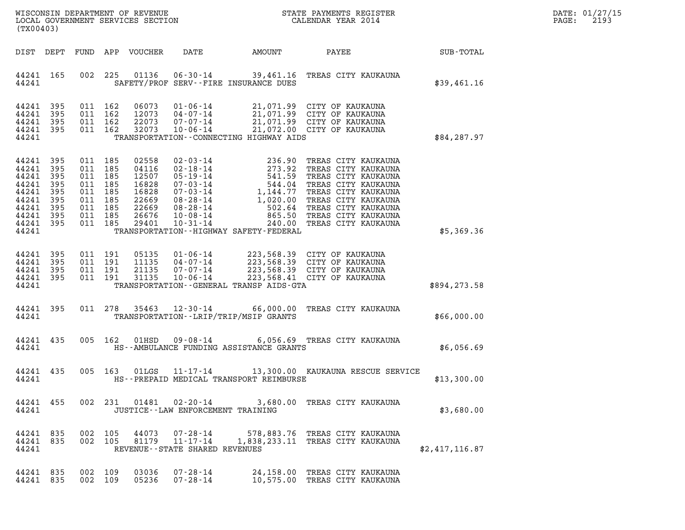| DATE:             | 01/27/15 |
|-------------------|----------|
| $\mathtt{PAGE}$ : | 2193     |

| (TX00403)                                                                              |                                                               |                                                                                                 |         |                                                                               |                                     |                                             |                                                                                                                                                                                                                                                            | DATE: 01/27/15<br>$\mathtt{PAGE}$ :<br>2193 |  |
|----------------------------------------------------------------------------------------|---------------------------------------------------------------|-------------------------------------------------------------------------------------------------|---------|-------------------------------------------------------------------------------|-------------------------------------|---------------------------------------------|------------------------------------------------------------------------------------------------------------------------------------------------------------------------------------------------------------------------------------------------------------|---------------------------------------------|--|
|                                                                                        |                                                               |                                                                                                 |         | DIST DEPT FUND APP VOUCHER                                                    |                                     |                                             | DATE AMOUNT PAYEE SUB-TOTAL                                                                                                                                                                                                                                |                                             |  |
| 44241 165<br>44241                                                                     |                                                               |                                                                                                 |         |                                                                               |                                     | SAFETY/PROF SERV--FIRE INSURANCE DUES       | 002 225 01136 06-30-14 39,461.16 TREAS CITY KAUKAUNA                                                                                                                                                                                                       | \$39,461.16                                 |  |
| 44241<br>44241<br>44241<br>44241<br>44241                                              | 395<br>395<br>395<br>- 395                                    | 011 162<br>011 162<br>011 162<br>011 162                                                        |         | 06073<br>12073<br>22073<br>32073                                              |                                     | TRANSPORTATION - - CONNECTING HIGHWAY AIDS  | 01-06-14<br>04-07-14<br>07-07-14<br>07-07-14<br>07-06-14<br>07-06-14<br>00-06-14<br>021,072.00 CITY OF KAUKAUNA                                                                                                                                            | \$84,287.97                                 |  |
| 44241<br>44241<br>44241<br>44241<br>44241<br>44241<br>44241<br>44241<br>44241<br>44241 | 395<br>395<br>395<br>395<br>395<br>395<br>395<br>395<br>- 395 | 011 185<br>011 185<br>011 185<br>011 185<br>011 185<br>011 185<br>011 185<br>011 185<br>011 185 |         | 02558<br>04116<br>12507<br>16828<br>16828<br>22669<br>22669<br>26676<br>29401 |                                     | TRANSPORTATION - - HIGHWAY SAFETY - FEDERAL | 02-03-14<br>02-18-14<br>05-19-14<br>05-19-14<br>07-03-14<br>07-03-14<br>1,144.77 TREAS CITY KAUKAUNA<br>07-03-14<br>1,144.77 TREAS CITY KAUKAUNA<br>08-28-14<br>1,020.00 TREAS CITY KAUKAUNA<br>08-28-14<br>10-08-14<br>10-08-14<br>265.50 TREAS CITY KAUK | \$5,369.36                                  |  |
| 44241<br>44241<br>44241<br>44241<br>44241                                              | 395<br>395<br>395<br>395                                      | 011 191<br>011 191<br>011 191<br>011 191                                                        |         | 05135<br>11135<br>21135<br>31135                                              |                                     | TRANSPORTATION--GENERAL TRANSP AIDS-GTA     | 01-06-14 223,568.39 CITY OF KAUKAUNA<br>04-07-14 223,568.39 CITY OF KAUKAUNA<br>07-07-14 223,568.39 CITY OF KAUKAUNA<br>10-06-14 223,568.41 CITY OF KAUKAUNA                                                                                               | \$894,273.58                                |  |
| 44241 395<br>44241                                                                     |                                                               |                                                                                                 | 011 278 |                                                                               |                                     | TRANSPORTATION - - LRIP/TRIP/MSIP GRANTS    | 35463 12-30-14 66,000.00 TREAS CITY KAUKAUNA                                                                                                                                                                                                               | \$66,000.00                                 |  |
| 44241 435<br>44241                                                                     |                                                               |                                                                                                 | 005 162 |                                                                               |                                     | HS--AMBULANCE FUNDING ASSISTANCE GRANTS     | 01HSD  09-08-14  6,056.69 TREAS CITY KAUKAUNA                                                                                                                                                                                                              | \$6,056.69                                  |  |
| 44241 435<br>44241                                                                     |                                                               |                                                                                                 | 005 163 | 01LGS                                                                         |                                     | HS--PREPAID MEDICAL TRANSPORT REIMBURSE     | $11 - 17 - 14$ $13,300.00$ KAUKAUNA RESCUE SERVICE                                                                                                                                                                                                         | \$13,300.00                                 |  |
| 44241                                                                                  |                                                               |                                                                                                 |         |                                                                               | JUSTICE -- LAW ENFORCEMENT TRAINING |                                             | 44241 455 002 231 01481 02-20-14 3,680.00 TREAS CITY KAUKAUNA                                                                                                                                                                                              | \$3,680.00                                  |  |
| 44241 835<br>44241                                                                     |                                                               |                                                                                                 |         |                                                                               | REVENUE--STATE SHARED REVENUES      |                                             | 44241 835 002 105 44073 07-28-14 578,883.76 TREAS CITY KAUKAUNA<br>002 105 81179 11-17-14 1,838,233.11 TREAS CITY KAUKAUNA                                                                                                                                 | \$2,417,116.87                              |  |
| 44241 835<br>44241 835                                                                 |                                                               | 002 109                                                                                         | 002 109 | 03036<br>05236                                                                | $07 - 28 - 14$                      |                                             | 07-28-14 24,158.00 TREAS CITY KAUKAUNA<br>10,575.00 TREAS CITY KAUKAUNA                                                                                                                                                                                    |                                             |  |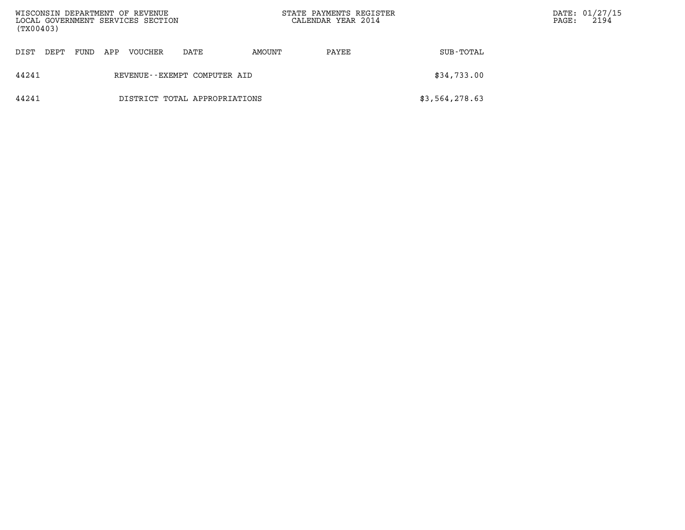| WISCONSIN DEPARTMENT OF REVENUE<br>(TX00403) |                                             |     | LOCAL GOVERNMENT SERVICES SECTION |                               | STATE PAYMENTS REGISTER<br>CALENDAR YEAR 2014 |       |                | $\mathtt{PAGE}$ : | DATE: 01/27/15<br>2194 |
|----------------------------------------------|---------------------------------------------|-----|-----------------------------------|-------------------------------|-----------------------------------------------|-------|----------------|-------------------|------------------------|
| DIST<br>DEPT                                 | FUND                                        | APP | VOUCHER                           | DATE                          | AMOUNT                                        | PAYEE | SUB-TOTAL      |                   |                        |
| 44241                                        | \$34,733.00<br>REVENUE--EXEMPT COMPUTER AID |     |                                   |                               |                                               |       |                |                   |                        |
| 44241                                        |                                             |     |                                   | DISTRICT TOTAL APPROPRIATIONS |                                               |       | \$3,564,278.63 |                   |                        |